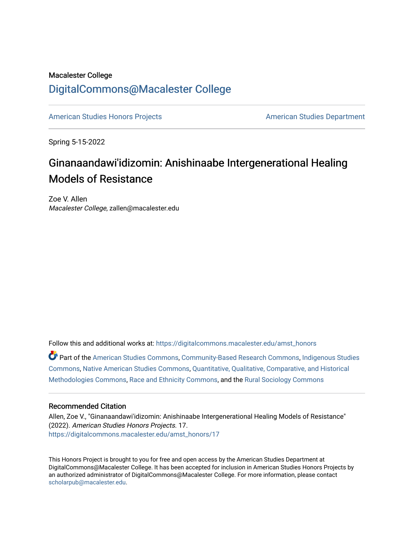### Macalester College [DigitalCommons@Macalester College](https://digitalcommons.macalester.edu/)

[American Studies Honors Projects](https://digitalcommons.macalester.edu/amst_honors) **American Studies Department** 

Spring 5-15-2022

## Ginanaandawi'idizomin: Anishinaabe Intergenerational Healing Models of Resistance

Zoe V. Allen Macalester College, zallen@macalester.edu

Follow this and additional works at: [https://digitalcommons.macalester.edu/amst\\_honors](https://digitalcommons.macalester.edu/amst_honors?utm_source=digitalcommons.macalester.edu%2Famst_honors%2F17&utm_medium=PDF&utm_campaign=PDFCoverPages)

Part of the [American Studies Commons](https://network.bepress.com/hgg/discipline/439?utm_source=digitalcommons.macalester.edu%2Famst_honors%2F17&utm_medium=PDF&utm_campaign=PDFCoverPages), [Community-Based Research Commons,](https://network.bepress.com/hgg/discipline/1047?utm_source=digitalcommons.macalester.edu%2Famst_honors%2F17&utm_medium=PDF&utm_campaign=PDFCoverPages) [Indigenous Studies](https://network.bepress.com/hgg/discipline/571?utm_source=digitalcommons.macalester.edu%2Famst_honors%2F17&utm_medium=PDF&utm_campaign=PDFCoverPages)  [Commons](https://network.bepress.com/hgg/discipline/571?utm_source=digitalcommons.macalester.edu%2Famst_honors%2F17&utm_medium=PDF&utm_campaign=PDFCoverPages), [Native American Studies Commons](https://network.bepress.com/hgg/discipline/1434?utm_source=digitalcommons.macalester.edu%2Famst_honors%2F17&utm_medium=PDF&utm_campaign=PDFCoverPages), [Quantitative, Qualitative, Comparative, and Historical](https://network.bepress.com/hgg/discipline/423?utm_source=digitalcommons.macalester.edu%2Famst_honors%2F17&utm_medium=PDF&utm_campaign=PDFCoverPages)  [Methodologies Commons](https://network.bepress.com/hgg/discipline/423?utm_source=digitalcommons.macalester.edu%2Famst_honors%2F17&utm_medium=PDF&utm_campaign=PDFCoverPages), [Race and Ethnicity Commons,](https://network.bepress.com/hgg/discipline/426?utm_source=digitalcommons.macalester.edu%2Famst_honors%2F17&utm_medium=PDF&utm_campaign=PDFCoverPages) and the [Rural Sociology Commons](https://network.bepress.com/hgg/discipline/428?utm_source=digitalcommons.macalester.edu%2Famst_honors%2F17&utm_medium=PDF&utm_campaign=PDFCoverPages)

### Recommended Citation

Allen, Zoe V., "Ginanaandawi'idizomin: Anishinaabe Intergenerational Healing Models of Resistance" (2022). American Studies Honors Projects. 17. [https://digitalcommons.macalester.edu/amst\\_honors/17](https://digitalcommons.macalester.edu/amst_honors/17?utm_source=digitalcommons.macalester.edu%2Famst_honors%2F17&utm_medium=PDF&utm_campaign=PDFCoverPages) 

This Honors Project is brought to you for free and open access by the American Studies Department at DigitalCommons@Macalester College. It has been accepted for inclusion in American Studies Honors Projects by an authorized administrator of DigitalCommons@Macalester College. For more information, please contact [scholarpub@macalester.edu](mailto:scholarpub@macalester.edu).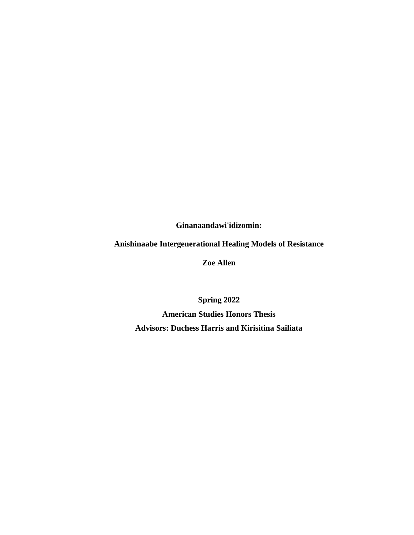**Ginanaandawi'idizomin:** 

### **Anishinaabe Intergenerational Healing Models of Resistance**

**Zoe Allen**

<span id="page-1-0"></span>**Spring 2022 American Studies Honors Thesis Advisors: Duchess Harris and Kirisitina Sailiata**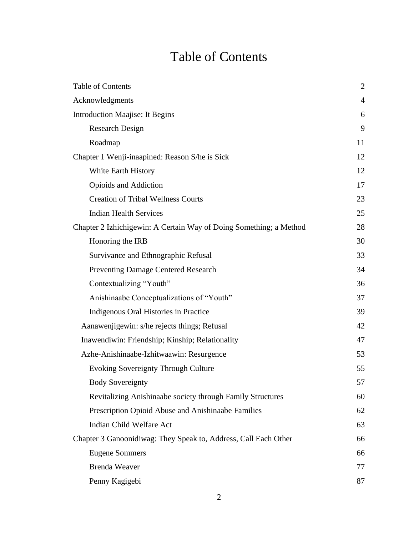# Table of Contents

<span id="page-2-0"></span>

| Table of Contents                                                  | $\mathbf{2}$   |
|--------------------------------------------------------------------|----------------|
| Acknowledgments                                                    | $\overline{4}$ |
| <b>Introduction Maajise: It Begins</b>                             | 6              |
| <b>Research Design</b>                                             | 9              |
| Roadmap                                                            | 11             |
| Chapter 1 Wenji-inaapined: Reason S/he is Sick                     | 12             |
| White Earth History                                                | 12             |
| Opioids and Addiction                                              | 17             |
| <b>Creation of Tribal Wellness Courts</b>                          | 23             |
| <b>Indian Health Services</b>                                      | 25             |
| Chapter 2 Izhichigewin: A Certain Way of Doing Something; a Method | 28             |
| Honoring the IRB                                                   | 30             |
| Survivance and Ethnographic Refusal                                | 33             |
| <b>Preventing Damage Centered Research</b>                         | 34             |
| Contextualizing "Youth"                                            | 36             |
| Anishinaabe Conceptualizations of "Youth"                          | 37             |
| Indigenous Oral Histories in Practice                              | 39             |
| Aanawenjigewin: s/he rejects things; Refusal                       | 42             |
| Inawendiwin: Friendship; Kinship; Relationality                    | 47             |
| Azhe-Anishinaabe-Izhitwaawin: Resurgence                           | 53             |
| <b>Evoking Sovereignty Through Culture</b>                         | 55             |
| <b>Body Sovereignty</b>                                            | 57             |
| Revitalizing Anishinaabe society through Family Structures         | 60             |
| Prescription Opioid Abuse and Anishinaabe Families                 | 62             |
| Indian Child Welfare Act                                           | 63             |
| Chapter 3 Ganoonidiwag: They Speak to, Address, Call Each Other    | 66             |
| <b>Eugene Sommers</b>                                              | 66             |
| <b>Brenda Weaver</b>                                               | 77             |
| Penny Kagigebi                                                     | 87             |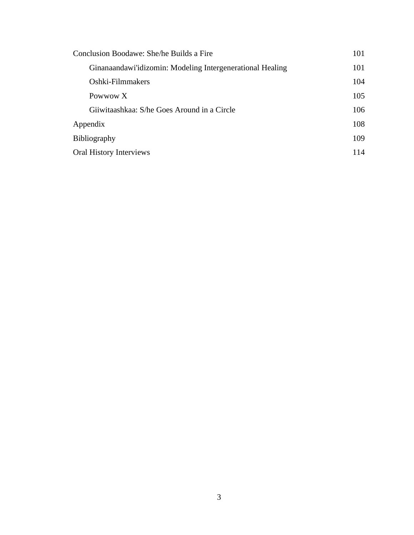| Conclusion Boodawe: She/he Builds a Fire                  | 101 |
|-----------------------------------------------------------|-----|
| Ginanaandawi'idizomin: Modeling Intergenerational Healing | 101 |
| Oshki-Filmmakers                                          | 104 |
| Powwow X                                                  | 105 |
| Giiwitaashkaa: S/he Goes Around in a Circle               | 106 |
| Appendix                                                  | 108 |
| <b>Bibliography</b>                                       | 109 |
| <b>Oral History Interviews</b>                            | 114 |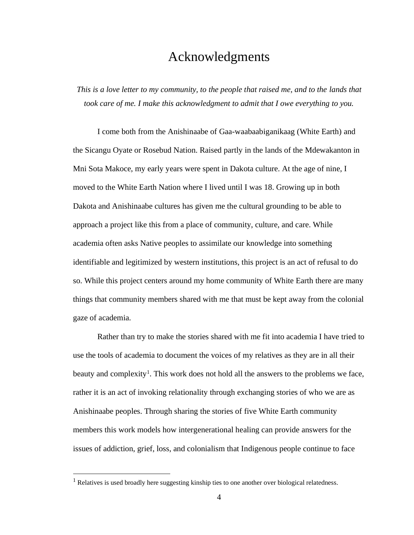### <span id="page-4-0"></span>[Acknowledgments](#page-1-0)

*This is a love letter to my community, to the people that raised me, and to the lands that took care of me. I make this acknowledgment to admit that I owe everything to you.*

I come both from the Anishinaabe of Gaa-waabaabiganikaag (White Earth) and the Sicangu Oyate or Rosebud Nation. Raised partly in the lands of the Mdewakanton in Mni Sota Makoce, my early years were spent in Dakota culture. At the age of nine, I moved to the White Earth Nation where I lived until I was 18. Growing up in both Dakota and Anishinaabe cultures has given me the cultural grounding to be able to approach a project like this from a place of community, culture, and care. While academia often asks Native peoples to assimilate our knowledge into something identifiable and legitimized by western institutions, this project is an act of refusal to do so. While this project centers around my home community of White Earth there are many things that community members shared with me that must be kept away from the colonial gaze of academia.

Rather than try to make the stories shared with me fit into academia I have tried to use the tools of academia to document the voices of my relatives as they are in all their beauty and complexity<sup>1</sup>. This work does not hold all the answers to the problems we face, rather it is an act of invoking relationality through exchanging stories of who we are as Anishinaabe peoples. Through sharing the stories of five White Earth community members this work models how intergenerational healing can provide answers for the issues of addiction, grief, loss, and colonialism that Indigenous people continue to face

<sup>&</sup>lt;sup>1</sup> Relatives is used broadly here suggesting kinship ties to one another over biological relatedness.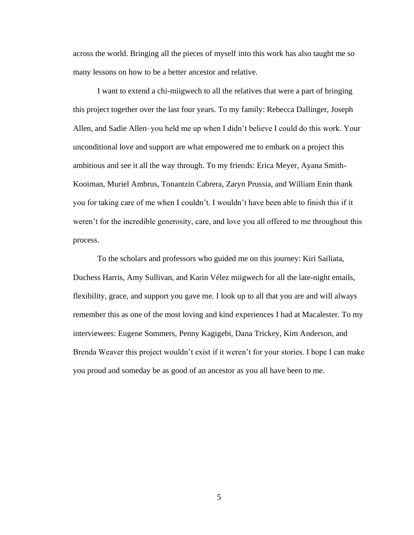across the world. Bringing all the pieces of myself into this work has also taught me so many lessons on how to be a better ancestor and relative.

I want to extend a chi-miigwech to all the relatives that were a part of bringing this project together over the last four years. To my family: Rebecca Dallinger, Joseph Allen, and Sadie Allen–you held me up when I didn't believe I could do this work. Your unconditional love and support are what empowered me to embark on a project this ambitious and see it all the way through. To my friends: Erica Meyer, Ayana Smith-Kooiman, Muriel Ambrus, Tonantzin Cabrera, Zaryn Prussia, and William Enin thank you for taking care of me when I couldn't. I wouldn't have been able to finish this if it weren't for the incredible generosity, care, and love you all offered to me throughout this process.

To the scholars and professors who guided me on this journey: Kiri Sailiata, Duchess Harris, Amy Sullivan, and Karin Vélez miigwech for all the late-night emails, flexibility, grace, and support you gave me. I look up to all that you are and will always remember this as one of the most loving and kind experiences I had at Macalester. To my interviewees: Eugene Sommers, Penny Kagigebi, Dana Trickey, Kim Anderson, and Brenda Weaver this project wouldn't exist if it weren't for your stories. I hope I can make you proud and someday be as good of an ancestor as you all have been to me.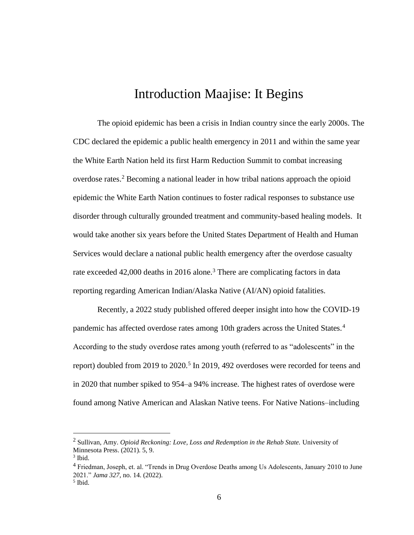### Introduction Maajise: It Begins

<span id="page-6-0"></span>The opioid epidemic has been a crisis in Indian country since the early 2000s. The CDC declared the epidemic a public health emergency in 2011 and within the same year the White Earth Nation held its first Harm Reduction Summit to combat increasing overdose rates.<sup>2</sup> Becoming a national leader in how tribal nations approach the opioid epidemic the White Earth Nation continues to foster radical responses to substance use disorder through culturally grounded treatment and community-based healing models. It would take another six years before the United States Department of Health and Human Services would declare a national public health emergency after the overdose casualty rate exceeded  $42,000$  deaths in 2016 alone.<sup>3</sup> There are complicating factors in data reporting regarding American Indian/Alaska Native (AI/AN) opioid fatalities.

Recently, a 2022 study published offered deeper insight into how the COVID-19 pandemic has affected overdose rates among 10th graders across the United States.<sup>4</sup> According to the study overdose rates among youth (referred to as "adolescents" in the report) doubled from 2019 to 2020.<sup>5</sup> In 2019, 492 overdoses were recorded for teens and in 2020 that number spiked to 954–a 94% increase. The highest rates of overdose were found among Native American and Alaskan Native teens. For Native Nations–including

<sup>2</sup> Sullivan, Amy. *Opioid Reckoning: Love, Loss and Redemption in the Rehab State.* University of Minnesota Press. (2021). 5, 9.

<sup>&</sup>lt;sup>3</sup> Ibid.

<sup>4</sup> Friedman, Joseph, et. al. "Trends in Drug Overdose Deaths among Us Adolescents, January 2010 to June 2021." *Jama 327*, no. 14. (2022).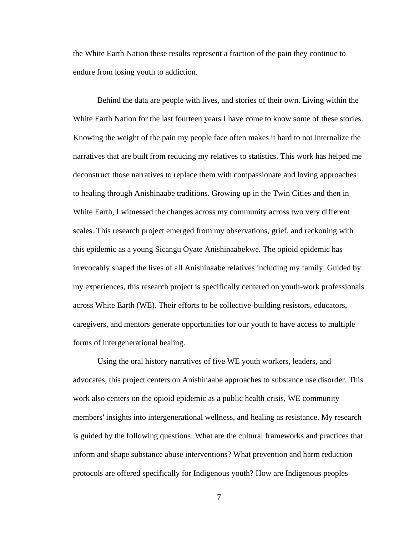the White Earth Nation these results represent a fraction of the pain they continue to endure from losing youth to addiction.

Behind the data are people with lives, and stories of their own. Living within the White Earth Nation for the last fourteen years I have come to know some of these stories. Knowing the weight of the pain my people face often makes it hard to not internalize the narratives that are built from reducing my relatives to statistics. This work has helped me deconstruct those narratives to replace them with compassionate and loving approaches to healing through Anishinaabe traditions. Growing up in the Twin Cities and then in White Earth, I witnessed the changes across my community across two very different scales. This research project emerged from my observations, grief, and reckoning with this epidemic as a young Sicangu Oyate Anishinaabekwe. The opioid epidemic has irrevocably shaped the lives of all Anishinaabe relatives including my family. Guided by my experiences, this research project is specifically centered on youth-work professionals across White Earth (WE). Their efforts to be collective-building resistors, educators, caregivers, and mentors generate opportunities for our youth to have access to multiple forms of intergenerational healing.

Using the oral history narratives of five WE youth workers, leaders, and advocates, this project centers on Anishinaabe approaches to substance use disorder. This work also centers on the opioid epidemic as a public health crisis, WE community members' insights into intergenerational wellness, and healing as resistance. My research is guided by the following questions: What are the cultural frameworks and practices that inform and shape substance abuse interventions? What prevention and harm reduction protocols are offered specifically for Indigenous youth? How are Indigenous peoples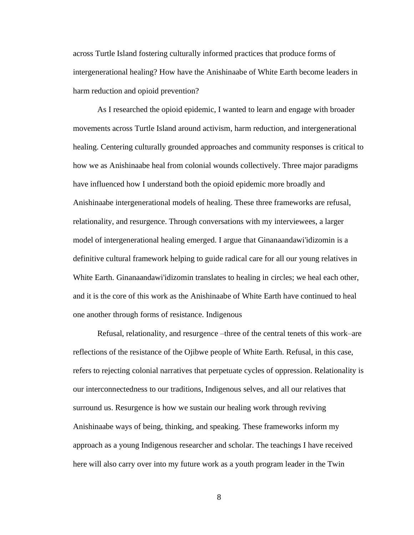across Turtle Island fostering culturally informed practices that produce forms of intergenerational healing? How have the Anishinaabe of White Earth become leaders in harm reduction and opioid prevention?

As I researched the opioid epidemic, I wanted to learn and engage with broader movements across Turtle Island around activism, harm reduction, and intergenerational healing. Centering culturally grounded approaches and community responses is critical to how we as Anishinaabe heal from colonial wounds collectively. Three major paradigms have influenced how I understand both the opioid epidemic more broadly and Anishinaabe intergenerational models of healing. These three frameworks are refusal, relationality, and resurgence. Through conversations with my interviewees, a larger model of intergenerational healing emerged. I argue that Ginanaandawi'idizomin is a definitive cultural framework helping to guide radical care for all our young relatives in White Earth. Ginanaandawi'idizomin translates to healing in circles; we heal each other, and it is the core of this work as the Anishinaabe of White Earth have continued to heal one another through forms of resistance. Indigenous

Refusal, relationality, and resurgence –three of the central tenets of this work–are reflections of the resistance of the Ojibwe people of White Earth. Refusal, in this case, refers to rejecting colonial narratives that perpetuate cycles of oppression. Relationality is our interconnectedness to our traditions, Indigenous selves, and all our relatives that surround us. Resurgence is how we sustain our healing work through reviving Anishinaabe ways of being, thinking, and speaking. These frameworks inform my approach as a young Indigenous researcher and scholar. The teachings I have received here will also carry over into my future work as a youth program leader in the Twin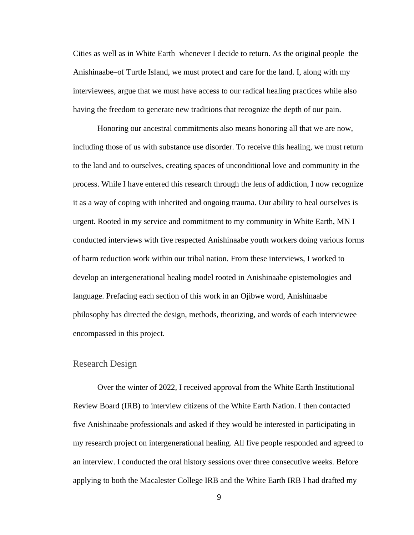Cities as well as in White Earth–whenever I decide to return. As the original people–the Anishinaabe–of Turtle Island, we must protect and care for the land. I, along with my interviewees, argue that we must have access to our radical healing practices while also having the freedom to generate new traditions that recognize the depth of our pain.

Honoring our ancestral commitments also means honoring all that we are now, including those of us with substance use disorder. To receive this healing, we must return to the land and to ourselves, creating spaces of unconditional love and community in the process. While I have entered this research through the lens of addiction, I now recognize it as a way of coping with inherited and ongoing trauma. Our ability to heal ourselves is urgent. Rooted in my service and commitment to my community in White Earth, MN I conducted interviews with five respected Anishinaabe youth workers doing various forms of harm reduction work within our tribal nation. From these interviews, I worked to develop an intergenerational healing model rooted in Anishinaabe epistemologies and language. Prefacing each section of this work in an Ojibwe word, Anishinaabe philosophy has directed the design, methods, theorizing, and words of each interviewee encompassed in this project.

### <span id="page-9-0"></span>Research Design

Over the winter of 2022, I received approval from the White Earth Institutional Review Board (IRB) to interview citizens of the White Earth Nation. I then contacted five Anishinaabe professionals and asked if they would be interested in participating in my research project on intergenerational healing. All five people responded and agreed to an interview. I conducted the oral history sessions over three consecutive weeks. Before applying to both the Macalester College IRB and the White Earth IRB I had drafted my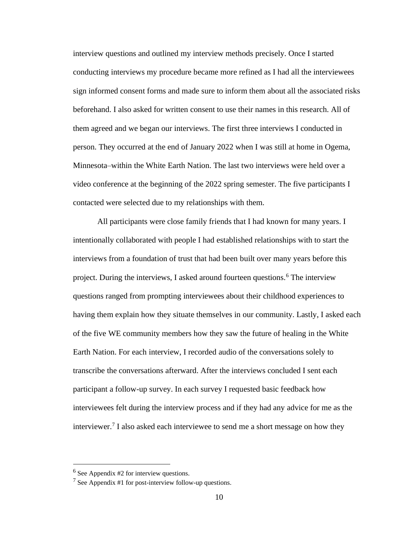interview questions and outlined my interview methods precisely. Once I started conducting interviews my procedure became more refined as I had all the interviewees sign informed consent forms and made sure to inform them about all the associated risks beforehand. I also asked for written consent to use their names in this research. All of them agreed and we began our interviews. The first three interviews I conducted in person. They occurred at the end of January 2022 when I was still at home in Ogema, Minnesota–within the White Earth Nation. The last two interviews were held over a video conference at the beginning of the 2022 spring semester. The five participants I contacted were selected due to my relationships with them.

All participants were close family friends that I had known for many years. I intentionally collaborated with people I had established relationships with to start the interviews from a foundation of trust that had been built over many years before this project. During the interviews, I asked around fourteen questions.<sup>6</sup> The interview questions ranged from prompting interviewees about their childhood experiences to having them explain how they situate themselves in our community. Lastly, I asked each of the five WE community members how they saw the future of healing in the White Earth Nation. For each interview, I recorded audio of the conversations solely to transcribe the conversations afterward. After the interviews concluded I sent each participant a follow-up survey. In each survey I requested basic feedback how interviewees felt during the interview process and if they had any advice for me as the interviewer.<sup>7</sup> I also asked each interviewee to send me a short message on how they

<sup>6</sup> See Appendix #2 for interview questions.

<sup>&</sup>lt;sup>7</sup> See Appendix #1 for post-interview follow-up questions.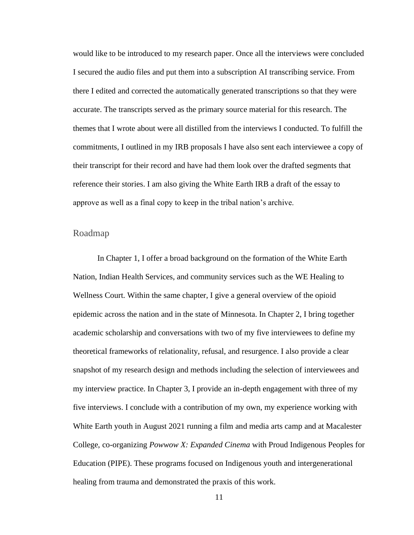would like to be introduced to my research paper. Once all the interviews were concluded I secured the audio files and put them into a subscription AI transcribing service. From there I edited and corrected the automatically generated transcriptions so that they were accurate. The transcripts served as the primary source material for this research. The themes that I wrote about were all distilled from the interviews I conducted. To fulfill the commitments, I outlined in my IRB proposals I have also sent each interviewee a copy of their transcript for their record and have had them look over the drafted segments that reference their stories. I am also giving the White Earth IRB a draft of the essay to approve as well as a final copy to keep in the tribal nation's archive.

#### <span id="page-11-0"></span>Roadmap

In Chapter 1, I offer a broad background on the formation of the White Earth Nation, Indian Health Services, and community services such as the WE Healing to Wellness Court. Within the same chapter, I give a general overview of the opioid epidemic across the nation and in the state of Minnesota. In Chapter 2, I bring together academic scholarship and conversations with two of my five interviewees to define my theoretical frameworks of relationality, refusal, and resurgence. I also provide a clear snapshot of my research design and methods including the selection of interviewees and my interview practice. In Chapter 3, I provide an in-depth engagement with three of my five interviews. I conclude with a contribution of my own, my experience working with White Earth youth in August 2021 running a film and media arts camp and at Macalester College, co-organizing *Powwow X: Expanded Cinema* with Proud Indigenous Peoples for Education (PIPE). These programs focused on Indigenous youth and intergenerational healing from trauma and demonstrated the praxis of this work.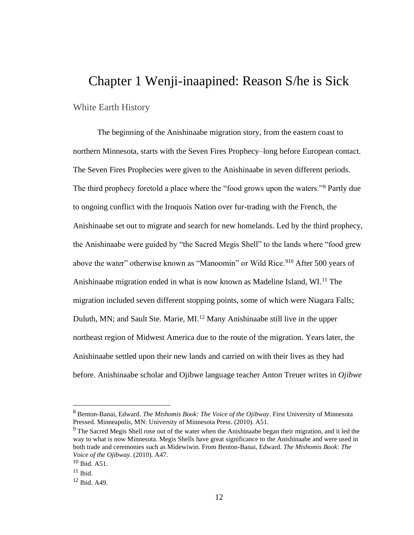### <span id="page-12-0"></span>[Chapter 1](#page-1-0) Wenji-inaapined: Reason S/he is Sick

#### <span id="page-12-1"></span>White Earth History

The beginning of the Anishinaabe migration story, from the eastern coast to northern Minnesota, starts with the Seven Fires Prophecy–long before European contact. The Seven Fires Prophecies were given to the Anishinaabe in seven different periods. The third prophecy foretold a place where the "food grows upon the waters."<sup>8</sup> Partly due to ongoing conflict with the Iroquois Nation over fur-trading with the French, the Anishinaabe set out to migrate and search for new homelands. Led by the third prophecy, the Anishinaabe were guided by "the Sacred Megis Shell" to the lands where "food grew above the water" otherwise known as "Manoomin" or Wild Rice.<sup>910</sup> After 500 years of Anishinaabe migration ended in what is now known as Madeline Island, WI.<sup>11</sup> The migration included seven different stopping points, some of which were Niagara Falls; Duluth, MN; and Sault Ste. Marie, MI.<sup>12</sup> Many Anishinaabe still live in the upper northeast region of Midwest America due to the route of the migration. Years later, the Anishinaabe settled upon their new lands and carried on with their lives as they had before. Anishinaabe scholar and Ojibwe language teacher Anton Treuer writes in *Ojibwe* 

<sup>8</sup> Benton-Banai, Edward. *The Mishomis Book: The Voice of the Ojibway*. First University of Minnesota Pressed. Minneapolis, MN: University of Minnesota Press. (2010). A51.

<sup>&</sup>lt;sup>9</sup> The Sacred Megis Shell rose out of the water when the Anishinaabe began their migration, and it led the way to what is now Minnesota. Megis Shells have great significance to the Anishinaabe and were used in both trade and ceremonies such as Midewiwin. From Benton-Banai, Edward. *The Mishomis Book: The Voice of the Ojibway*. (2010). A47.

 $10$  Ibid. A51.

 $11$  Ibid.

 $12$  Ibid. A49.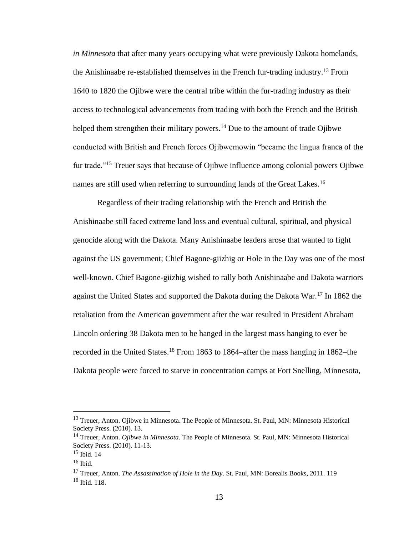*in Minnesota* that after many years occupying what were previously Dakota homelands, the Anishinaabe re-established themselves in the French fur-trading industry.<sup>13</sup> From 1640 to 1820 the Ojibwe were the central tribe within the fur-trading industry as their access to technological advancements from trading with both the French and the British helped them strengthen their military powers.<sup>14</sup> Due to the amount of trade Ojibwe conducted with British and French forces Ojibwemowin "became the lingua franca of the fur trade."<sup>15</sup> Treuer says that because of Ojibwe influence among colonial powers Ojibwe names are still used when referring to surrounding lands of the Great Lakes.<sup>16</sup>

Regardless of their trading relationship with the French and British the Anishinaabe still faced extreme land loss and eventual cultural, spiritual, and physical genocide along with the Dakota. Many Anishinaabe leaders arose that wanted to fight against the US government; Chief Bagone-giizhig or Hole in the Day was one of the most well-known. Chief Bagone-giizhig wished to rally both Anishinaabe and Dakota warriors against the United States and supported the Dakota during the Dakota War.<sup>17</sup> In 1862 the retaliation from the American government after the war resulted in President Abraham Lincoln ordering 38 Dakota men to be hanged in the largest mass hanging to ever be recorded in the United States.<sup>18</sup> From 1863 to 1864–after the mass hanging in 1862–the Dakota people were forced to starve in concentration camps at Fort Snelling, Minnesota,

<sup>&</sup>lt;sup>13</sup> Treuer, Anton. Ojibwe in Minnesota. The People of Minnesota. St. Paul, MN: Minnesota Historical Society Press. (2010). 13.

<sup>14</sup> Treuer, Anton. *Ojibwe in Minnesota*. The People of Minnesota. St. Paul, MN: Minnesota Historical Society Press. (2010). 11-13.

<sup>15</sup> Ibid. 14

 $16$  Ibid.

<sup>17</sup> Treuer, Anton. *The Assassination of Hole in the Day*. St. Paul, MN: Borealis Books, 2011. 119  $18$  Ibid. 118.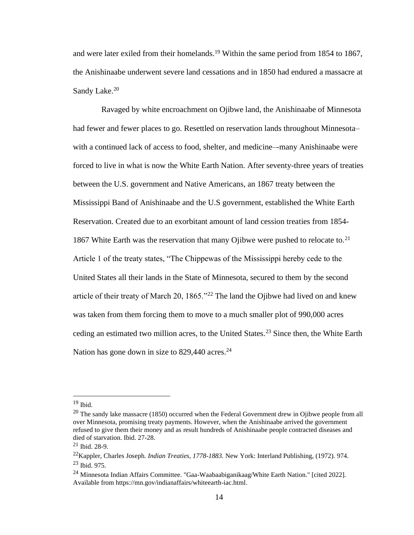and were later exiled from their homelands.<sup>19</sup> Within the same period from 1854 to 1867, the Anishinaabe underwent severe land cessations and in 1850 had endured a massacre at Sandy Lake.<sup>20</sup>

 Ravaged by white encroachment on Ojibwe land, the Anishinaabe of Minnesota had fewer and fewer places to go. Resettled on reservation lands throughout Minnesota– with a continued lack of access to food, shelter, and medicine–-many Anishinaabe were forced to live in what is now the White Earth Nation. After seventy-three years of treaties between the U.S. government and Native Americans, an 1867 treaty between the Mississippi Band of Anishinaabe and the U.S government, established the White Earth Reservation. Created due to an exorbitant amount of land cession treaties from 1854- 1867 White Earth was the reservation that many Ojibwe were pushed to relocate to.<sup>21</sup> Article 1 of the treaty states, "The Chippewas of the Mississippi hereby cede to the United States all their lands in the State of Minnesota, secured to them by the second article of their treaty of March 20, 1865."<sup>22</sup> The land the Ojibwe had lived on and knew was taken from them forcing them to move to a much smaller plot of 990,000 acres ceding an estimated two million acres, to the United States.<sup>23</sup> Since then, the White Earth Nation has gone down in size to  $829,440$  acres.<sup>24</sup>

<sup>19</sup> Ibid.

 $^{20}$  The sandy lake massacre (1850) occurred when the Federal Government drew in Ojibwe people from all over Minnesota, promising treaty payments. However, when the Anishinaabe arrived the government refused to give them their money and as result hundreds of Anishinaabe people contracted diseases and died of starvation. Ibid. 27-28.

 $21$  Ibid. 28-9.

<sup>22</sup>Kappler, Charles Joseph. *Indian Treaties, 1778-1883.* New York: Interland Publishing, (1972). 974. <sup>23</sup> Ibid. 975.

<sup>24</sup> Minnesota Indian Affairs Committee. "Gaa-Waabaabiganikaag/White Earth Nation." [cited 2022]. Available from https://mn.gov/indianaffairs/whiteearth-iac.html.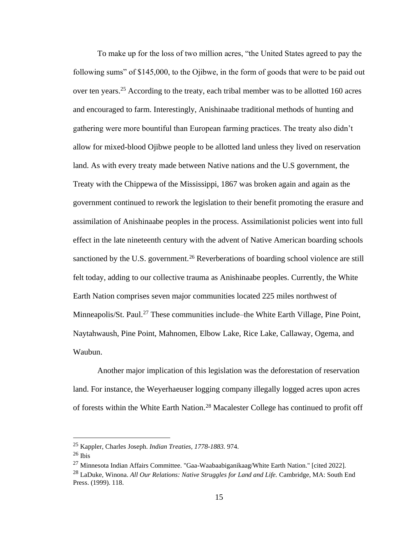To make up for the loss of two million acres, "the United States agreed to pay the following sums" of \$145,000, to the Ojibwe, in the form of goods that were to be paid out over ten years.<sup>25</sup> According to the treaty, each tribal member was to be allotted 160 acres and encouraged to farm. Interestingly, Anishinaabe traditional methods of hunting and gathering were more bountiful than European farming practices. The treaty also didn't allow for mixed-blood Ojibwe people to be allotted land unless they lived on reservation land. As with every treaty made between Native nations and the U.S government, the Treaty with the Chippewa of the Mississippi, 1867 was broken again and again as the government continued to rework the legislation to their benefit promoting the erasure and assimilation of Anishinaabe peoples in the process. Assimilationist policies went into full effect in the late nineteenth century with the advent of Native American boarding schools sanctioned by the U.S. government.<sup>26</sup> Reverberations of boarding school violence are still felt today, adding to our collective trauma as Anishinaabe peoples. Currently, the White Earth Nation comprises seven major communities located 225 miles northwest of Minneapolis/St. Paul.<sup>27</sup> These communities include–the White Earth Village, Pine Point, Naytahwaush, Pine Point, Mahnomen, Elbow Lake, Rice Lake, Callaway, Ogema, and Waubun.

Another major implication of this legislation was the deforestation of reservation land. For instance, the Weyerhaeuser logging company illegally logged acres upon acres of forests within the White Earth Nation.<sup>28</sup> Macalester College has continued to profit off

<sup>25</sup> Kappler, Charles Joseph. *Indian Treaties, 1778-1883.* 974.

 $^{26}$  Ibis

<sup>27</sup> Minnesota Indian Affairs Committee. "Gaa-Waabaabiganikaag/White Earth Nation." [cited 2022].

<sup>28</sup> LaDuke, Winona. *All Our Relations: Native Struggles for Land and Life.* Cambridge, MA: South End Press. (1999). 118.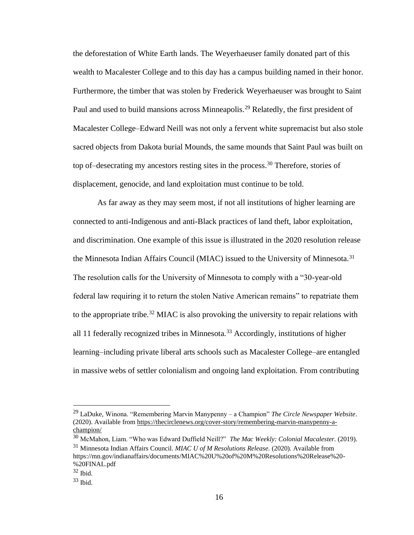the deforestation of White Earth lands. The Weyerhaeuser family donated part of this wealth to Macalester College and to this day has a campus building named in their honor. Furthermore, the timber that was stolen by Frederick Weyerhaeuser was brought to Saint Paul and used to build mansions across Minneapolis.<sup>29</sup> Relatedly, the first president of Macalester College–Edward Neill was not only a fervent white supremacist but also stole sacred objects from Dakota burial Mounds, the same mounds that Saint Paul was built on top of–desecrating my ancestors resting sites in the process.<sup>30</sup> Therefore, stories of displacement, genocide, and land exploitation must continue to be told.

As far away as they may seem most, if not all institutions of higher learning are connected to anti-Indigenous and anti-Black practices of land theft, labor exploitation, and discrimination. One example of this issue is illustrated in the 2020 resolution release the Minnesota Indian Affairs Council (MIAC) issued to the University of Minnesota.<sup>31</sup> The resolution calls for the University of Minnesota to comply with a "30-year-old federal law requiring it to return the stolen Native American remains" to repatriate them to the appropriate tribe.<sup>32</sup> MIAC is also provoking the university to repair relations with all 11 federally recognized tribes in Minnesota.<sup>33</sup> Accordingly, institutions of higher learning–including private liberal arts schools such as Macalester College–are entangled in massive webs of settler colonialism and ongoing land exploitation. From contributing

<sup>29</sup> LaDuke, Winona. "Remembering Marvin Manypenny – a Champion" *The Circle Newspaper Website*. (2020). Available from https://thecirclenews.org/cover-story/remembering-marvin-manypenny-achampion/

<sup>30</sup> McMahon, Liam. "Who was Edward Duffield Neill?" *The Mac Weekly: Colonial Macalester.* (2019). <sup>31</sup> Minnesota Indian Affairs Council. *MIAC U of M Resolutions Release.* (2020). Available from https://mn.gov/indianaffairs/documents/MIAC%20U%20of%20M%20Resolutions%20Release%20- %20FINAL.pdf

<sup>32</sup> Ibid.

 $33$  Ibid.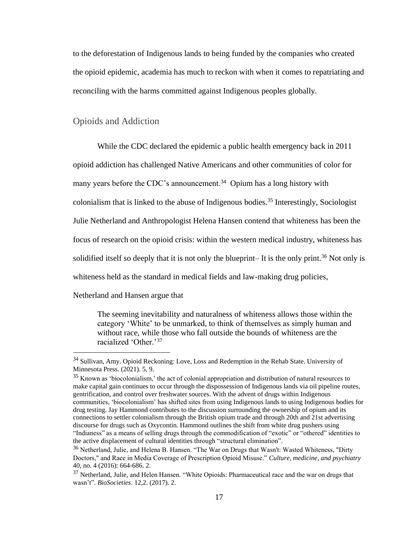to the deforestation of Indigenous lands to being funded by the companies who created the opioid epidemic, academia has much to reckon with when it comes to repatriating and reconciling with the harms committed against Indigenous peoples globally.

### <span id="page-17-0"></span>Opioids and Addiction

While the CDC declared the epidemic a public health emergency back in 2011 opioid addiction has challenged Native Americans and other communities of color for many years before the CDC's announcement.<sup>34</sup> Opium has a long history with colonialism that is linked to the abuse of Indigenous bodies.<sup>35</sup> Interestingly, Sociologist Julie Netherland and Anthropologist Helena Hansen contend that whiteness has been the focus of research on the opioid crisis: within the western medical industry, whiteness has solidified itself so deeply that it is not only the blueprint– It is the only print.<sup>36</sup> Not only is whiteness held as the standard in medical fields and law-making drug policies,

Netherland and Hansen argue that

The seeming inevitability and naturalness of whiteness allows those within the category 'White' to be unmarked, to think of themselves as simply human and without race, while those who fall outside the bounds of whiteness are the racialized 'Other.'<sup>37</sup>

<sup>&</sup>lt;sup>34</sup> Sullivan, Amy. Opioid Reckoning: Love, Loss and Redemption in the Rehab State. University of Minnesota Press. (2021). 5, 9.

 $35$  Known as 'biocolonialism,' the act of colonial appropriation and distribution of natural resources to make capital gain continues to occur through the dispossession of Indigenous lands via oil pipeline routes, gentrification, and control over freshwater sources. With the advent of drugs within Indigenous communities, 'biocolonialism' has shifted sites from using Indigenous lands to using Indigenous bodies for drug testing. Jay Hammond contributes to the discussion surrounding the ownership of opium and its connections to settler colonialism through the British opium trade and through 20th and 21st advertising discourse for drugs such as Oxycontin. Hammond outlines the shift from white drug pushers using "Indianess" as a means of selling drugs through the commodification of "exotic" or "othered" identities to the active displacement of cultural identities through "structural elimination".

<sup>36</sup> Netherland, Julie, and Helena B. Hansen. "The War on Drugs that Wasn't: Wasted Whiteness, "Dirty Doctors," and Race in Media Coverage of Prescription Opioid Misuse." *Culture, medicine, and psychiatry* 40, no. 4 (2016): 664-686. 2.

 $37$  Netherland, Julie, and Helen Hansen. "White Opioids: Pharmaceutical race and the war on drugs that wasn't". *BioSocieties*. 12,2. (2017). 2.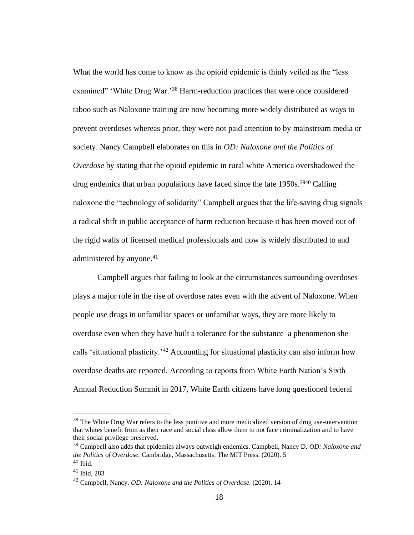What the world has come to know as the opioid epidemic is thinly veiled as the "less examined" 'White Drug War.'<sup>38</sup> Harm-reduction practices that were once considered taboo such as Naloxone training are now becoming more widely distributed as ways to prevent overdoses whereas prior, they were not paid attention to by mainstream media or society. Nancy Campbell elaborates on this in *OD: Naloxone and the Politics of Overdose* by stating that the opioid epidemic in rural white America overshadowed the drug endemics that urban populations have faced since the late 1950s.<sup>3940</sup> Calling naloxone the "technology of solidarity" Campbell argues that the life-saving drug signals a radical shift in public acceptance of harm reduction because it has been moved out of the rigid walls of licensed medical professionals and now is widely distributed to and administered by anyone.<sup>41</sup>

Campbell argues that failing to look at the circumstances surrounding overdoses plays a major role in the rise of overdose rates even with the advent of Naloxone. When people use drugs in unfamiliar spaces or unfamiliar ways, they are more likely to overdose even when they have built a tolerance for the substance–a phenomenon she calls 'situational plasticity.'<sup>42</sup> Accounting for situational plasticity can also inform how overdose deaths are reported. According to reports from White Earth Nation's Sixth Annual Reduction Summit in 2017, White Earth citizens have long questioned federal

 $38$  The White Drug War refers to the less punitive and more medicalized version of drug use-intervention that whites benefit from as their race and social class allow them to not face criminalization and to have their social privilege preserved.

<sup>39</sup> Campbell also adds that epidemics always outweigh endemics. Campbell, Nancy D. *OD: Naloxone and the Politics of Overdose.* Cambridge, Massachusetts: The MIT Press. (2020). 5  $40$  Ibid.

<sup>41</sup> Ibid, 283

<sup>42</sup> Campbell, Nancy. *OD: Naloxone and the Politics of Overdose.* (2020). 14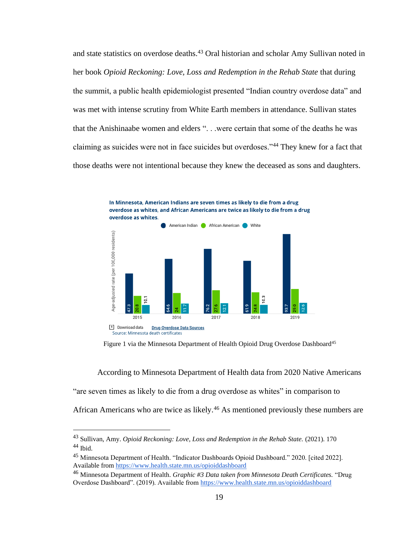and state statistics on overdose deaths.<sup>43</sup> Oral historian and scholar Amy Sullivan noted in her book *Opioid Reckoning: Love, Loss and Redemption in the Rehab State* that during the summit, a public health epidemiologist presented "Indian country overdose data" and was met with intense scrutiny from White Earth members in attendance. Sullivan states that the Anishinaabe women and elders ". . .were certain that some of the deaths he was claiming as suicides were not in face suicides but overdoses."<sup>44</sup> They knew for a fact that those deaths were not intentional because they knew the deceased as sons and daughters.



Figure 1 via the Minnesota Department of Health Opioid Drug Overdose Dashboard<sup>45</sup>

According to Minnesota Department of Health data from 2020 Native Americans "are seven times as likely to die from a drug overdose as whites" in comparison to African Americans who are twice as likely.<sup>46</sup> As mentioned previously these numbers are

<sup>&</sup>lt;sup>43</sup> Sullivan, Amy. *Opioid Reckoning: Love, Loss and Redemption in the Rehab State.* (2021). 170  $44$  Ibid.

<sup>45</sup> Minnesota Department of Health. "Indicator Dashboards Opioid Dashboard." 2020. [cited 2022]. Available from<https://www.health.state.mn.us/opioiddashboard>

<sup>46</sup> Minnesota Department of Health. *Graphic #3 Data taken from Minnesota Death Certificates.* "Drug Overdose Dashboard". (2019). Available from<https://www.health.state.mn.us/opioiddashboard>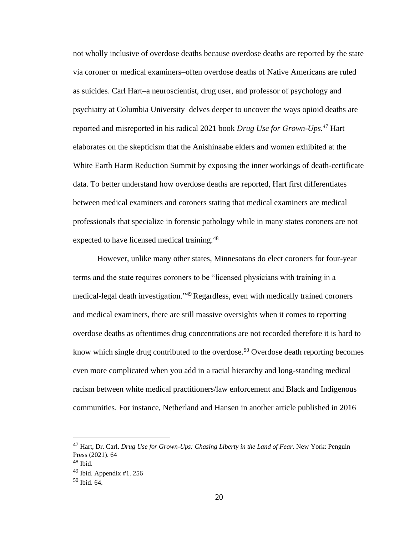not wholly inclusive of overdose deaths because overdose deaths are reported by the state via coroner or medical examiners–often overdose deaths of Native Americans are ruled as suicides. Carl Hart–a neuroscientist, drug user, and professor of psychology and psychiatry at Columbia University–delves deeper to uncover the ways opioid deaths are reported and misreported in his radical 2021 book *Drug Use for Grown-Ups.<sup>47</sup>* Hart elaborates on the skepticism that the Anishinaabe elders and women exhibited at the White Earth Harm Reduction Summit by exposing the inner workings of death-certificate data. To better understand how overdose deaths are reported, Hart first differentiates between medical examiners and coroners stating that medical examiners are medical professionals that specialize in forensic pathology while in many states coroners are not expected to have licensed medical training.<sup>48</sup>

However, unlike many other states, Minnesotans do elect coroners for four-year terms and the state requires coroners to be "licensed physicians with training in a medical-legal death investigation."<sup>49</sup> Regardless, even with medically trained coroners and medical examiners, there are still massive oversights when it comes to reporting overdose deaths as oftentimes drug concentrations are not recorded therefore it is hard to know which single drug contributed to the overdose.<sup>50</sup> Overdose death reporting becomes even more complicated when you add in a racial hierarchy and long-standing medical racism between white medical practitioners/law enforcement and Black and Indigenous communities. For instance, Netherland and Hansen in another article published in 2016

<sup>47</sup> Hart, Dr. Carl. *Drug Use for Grown-Ups: Chasing Liberty in the Land of Fear.* New York: Penguin Press (2021). 64

 $48$  Ibid.

 $49$  Ibid. Appendix #1. 256

<sup>50</sup> Ibid. 64.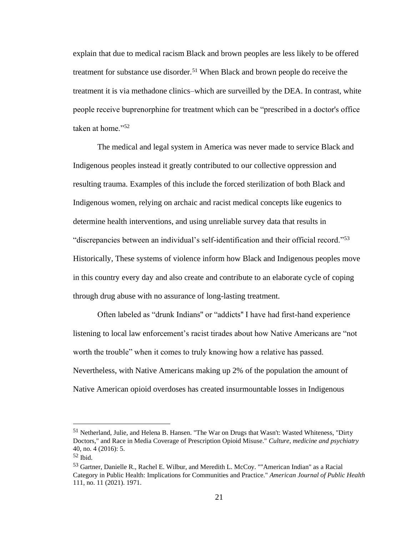explain that due to medical racism Black and brown peoples are less likely to be offered treatment for substance use disorder.<sup>51</sup> When Black and brown people do receive the treatment it is via methadone clinics–which are surveilled by the DEA. In contrast, white people receive buprenorphine for treatment which can be "prescribed in a doctor's office taken at home."<sup>52</sup>

The medical and legal system in America was never made to service Black and Indigenous peoples instead it greatly contributed to our collective oppression and resulting trauma. Examples of this include the forced sterilization of both Black and Indigenous women, relying on archaic and racist medical concepts like eugenics to determine health interventions, and using unreliable survey data that results in "discrepancies between an individual's self-identification and their official record."<sup>53</sup> Historically, These systems of violence inform how Black and Indigenous peoples move in this country every day and also create and contribute to an elaborate cycle of coping through drug abuse with no assurance of long-lasting treatment.

Often labeled as "drunk Indians'' or "addicts'' I have had first-hand experience listening to local law enforcement's racist tirades about how Native Americans are "not worth the trouble" when it comes to truly knowing how a relative has passed. Nevertheless, with Native Americans making up 2% of the population the amount of Native American opioid overdoses has created insurmountable losses in Indigenous

<sup>51</sup> Netherland, Julie, and Helena B. Hansen. "The War on Drugs that Wasn't: Wasted Whiteness, "Dirty Doctors," and Race in Media Coverage of Prescription Opioid Misuse." *Culture, medicine and psychiatry*  40, no. 4 (2016): 5.

 $52$  Ibid.

<sup>&</sup>lt;sup>53</sup> Gartner, Danielle R., Rachel E. Wilbur, and Meredith L. McCoy. ""American Indian" as a Racial Category in Public Health: Implications for Communities and Practice." *American Journal of Public Health*  111, no. 11 (2021). 1971.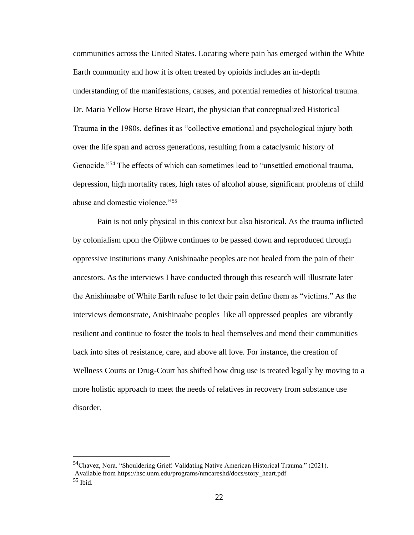communities across the United States. Locating where pain has emerged within the White Earth community and how it is often treated by opioids includes an in-depth understanding of the manifestations, causes, and potential remedies of historical trauma. Dr. Maria Yellow Horse Brave Heart, the physician that conceptualized Historical Trauma in the 1980s, defines it as "collective emotional and psychological injury both over the life span and across generations, resulting from a cataclysmic history of Genocide."<sup>54</sup> The effects of which can sometimes lead to "unsettled emotional trauma, depression, high mortality rates, high rates of alcohol abuse, significant problems of child abuse and domestic violence."<sup>55</sup>

Pain is not only physical in this context but also historical. As the trauma inflicted by colonialism upon the Ojibwe continues to be passed down and reproduced through oppressive institutions many Anishinaabe peoples are not healed from the pain of their ancestors. As the interviews I have conducted through this research will illustrate later– the Anishinaabe of White Earth refuse to let their pain define them as "victims." As the interviews demonstrate, Anishinaabe peoples–like all oppressed peoples–are vibrantly resilient and continue to foster the tools to heal themselves and mend their communities back into sites of resistance, care, and above all love. For instance, the creation of Wellness Courts or Drug-Court has shifted how drug use is treated legally by moving to a more holistic approach to meet the needs of relatives in recovery from substance use disorder.

<sup>&</sup>lt;sup>54</sup>Chavez, Nora. "Shouldering Grief: Validating Native American Historical Trauma." (2021). Available from https://hsc.unm.edu/programs/nmcareshd/docs/story\_heart.pdf  $55$  Ibid.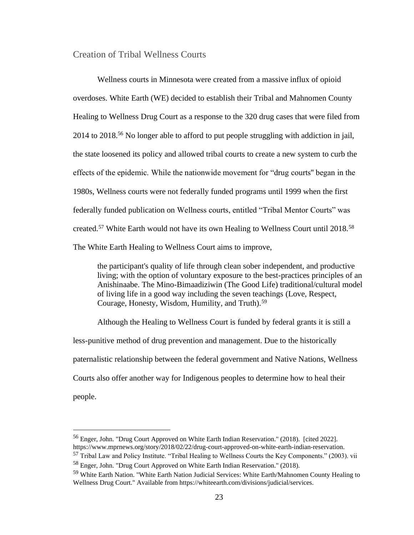#### <span id="page-23-0"></span>Creation of Tribal Wellness Courts

Wellness courts in Minnesota were created from a massive influx of opioid overdoses. White Earth (WE) decided to establish their Tribal and Mahnomen County Healing to Wellness Drug Court as a response to the 320 drug cases that were filed from 2014 to 2018.<sup>56</sup> No longer able to afford to put people struggling with addiction in jail, the state loosened its policy and allowed tribal courts to create a new system to curb the effects of the epidemic. While the nationwide movement for "drug courts'' began in the 1980s, Wellness courts were not federally funded programs until 1999 when the first federally funded publication on Wellness courts, entitled "Tribal Mentor Courts" was created.<sup>57</sup> White Earth would not have its own Healing to Wellness Court until 2018.<sup>58</sup> The White Earth Healing to Wellness Court aims to improve,

the participant's quality of life through clean sober independent, and productive living; with the option of voluntary exposure to the best-practices principles of an Anishinaabe. The Mino-Bimaadiziwin (The Good Life) traditional/cultural model of living life in a good way including the seven teachings (Love, Respect, Courage, Honesty, Wisdom, Humility, and Truth).<sup>59</sup>

Although the Healing to Wellness Court is funded by federal grants it is still a less-punitive method of drug prevention and management. Due to the historically paternalistic relationship between the federal government and Native Nations, Wellness Courts also offer another way for Indigenous peoples to determine how to heal their people.

<sup>56</sup> Enger, John. "Drug Court Approved on White Earth Indian Reservation." (2018). [cited 2022]. https://www.mprnews.org/story/2018/02/22/drug-court-approved-on-white-earth-indian-reservation.

<sup>&</sup>lt;sup>57</sup> Tribal Law and Policy Institute. "Tribal Healing to Wellness Courts the Key Components." (2003). vii <sup>58</sup> Enger, John. "Drug Court Approved on White Earth Indian Reservation." (2018).

<sup>&</sup>lt;sup>59</sup> White Earth Nation. "White Earth Nation Judicial Services: White Earth/Mahnomen County Healing to Wellness Drug Court." Available from https://whiteearth.com/divisions/judicial/services.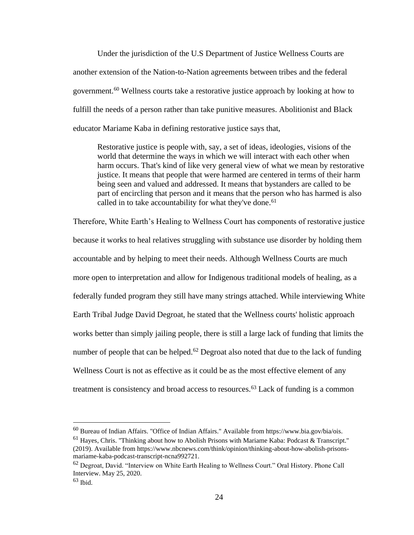Under the jurisdiction of the U.S Department of Justice Wellness Courts are another extension of the Nation-to-Nation agreements between tribes and the federal government.<sup>60</sup> Wellness courts take a restorative justice approach by looking at how to fulfill the needs of a person rather than take punitive measures. Abolitionist and Black educator Mariame Kaba in defining restorative justice says that,

Restorative justice is people with, say, a set of ideas, ideologies, visions of the world that determine the ways in which we will interact with each other when harm occurs. That's kind of like very general view of what we mean by restorative justice. It means that people that were harmed are centered in terms of their harm being seen and valued and addressed. It means that bystanders are called to be part of encircling that person and it means that the person who has harmed is also called in to take accountability for what they've done.<sup>61</sup>

Therefore, White Earth's Healing to Wellness Court has components of restorative justice because it works to heal relatives struggling with substance use disorder by holding them accountable and by helping to meet their needs. Although Wellness Courts are much more open to interpretation and allow for Indigenous traditional models of healing, as a federally funded program they still have many strings attached. While interviewing White Earth Tribal Judge David Degroat, he stated that the Wellness courts' holistic approach works better than simply jailing people, there is still a large lack of funding that limits the number of people that can be helped.<sup>62</sup> Degroat also noted that due to the lack of funding Wellness Court is not as effective as it could be as the most effective element of any treatment is consistency and broad access to resources.<sup>63</sup> Lack of funding is a common

<sup>60</sup> Bureau of Indian Affairs. "Office of Indian Affairs." Available from https://www.bia.gov/bia/ois.

 $61$  Hayes, Chris. "Thinking about how to Abolish Prisons with Mariame Kaba: Podcast & Transcript." (2019). Available from https://www.nbcnews.com/think/opinion/thinking-about-how-abolish-prisonsmariame-kaba-podcast-transcript-ncna992721.

<sup>62</sup> Degroat, David. "Interview on White Earth Healing to Wellness Court." Oral History. Phone Call Interview. May 25, 2020.

 $63$  Ibid.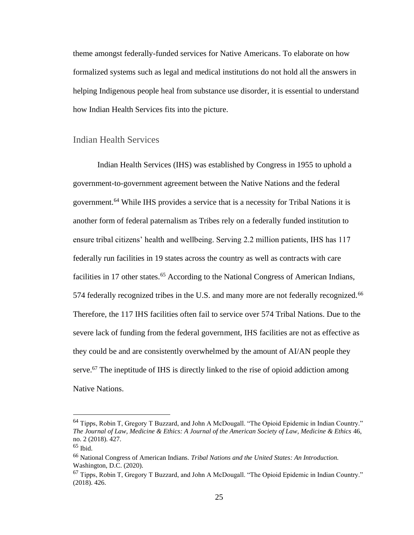theme amongst federally-funded services for Native Americans. To elaborate on how formalized systems such as legal and medical institutions do not hold all the answers in helping Indigenous people heal from substance use disorder, it is essential to understand how Indian Health Services fits into the picture.

### <span id="page-25-0"></span>Indian Health Services

Indian Health Services (IHS) was established by Congress in 1955 to uphold a government-to-government agreement between the Native Nations and the federal government.<sup>64</sup> While IHS provides a service that is a necessity for Tribal Nations it is another form of federal paternalism as Tribes rely on a federally funded institution to ensure tribal citizens' health and wellbeing. Serving 2.2 million patients, IHS has 117 federally run facilities in 19 states across the country as well as contracts with care facilities in 17 other states.<sup>65</sup> According to the National Congress of American Indians, 574 federally recognized tribes in the U.S. and many more are not federally recognized.<sup>66</sup> Therefore, the 117 IHS facilities often fail to service over 574 Tribal Nations. Due to the severe lack of funding from the federal government, IHS facilities are not as effective as they could be and are consistently overwhelmed by the amount of AI/AN people they serve.<sup>67</sup> The ineptitude of IHS is directly linked to the rise of opioid addiction among Native Nations.

 $64$  Tipps, Robin T, Gregory T Buzzard, and John A McDougall. "The Opioid Epidemic in Indian Country." *The Journal of Law, Medicine & Ethics: A Journal of the American Society of Law, Medicine & Ethics* 46, no. 2 (2018). 427.

 $65$  Ibid.

<sup>66</sup> National Congress of American Indians. *Tribal Nations and the United States: An Introduction.* Washington, D.C. (2020).

<sup>67</sup> Tipps, Robin T, Gregory T Buzzard, and John A McDougall. "The Opioid Epidemic in Indian Country." (2018). 426.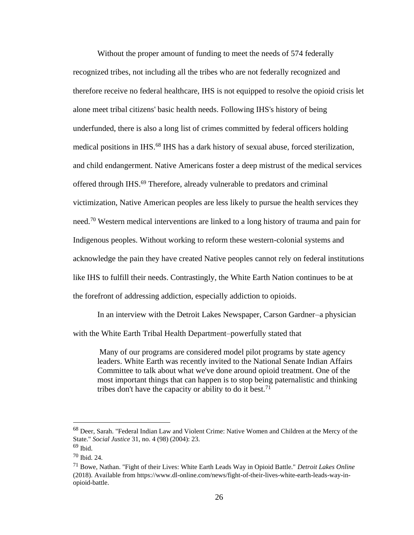Without the proper amount of funding to meet the needs of 574 federally recognized tribes, not including all the tribes who are not federally recognized and therefore receive no federal healthcare, IHS is not equipped to resolve the opioid crisis let alone meet tribal citizens' basic health needs. Following IHS's history of being underfunded, there is also a long list of crimes committed by federal officers holding medical positions in IHS.<sup>68</sup> IHS has a dark history of sexual abuse, forced sterilization, and child endangerment. Native Americans foster a deep mistrust of the medical services offered through IHS.<sup>69</sup> Therefore, already vulnerable to predators and criminal victimization, Native American peoples are less likely to pursue the health services they need.<sup>70</sup> Western medical interventions are linked to a long history of trauma and pain for Indigenous peoples. Without working to reform these western-colonial systems and acknowledge the pain they have created Native peoples cannot rely on federal institutions like IHS to fulfill their needs. Contrastingly, the White Earth Nation continues to be at the forefront of addressing addiction, especially addiction to opioids.

In an interview with the Detroit Lakes Newspaper, Carson Gardner–a physician with the White Earth Tribal Health Department–powerfully stated that

Many of our programs are considered model pilot programs by state agency leaders. White Earth was recently invited to the National Senate Indian Affairs Committee to talk about what we've done around opioid treatment. One of the most important things that can happen is to stop being paternalistic and thinking tribes don't have the capacity or ability to do it best.<sup>71</sup>

<sup>68</sup> Deer, Sarah. "Federal Indian Law and Violent Crime: Native Women and Children at the Mercy of the State." *Social Justice* 31, no. 4 (98) (2004): 23.

 $69$  Ibid.

<sup>70</sup> Ibid. 24.

<sup>71</sup> Bowe, Nathan. "Fight of their Lives: White Earth Leads Way in Opioid Battle." *Detroit Lakes Online*  (2018). Available from https://www.dl-online.com/news/fight-of-their-lives-white-earth-leads-way-inopioid-battle.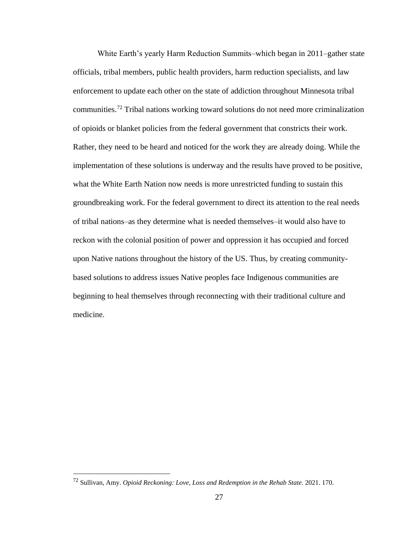White Earth's yearly Harm Reduction Summits–which began in 2011–gather state officials, tribal members, public health providers, harm reduction specialists, and law enforcement to update each other on the state of addiction throughout Minnesota tribal communities.<sup>72</sup> Tribal nations working toward solutions do not need more criminalization of opioids or blanket policies from the federal government that constricts their work. Rather, they need to be heard and noticed for the work they are already doing. While the implementation of these solutions is underway and the results have proved to be positive, what the White Earth Nation now needs is more unrestricted funding to sustain this groundbreaking work. For the federal government to direct its attention to the real needs of tribal nations–as they determine what is needed themselves–it would also have to reckon with the colonial position of power and oppression it has occupied and forced upon Native nations throughout the history of the US. Thus, by creating communitybased solutions to address issues Native peoples face Indigenous communities are beginning to heal themselves through reconnecting with their traditional culture and medicine.

<sup>72</sup> Sullivan, Amy. *Opioid Reckoning: Love, Loss and Redemption in the Rehab State.* 2021. 170.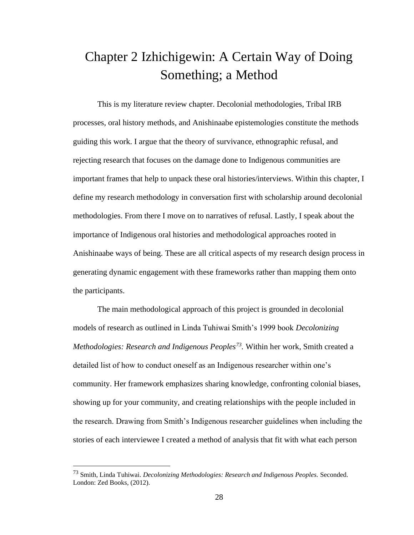## <span id="page-28-0"></span>Chapter 2 Izhichigewin: A Certain Way of Doing Something; a Method

This is my literature review chapter. Decolonial methodologies, Tribal IRB processes, oral history methods, and Anishinaabe epistemologies constitute the methods guiding this work. I argue that the theory of survivance, ethnographic refusal, and rejecting research that focuses on the damage done to Indigenous communities are important frames that help to unpack these oral histories/interviews. Within this chapter, I define my research methodology in conversation first with scholarship around decolonial methodologies. From there I move on to narratives of refusal. Lastly, I speak about the importance of Indigenous oral histories and methodological approaches rooted in Anishinaabe ways of being. These are all critical aspects of my research design process in generating dynamic engagement with these frameworks rather than mapping them onto the participants.

The main methodological approach of this project is grounded in decolonial models of research as outlined in Linda Tuhiwai Smith's 1999 book *Decolonizing Methodologies: Research and Indigenous Peoples<sup>73</sup> .* Within her work, Smith created a detailed list of how to conduct oneself as an Indigenous researcher within one's community. Her framework emphasizes sharing knowledge, confronting colonial biases, showing up for your community, and creating relationships with the people included in the research. Drawing from Smith's Indigenous researcher guidelines when including the stories of each interviewee I created a method of analysis that fit with what each person

<sup>73</sup> Smith, Linda Tuhiwai. *Decolonizing Methodologies: Research and Indigenous Peoples.* Seconded. London: Zed Books, (2012).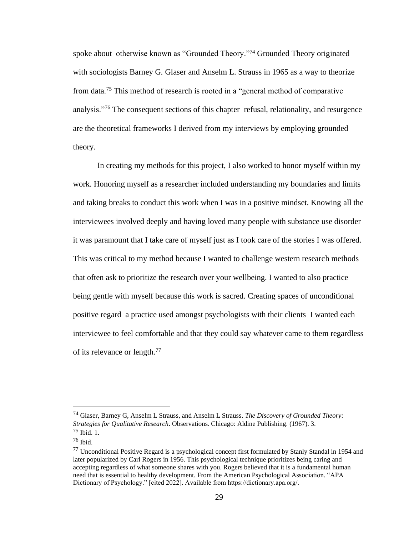spoke about–otherwise known as "Grounded Theory."<sup>74</sup> Grounded Theory originated with sociologists Barney G. Glaser and Anselm L. Strauss in 1965 as a way to theorize from data.<sup>75</sup> This method of research is rooted in a "general method of comparative analysis."<sup>76</sup> The consequent sections of this chapter–refusal, relationality, and resurgence are the theoretical frameworks I derived from my interviews by employing grounded theory.

In creating my methods for this project, I also worked to honor myself within my work. Honoring myself as a researcher included understanding my boundaries and limits and taking breaks to conduct this work when I was in a positive mindset. Knowing all the interviewees involved deeply and having loved many people with substance use disorder it was paramount that I take care of myself just as I took care of the stories I was offered. This was critical to my method because I wanted to challenge western research methods that often ask to prioritize the research over your wellbeing. I wanted to also practice being gentle with myself because this work is sacred. Creating spaces of unconditional positive regard–a practice used amongst psychologists with their clients–I wanted each interviewee to feel comfortable and that they could say whatever came to them regardless of its relevance or length.<sup>77</sup>

<sup>74</sup> Glaser, Barney G, Anselm L Strauss, and Anselm L Strauss. *The Discovery of Grounded Theory: Strategies for Qualitative Research*. Observations. Chicago: Aldine Publishing. (1967). 3. <sup>75</sup> Ibid. 1.

<sup>76</sup> Ibid.

<sup>77</sup> Unconditional Positive Regard is a psychological concept first formulated by Stanly Standal in 1954 and later popularized by Carl Rogers in 1956. This psychological technique prioritizes being caring and accepting regardless of what someone shares with you. Rogers believed that it is a fundamental human need that is essential to healthy development. From the American Psychological Association. "APA Dictionary of Psychology." [cited 2022]. Available from https://dictionary.apa.org/.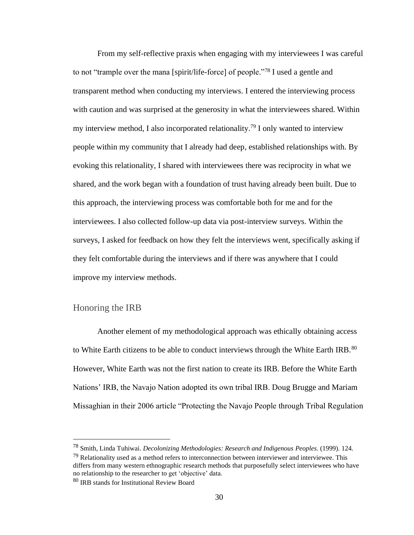From my self-reflective praxis when engaging with my interviewees I was careful to not "trample over the mana [spirit/life-force] of people."<sup>78</sup> I used a gentle and transparent method when conducting my interviews. I entered the interviewing process with caution and was surprised at the generosity in what the interviewees shared. Within my interview method, I also incorporated relationality.<sup>79</sup> I only wanted to interview people within my community that I already had deep, established relationships with. By evoking this relationality, I shared with interviewees there was reciprocity in what we shared, and the work began with a foundation of trust having already been built. Due to this approach, the interviewing process was comfortable both for me and for the interviewees. I also collected follow-up data via post-interview surveys. Within the surveys, I asked for feedback on how they felt the interviews went, specifically asking if they felt comfortable during the interviews and if there was anywhere that I could improve my interview methods.

### <span id="page-30-0"></span>Honoring the IRB

Another element of my methodological approach was ethically obtaining access to White Earth citizens to be able to conduct interviews through the White Earth IRB.<sup>80</sup> However, White Earth was not the first nation to create its IRB. Before the White Earth Nations' IRB, the Navajo Nation adopted its own tribal IRB. Doug Brugge and Mariam Missaghian in their 2006 article "Protecting the Navajo People through Tribal Regulation

<sup>78</sup> Smith, Linda Tuhiwai. *Decolonizing Methodologies: Research and Indigenous Peoples*. (1999). 124.

 $79$  Relationality used as a method refers to interconnection between interviewer and interviewee. This differs from many western ethnographic research methods that purposefully select interviewees who have no relationship to the researcher to get 'objective' data.

<sup>80</sup> IRB stands for Institutional Review Board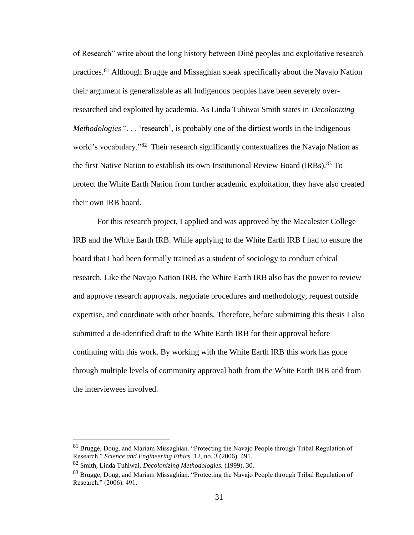of Research" write about the long history between Diné peoples and exploitative research practices.<sup>81</sup> Although Brugge and Missaghian speak specifically about the Navajo Nation their argument is generalizable as all Indigenous peoples have been severely overresearched and exploited by academia. As Linda Tuhiwai Smith states in *Decolonizing Methodologies* "... 'research', is probably one of the dirtiest words in the indigenous world's vocabulary."<sup>82</sup> Their research significantly contextualizes the Navajo Nation as the first Native Nation to establish its own Institutional Review Board (IRBs).<sup>83</sup> To protect the White Earth Nation from further academic exploitation, they have also created their own IRB board.

For this research project, I applied and was approved by the Macalester College IRB and the White Earth IRB. While applying to the White Earth IRB I had to ensure the board that I had been formally trained as a student of sociology to conduct ethical research. Like the Navajo Nation IRB, the White Earth IRB also has the power to review and approve research approvals, negotiate procedures and methodology, request outside expertise, and coordinate with other boards. Therefore, before submitting this thesis I also submitted a de-identified draft to the White Earth IRB for their approval before continuing with this work. By working with the White Earth IRB this work has gone through multiple levels of community approval both from the White Earth IRB and from the interviewees involved.

 $81$  Brugge, Doug, and Mariam Missaghian. "Protecting the Navajo People through Tribal Regulation of Research." *Science and Engineering Ethics.* 12, no. 3 (2006). 491.

<sup>82</sup> Smith, Linda Tuhiwai. *Decolonizing Methodologies.* (1999). 30.

<sup>83</sup> Brugge, Doug, and Mariam Missaghian. "Protecting the Navajo People through Tribal Regulation of Research." (2006). 491.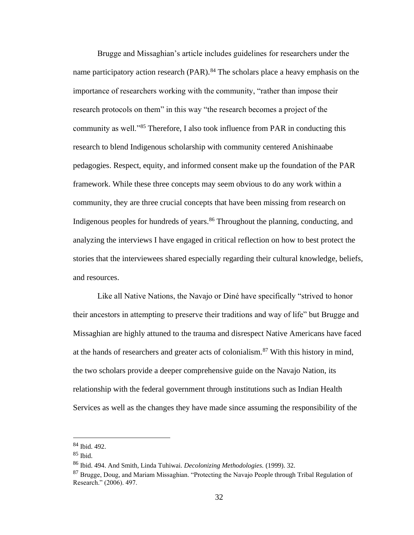Brugge and Missaghian's article includes guidelines for researchers under the name participatory action research (PAR).<sup>84</sup> The scholars place a heavy emphasis on the importance of researchers working with the community, "rather than impose their research protocols on them" in this way "the research becomes a project of the community as well."<sup>85</sup> Therefore, I also took influence from PAR in conducting this research to blend Indigenous scholarship with community centered Anishinaabe pedagogies. Respect, equity, and informed consent make up the foundation of the PAR framework. While these three concepts may seem obvious to do any work within a community, they are three crucial concepts that have been missing from research on Indigenous peoples for hundreds of years.<sup>86</sup> Throughout the planning, conducting, and analyzing the interviews I have engaged in critical reflection on how to best protect the stories that the interviewees shared especially regarding their cultural knowledge, beliefs, and resources.

Like all Native Nations, the Navajo or Diné have specifically "strived to honor their ancestors in attempting to preserve their traditions and way of life" but Brugge and Missaghian are highly attuned to the trauma and disrespect Native Americans have faced at the hands of researchers and greater acts of colonialism.<sup>87</sup> With this history in mind, the two scholars provide a deeper comprehensive guide on the Navajo Nation, its relationship with the federal government through institutions such as Indian Health Services as well as the changes they have made since assuming the responsibility of the

<sup>84</sup> Ibid. 492.

 $85$  Ibid.

<sup>86</sup> Ibid. 494. And Smith, Linda Tuhiwai. *Decolonizing Methodologies.* (1999). 32.

<sup>&</sup>lt;sup>87</sup> Brugge, Doug, and Mariam Missaghian. "Protecting the Navajo People through Tribal Regulation of Research." (2006). 497.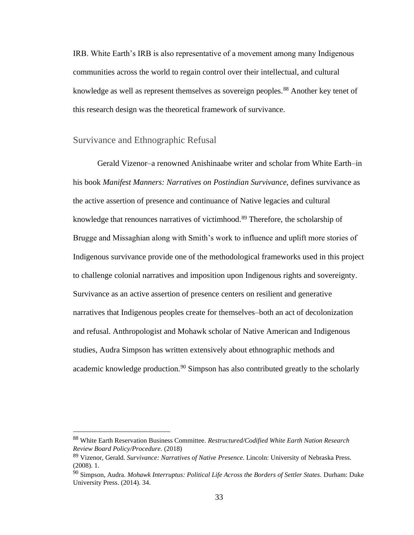IRB. White Earth's IRB is also representative of a movement among many Indigenous communities across the world to regain control over their intellectual, and cultural knowledge as well as represent themselves as sovereign peoples.<sup>88</sup> Another key tenet of this research design was the theoretical framework of survivance.

### <span id="page-33-0"></span>Survivance and Ethnographic Refusal

Gerald Vizenor–a renowned Anishinaabe writer and scholar from White Earth–in his book *Manifest Manners: Narratives on Postindian Survivance,* defines survivance as the active assertion of presence and continuance of Native legacies and cultural knowledge that renounces narratives of victimhood.<sup>89</sup> Therefore, the scholarship of Brugge and Missaghian along with Smith's work to influence and uplift more stories of Indigenous survivance provide one of the methodological frameworks used in this project to challenge colonial narratives and imposition upon Indigenous rights and sovereignty. Survivance as an active assertion of presence centers on resilient and generative narratives that Indigenous peoples create for themselves–both an act of decolonization and refusal. Anthropologist and Mohawk scholar of Native American and Indigenous studies, Audra Simpson has written extensively about ethnographic methods and academic knowledge production.<sup>90</sup> Simpson has also contributed greatly to the scholarly

<sup>88</sup> White Earth Reservation Business Committee. *Restructured/Codified White Earth Nation Research Review Board Policy/Procedure.* (2018)

<sup>89</sup> Vizenor, Gerald. *Survivance: Narratives of Native Presence.* Lincoln: University of Nebraska Press. (2008). 1.

<sup>90</sup> Simpson, Audra. *Mohawk Interruptus: Political Life Across the Borders of Settler States.* Durham: Duke University Press. (2014). 34.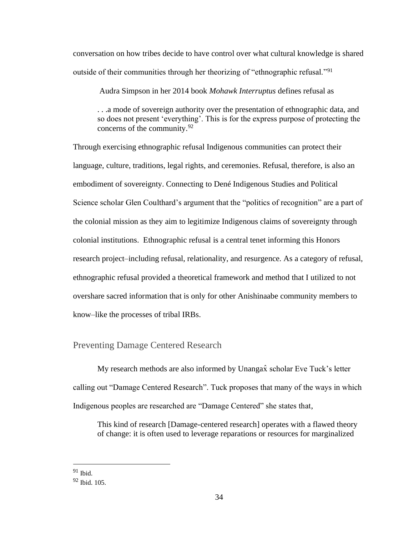conversation on how tribes decide to have control over what cultural knowledge is shared outside of their communities through her theorizing of "ethnographic refusal."<sup>91</sup>

Audra Simpson in her 2014 book *Mohawk Interruptus* defines refusal as

. . .a mode of sovereign authority over the presentation of ethnographic data, and so does not present 'everything'. This is for the express purpose of protecting the concerns of the community.<sup>92</sup>

Through exercising ethnographic refusal Indigenous communities can protect their language, culture, traditions, legal rights, and ceremonies. Refusal, therefore, is also an embodiment of sovereignty. Connecting to Dené Indigenous Studies and Political Science scholar Glen Coulthard's argument that the "politics of recognition" are a part of the colonial mission as they aim to legitimize Indigenous claims of sovereignty through colonial institutions. Ethnographic refusal is a central tenet informing this Honors research project–including refusal, relationality, and resurgence. As a category of refusal, ethnographic refusal provided a theoretical framework and method that I utilized to not overshare sacred information that is only for other Anishinaabe community members to know–like the processes of tribal IRBs.

### <span id="page-34-0"></span>Preventing Damage Centered Research

My research methods are also informed by Unangax $\hat{x}$  scholar Eve Tuck's letter calling out "Damage Centered Research". Tuck proposes that many of the ways in which Indigenous peoples are researched are "Damage Centered" she states that,

This kind of research [Damage-centered research] operates with a flawed theory of change: it is often used to leverage reparations or resources for marginalized

 $91$  Ibid.

<sup>92</sup> Ibid. 105.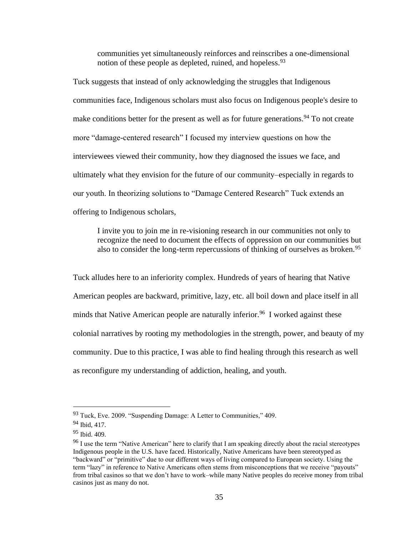communities yet simultaneously reinforces and reinscribes a one-dimensional notion of these people as depleted, ruined, and hopeless.<sup>93</sup>

Tuck suggests that instead of only acknowledging the struggles that Indigenous communities face, Indigenous scholars must also focus on Indigenous people's desire to make conditions better for the present as well as for future generations.<sup>94</sup> To not create more "damage-centered research" I focused my interview questions on how the interviewees viewed their community, how they diagnosed the issues we face, and ultimately what they envision for the future of our community–especially in regards to our youth. In theorizing solutions to "Damage Centered Research" Tuck extends an offering to Indigenous scholars,

I invite you to join me in re-visioning research in our communities not only to recognize the need to document the effects of oppression on our communities but also to consider the long-term repercussions of thinking of ourselves as broken.<sup>95</sup>

Tuck alludes here to an inferiority complex. Hundreds of years of hearing that Native American peoples are backward, primitive, lazy, etc. all boil down and place itself in all minds that Native American people are naturally inferior.<sup>96</sup> I worked against these colonial narratives by rooting my methodologies in the strength, power, and beauty of my community. Due to this practice, I was able to find healing through this research as well as reconfigure my understanding of addiction, healing, and youth.

<sup>93</sup> Tuck, Eve. 2009. "Suspending Damage: A Letter to Communities," 409.

<sup>94</sup> Ibid, 417.

<sup>95</sup> Ibid. 409.

<sup>&</sup>lt;sup>96</sup> I use the term "Native American" here to clarify that I am speaking directly about the racial stereotypes Indigenous people in the U.S. have faced. Historically, Native Americans have been stereotyped as "backward" or "primitive" due to our different ways of living compared to European society. Using the term "lazy" in reference to Native Americans often stems from misconceptions that we receive "payouts" from tribal casinos so that we don't have to work–while many Native peoples do receive money from tribal casinos just as many do not.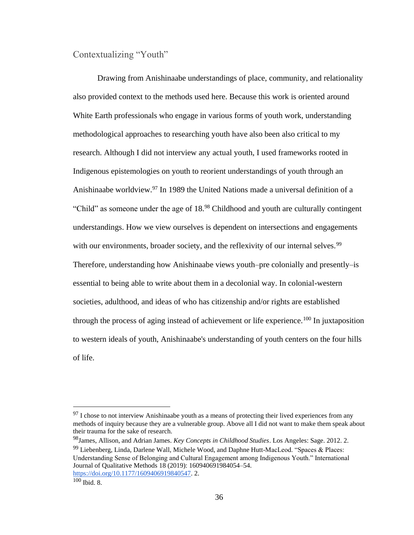## Contextualizing "Youth"

Drawing from Anishinaabe understandings of place, community, and relationality also provided context to the methods used here. Because this work is oriented around White Earth professionals who engage in various forms of youth work, understanding methodological approaches to researching youth have also been also critical to my research. Although I did not interview any actual youth, I used frameworks rooted in Indigenous epistemologies on youth to reorient understandings of youth through an Anishinaabe worldview.<sup>97</sup> In 1989 the United Nations made a universal definition of a "Child" as someone under the age of 18.<sup>98</sup> Childhood and youth are culturally contingent understandings. How we view ourselves is dependent on intersections and engagements with our environments, broader society, and the reflexivity of our internal selves.<sup>99</sup> Therefore, understanding how Anishinaabe views youth–pre colonially and presently–is essential to being able to write about them in a decolonial way. In colonial-western societies, adulthood, and ideas of who has citizenship and/or rights are established through the process of aging instead of achievement or life experience.<sup>100</sup> In juxtaposition to western ideals of youth, Anishinaabe's understanding of youth centers on the four hills of life.

<sup>99</sup> Liebenberg, Linda, Darlene Wall, Michele Wood, and Daphne Hutt-MacLeod. "Spaces & Places: Understanding Sense of Belonging and Cultural Engagement among Indigenous Youth." International Journal of Qualitative Methods 18 (2019): 160940691984054–54. [https://doi.org/10.1177/1609406919840547.](https://doi.org/10.1177/1609406919840547) 2.

 $97$  I chose to not interview Anishinaabe youth as a means of protecting their lived experiences from any methods of inquiry because they are a vulnerable group. Above all I did not want to make them speak about their trauma for the sake of research.

<sup>98</sup>James, Allison, and Adrian James. *Key Concepts in Childhood Studies*. Los Angeles: Sage. 2012. 2.

<sup>100</sup> Ibid. 8.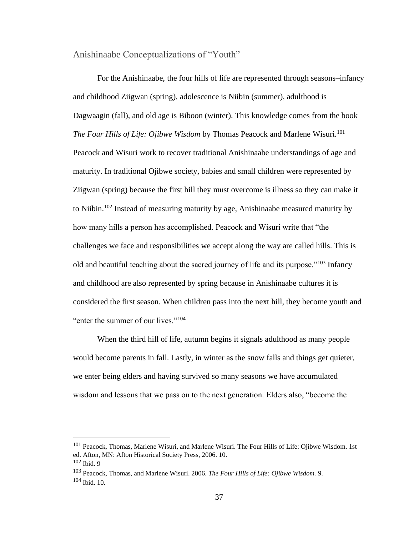Anishinaabe Conceptualizations of "Youth"

For the Anishinaabe, the four hills of life are represented through seasons–infancy and childhood Ziigwan (spring), adolescence is Niibin (summer), adulthood is Dagwaagin (fall), and old age is Biboon (winter). This knowledge comes from the book *The Four Hills of Life: Ojibwe Wisdom by Thomas Peacock and Marlene Wisuri.*<sup>101</sup> Peacock and Wisuri work to recover traditional Anishinaabe understandings of age and maturity. In traditional Ojibwe society, babies and small children were represented by Ziigwan (spring) because the first hill they must overcome is illness so they can make it to Niibin.<sup>102</sup> Instead of measuring maturity by age, Anishinaabe measured maturity by how many hills a person has accomplished. Peacock and Wisuri write that "the challenges we face and responsibilities we accept along the way are called hills. This is old and beautiful teaching about the sacred journey of life and its purpose."<sup>103</sup> Infancy and childhood are also represented by spring because in Anishinaabe cultures it is considered the first season. When children pass into the next hill, they become youth and "enter the summer of our lives."<sup>104</sup>

When the third hill of life, autumn begins it signals adulthood as many people would become parents in fall. Lastly, in winter as the snow falls and things get quieter, we enter being elders and having survived so many seasons we have accumulated wisdom and lessons that we pass on to the next generation. Elders also, "become the

<sup>&</sup>lt;sup>101</sup> Peacock, Thomas, Marlene Wisuri, and Marlene Wisuri. The Four Hills of Life: Ojibwe Wisdom. 1st ed. Afton, MN: Afton Historical Society Press, 2006. 10.

<sup>102</sup> Ibid. 9

<sup>103</sup> Peacock, Thomas, and Marlene Wisuri. 2006. *The Four Hills of Life: Ojibwe Wisdom.* 9.  $104$  Ibid.  $10$ .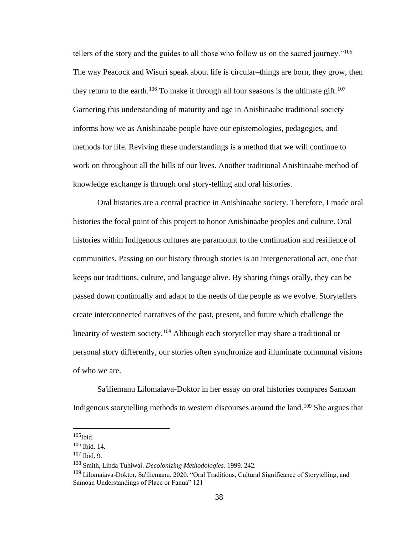tellers of the story and the guides to all those who follow us on the sacred journey."<sup>105</sup> The way Peacock and Wisuri speak about life is circular–things are born, they grow, then they return to the earth.<sup>106</sup> To make it through all four seasons is the ultimate gift.<sup>107</sup> Garnering this understanding of maturity and age in Anishinaabe traditional society informs how we as Anishinaabe people have our epistemologies, pedagogies, and methods for life. Reviving these understandings is a method that we will continue to work on throughout all the hills of our lives. Another traditional Anishinaabe method of knowledge exchange is through oral story-telling and oral histories.

Oral histories are a central practice in Anishinaabe society. Therefore, I made oral histories the focal point of this project to honor Anishinaabe peoples and culture. Oral histories within Indigenous cultures are paramount to the continuation and resilience of communities. Passing on our history through stories is an intergenerational act, one that keeps our traditions, culture, and language alive. By sharing things orally, they can be passed down continually and adapt to the needs of the people as we evolve. Storytellers create interconnected narratives of the past, present, and future which challenge the linearity of western society.<sup>108</sup> Although each storyteller may share a traditional or personal story differently, our stories often synchronize and illuminate communal visions of who we are.

Sa'iliemanu Lilomaiava-Doktor in her essay on oral histories compares Samoan Indigenous storytelling methods to western discourses around the land.<sup>109</sup> She argues that

 $105$ Ibid.

<sup>106</sup> Ibid. 14.

<sup>107</sup> Ibid. 9.

<sup>108</sup> Smith, Linda Tuhiwai. *Decolonizing Methodologies.* 1999. 242.

<sup>109</sup> Lilomaiava-Doktor, Sa'iliemanu. 2020. "Oral Traditions, Cultural Significance of Storytelling, and Samoan Understandings of Place or Fanua" 121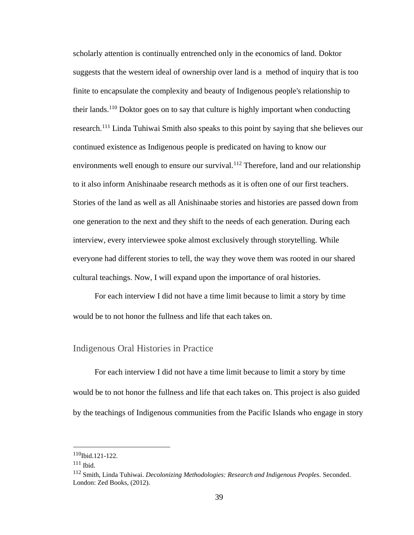scholarly attention is continually entrenched only in the economics of land. Doktor suggests that the western ideal of ownership over land is a method of inquiry that is too finite to encapsulate the complexity and beauty of Indigenous people's relationship to their lands.<sup>110</sup> Doktor goes on to say that culture is highly important when conducting research.<sup>111</sup> Linda Tuhiwai Smith also speaks to this point by saying that she believes our continued existence as Indigenous people is predicated on having to know our environments well enough to ensure our survival.<sup>112</sup> Therefore, land and our relationship to it also inform Anishinaabe research methods as it is often one of our first teachers. Stories of the land as well as all Anishinaabe stories and histories are passed down from one generation to the next and they shift to the needs of each generation. During each interview, every interviewee spoke almost exclusively through storytelling. While everyone had different stories to tell, the way they wove them was rooted in our shared cultural teachings. Now, I will expand upon the importance of oral histories.

For each interview I did not have a time limit because to limit a story by time would be to not honor the fullness and life that each takes on.

### Indigenous Oral Histories in Practice

For each interview I did not have a time limit because to limit a story by time would be to not honor the fullness and life that each takes on. This project is also guided by the teachings of Indigenous communities from the Pacific Islands who engage in story

<sup>110</sup>Ibid.121-122.

 $111$  Ibid.

<sup>112</sup> Smith, Linda Tuhiwai. *Decolonizing Methodologies: Research and Indigenous Peoples.* Seconded. London: Zed Books, (2012).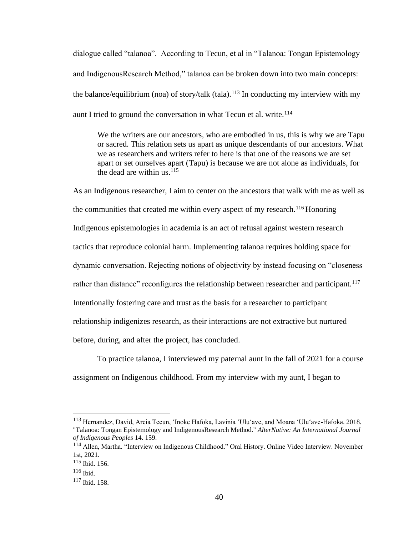dialogue called "talanoa". According to Tecun, et al in "Talanoa: Tongan Epistemology and IndigenousResearch Method," talanoa can be broken down into two main concepts: the balance/equilibrium (noa) of story/talk (tala).<sup>113</sup> In conducting my interview with my aunt I tried to ground the conversation in what Tecun et al. write. $114$ 

We the writers are our ancestors, who are embodied in us, this is why we are Tapu or sacred. This relation sets us apart as unique descendants of our ancestors. What we as researchers and writers refer to here is that one of the reasons we are set apart or set ourselves apart (Tapu) is because we are not alone as individuals, for the dead are within us.  $115$ 

As an Indigenous researcher, I aim to center on the ancestors that walk with me as well as the communities that created me within every aspect of my research.<sup>116</sup> Honoring Indigenous epistemologies in academia is an act of refusal against western research tactics that reproduce colonial harm. Implementing talanoa requires holding space for dynamic conversation. Rejecting notions of objectivity by instead focusing on "closeness rather than distance" reconfigures the relationship between researcher and participant.<sup>117</sup> Intentionally fostering care and trust as the basis for a researcher to participant relationship indigenizes research, as their interactions are not extractive but nurtured before, during, and after the project, has concluded.

To practice talanoa, I interviewed my paternal aunt in the fall of 2021 for a course assignment on Indigenous childhood. From my interview with my aunt, I began to

<sup>113</sup> Hernandez, David, Arcia Tecun, 'Inoke Hafoka, Lavinia 'Ulu'ave, and Moana 'Ulu'ave-Hafoka. 2018. "Talanoa: Tongan Epistemology and IndigenousResearch Method." *AlterNative: An International Journal of Indigenous Peoples* 14. 159.

<sup>114</sup> Allen, Martha. "Interview on Indigenous Childhood." Oral History. Online Video Interview. November 1st, 2021.

<sup>115</sup> Ibid. 156.

<sup>116</sup> Ibid.

<sup>117</sup> Ibid. 158.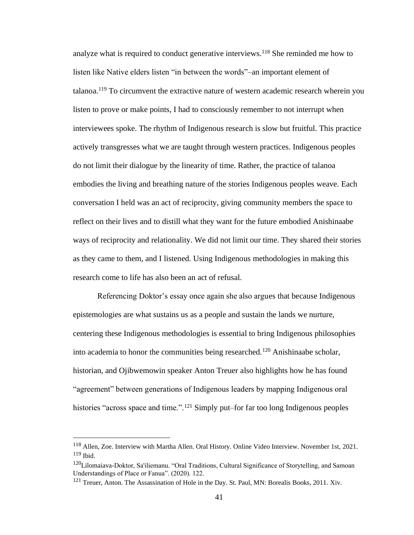analyze what is required to conduct generative interviews.<sup>118</sup> She reminded me how to listen like Native elders listen "in between the words"–an important element of talanoa.<sup>119</sup> To circumvent the extractive nature of western academic research wherein you listen to prove or make points, I had to consciously remember to not interrupt when interviewees spoke. The rhythm of Indigenous research is slow but fruitful. This practice actively transgresses what we are taught through western practices. Indigenous peoples do not limit their dialogue by the linearity of time. Rather, the practice of talanoa embodies the living and breathing nature of the stories Indigenous peoples weave. Each conversation I held was an act of reciprocity, giving community members the space to reflect on their lives and to distill what they want for the future embodied Anishinaabe ways of reciprocity and relationality. We did not limit our time. They shared their stories as they came to them, and I listened. Using Indigenous methodologies in making this research come to life has also been an act of refusal.

Referencing Doktor's essay once again she also argues that because Indigenous epistemologies are what sustains us as a people and sustain the lands we nurture, centering these Indigenous methodologies is essential to bring Indigenous philosophies into academia to honor the communities being researched.<sup>120</sup> Anishinaabe scholar, historian, and Ojibwemowin speaker Anton Treuer also highlights how he has found "agreement" between generations of Indigenous leaders by mapping Indigenous oral histories "across space and time.".<sup>121</sup> Simply put–for far too long Indigenous peoples

<sup>118</sup> Allen, Zoe. Interview with Martha Allen. Oral History. Online Video Interview. November 1st, 2021. <sup>119</sup> Ibid.

<sup>120</sup>Lilomaiava-Doktor, Sa'iliemanu. "Oral Traditions, Cultural Significance of Storytelling, and Samoan Understandings of Place or Fanua". (2020). 122.

<sup>&</sup>lt;sup>121</sup> Treuer, Anton. The Assassination of Hole in the Day. St. Paul, MN: Borealis Books, 2011. Xiv.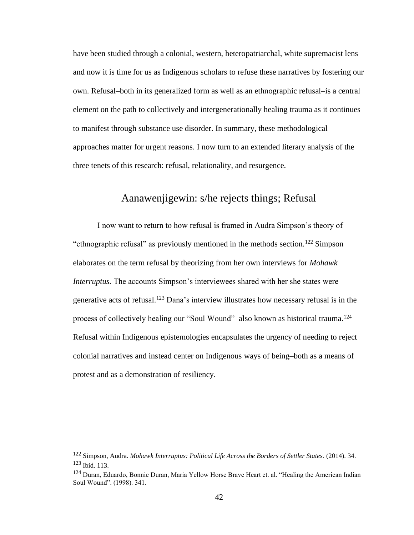have been studied through a colonial, western, heteropatriarchal, white supremacist lens and now it is time for us as Indigenous scholars to refuse these narratives by fostering our own. Refusal–both in its generalized form as well as an ethnographic refusal–is a central element on the path to collectively and intergenerationally healing trauma as it continues to manifest through substance use disorder. In summary, these methodological approaches matter for urgent reasons. I now turn to an extended literary analysis of the three tenets of this research: refusal, relationality, and resurgence.

# Aanawenjigewin: s/he rejects things; Refusal

I now want to return to how refusal is framed in Audra Simpson's theory of "ethnographic refusal" as previously mentioned in the methods section.<sup>122</sup> Simpson elaborates on the term refusal by theorizing from her own interviews for *Mohawk Interruptus.* The accounts Simpson's interviewees shared with her she states were generative acts of refusal.<sup>123</sup> Dana's interview illustrates how necessary refusal is in the process of collectively healing our "Soul Wound"–also known as historical trauma.<sup>124</sup> Refusal within Indigenous epistemologies encapsulates the urgency of needing to reject colonial narratives and instead center on Indigenous ways of being–both as a means of protest and as a demonstration of resiliency.

<sup>122</sup> Simpson, Audra. *Mohawk Interruptus: Political Life Across the Borders of Settler States.* (2014). 34. <sup>123</sup> Ibid. 113.

<sup>&</sup>lt;sup>124</sup> Duran, Eduardo, Bonnie Duran, Maria Yellow Horse Brave Heart et. al. "Healing the American Indian Soul Wound". (1998). 341.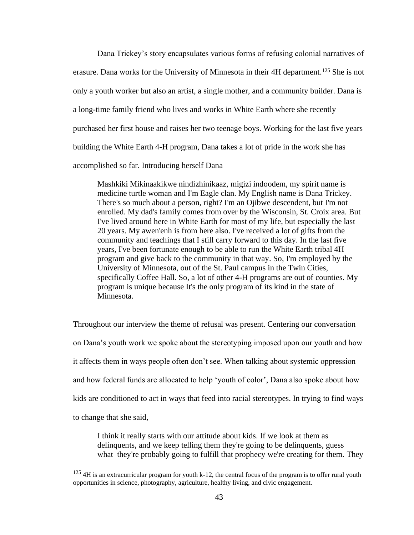Dana Trickey's story encapsulates various forms of refusing colonial narratives of erasure. Dana works for the University of Minnesota in their 4H department.<sup>125</sup> She is not only a youth worker but also an artist, a single mother, and a community builder. Dana is a long-time family friend who lives and works in White Earth where she recently purchased her first house and raises her two teenage boys. Working for the last five years building the White Earth 4-H program, Dana takes a lot of pride in the work she has accomplished so far. Introducing herself Dana

Mashkiki Mikinaakikwe nindizhinikaaz, migizi indoodem, my spirit name is medicine turtle woman and I'm Eagle clan. My English name is Dana Trickey. There's so much about a person, right? I'm an Ojibwe descendent, but I'm not enrolled. My dad's family comes from over by the Wisconsin, St. Croix area. But I've lived around here in White Earth for most of my life, but especially the last 20 years. My awen'enh is from here also. I've received a lot of gifts from the community and teachings that I still carry forward to this day. In the last five years, I've been fortunate enough to be able to run the White Earth tribal 4H program and give back to the community in that way. So, I'm employed by the University of Minnesota, out of the St. Paul campus in the Twin Cities, specifically Coffee Hall. So, a lot of other 4-H programs are out of counties. My program is unique because It's the only program of its kind in the state of Minnesota.

Throughout our interview the theme of refusal was present. Centering our conversation on Dana's youth work we spoke about the stereotyping imposed upon our youth and how it affects them in ways people often don't see. When talking about systemic oppression and how federal funds are allocated to help 'youth of color', Dana also spoke about how kids are conditioned to act in ways that feed into racial stereotypes. In trying to find ways to change that she said,

I think it really starts with our attitude about kids. If we look at them as delinquents, and we keep telling them they're going to be delinquents, guess what–they're probably going to fulfill that prophecy we're creating for them. They

<sup>&</sup>lt;sup>125</sup> 4H is an extracurricular program for youth k-12, the central focus of the program is to offer rural youth opportunities in science, photography, agriculture, healthy living, and civic engagement.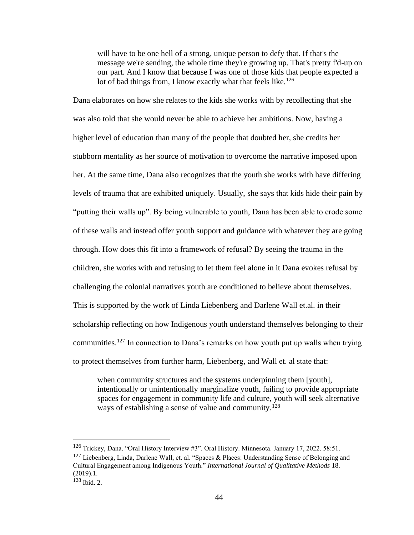will have to be one hell of a strong, unique person to defy that. If that's the message we're sending, the whole time they're growing up. That's pretty f'd-up on our part. And I know that because I was one of those kids that people expected a lot of bad things from, I know exactly what that feels like.<sup>126</sup>

Dana elaborates on how she relates to the kids she works with by recollecting that she was also told that she would never be able to achieve her ambitions. Now, having a higher level of education than many of the people that doubted her, she credits her stubborn mentality as her source of motivation to overcome the narrative imposed upon her. At the same time, Dana also recognizes that the youth she works with have differing levels of trauma that are exhibited uniquely. Usually, she says that kids hide their pain by "putting their walls up". By being vulnerable to youth, Dana has been able to erode some of these walls and instead offer youth support and guidance with whatever they are going through. How does this fit into a framework of refusal? By seeing the trauma in the children, she works with and refusing to let them feel alone in it Dana evokes refusal by challenging the colonial narratives youth are conditioned to believe about themselves. This is supported by the work of Linda Liebenberg and Darlene Wall et.al. in their scholarship reflecting on how Indigenous youth understand themselves belonging to their communities.<sup>127</sup> In connection to Dana's remarks on how youth put up walls when trying to protect themselves from further harm, Liebenberg, and Wall et. al state that:

when community structures and the systems underpinning them [youth], intentionally or unintentionally marginalize youth, failing to provide appropriate spaces for engagement in community life and culture, youth will seek alternative ways of establishing a sense of value and community.<sup>128</sup>

<sup>126</sup> Trickey, Dana. "Oral History Interview #3". Oral History. Minnesota. January 17, 2022. 58:51. <sup>127</sup> Liebenberg, Linda, Darlene Wall, et. al. "Spaces & Places: Understanding Sense of Belonging and Cultural Engagement among Indigenous Youth." *International Journal of Qualitative Methods* 18. (2019).1. <sup>128</sup> Ibid. 2.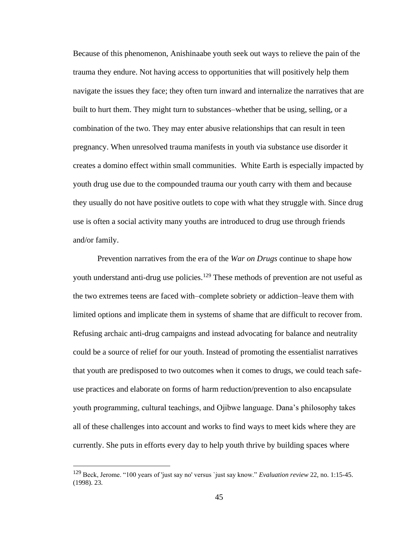Because of this phenomenon, Anishinaabe youth seek out ways to relieve the pain of the trauma they endure. Not having access to opportunities that will positively help them navigate the issues they face; they often turn inward and internalize the narratives that are built to hurt them. They might turn to substances–whether that be using, selling, or a combination of the two. They may enter abusive relationships that can result in teen pregnancy. When unresolved trauma manifests in youth via substance use disorder it creates a domino effect within small communities. White Earth is especially impacted by youth drug use due to the compounded trauma our youth carry with them and because they usually do not have positive outlets to cope with what they struggle with. Since drug use is often a social activity many youths are introduced to drug use through friends and/or family.

Prevention narratives from the era of the *War on Drugs* continue to shape how youth understand anti-drug use policies.<sup>129</sup> These methods of prevention are not useful as the two extremes teens are faced with–complete sobriety or addiction–leave them with limited options and implicate them in systems of shame that are difficult to recover from. Refusing archaic anti-drug campaigns and instead advocating for balance and neutrality could be a source of relief for our youth. Instead of promoting the essentialist narratives that youth are predisposed to two outcomes when it comes to drugs, we could teach safeuse practices and elaborate on forms of harm reduction/prevention to also encapsulate youth programming, cultural teachings, and Ojibwe language. Dana's philosophy takes all of these challenges into account and works to find ways to meet kids where they are currently. She puts in efforts every day to help youth thrive by building spaces where

<sup>129</sup> Beck, Jerome. "100 years of 'just say no' versus `just say know." *Evaluation review* 22, no. 1:15-45. (1998). 23.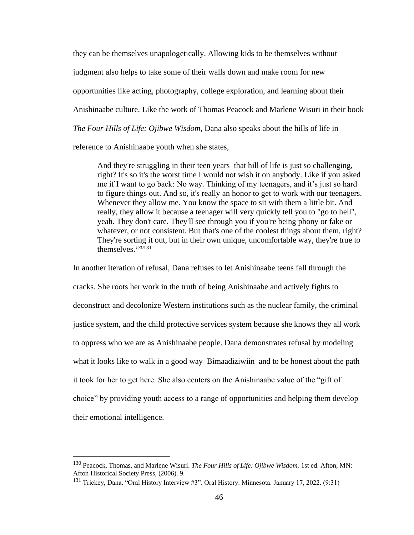they can be themselves unapologetically. Allowing kids to be themselves without judgment also helps to take some of their walls down and make room for new opportunities like acting, photography, college exploration, and learning about their Anishinaabe culture. Like the work of Thomas Peacock and Marlene Wisuri in their book *The Four Hills of Life: Ojibwe Wisdom,* Dana also speaks about the hills of life in reference to Anishinaabe youth when she states,

And they're struggling in their teen years–that hill of life is just so challenging, right? It's so it's the worst time I would not wish it on anybody. Like if you asked me if I want to go back: No way. Thinking of my teenagers, and it's just so hard to figure things out. And so, it's really an honor to get to work with our teenagers. Whenever they allow me. You know the space to sit with them a little bit. And really, they allow it because a teenager will very quickly tell you to "go to hell", yeah. They don't care. They'll see through you if you're being phony or fake or whatever, or not consistent. But that's one of the coolest things about them, right? They're sorting it out, but in their own unique, uncomfortable way, they're true to themselves.*<sup>130</sup>*<sup>131</sup>

In another iteration of refusal, Dana refuses to let Anishinaabe teens fall through the cracks. She roots her work in the truth of being Anishinaabe and actively fights to deconstruct and decolonize Western institutions such as the nuclear family, the criminal justice system, and the child protective services system because she knows they all work to oppress who we are as Anishinaabe people. Dana demonstrates refusal by modeling what it looks like to walk in a good way–Bimaadiziwiin–and to be honest about the path it took for her to get here. She also centers on the Anishinaabe value of the "gift of choice" by providing youth access to a range of opportunities and helping them develop their emotional intelligence.

<sup>130</sup> Peacock, Thomas, and Marlene Wisuri. *The Four Hills of Life: Ojibwe Wisdom.* 1st ed. Afton, MN: Afton Historical Society Press, (2006). 9.

<sup>&</sup>lt;sup>131</sup> Trickey, Dana. "Oral History Interview #3". Oral History. Minnesota. January 17, 2022. (9:31)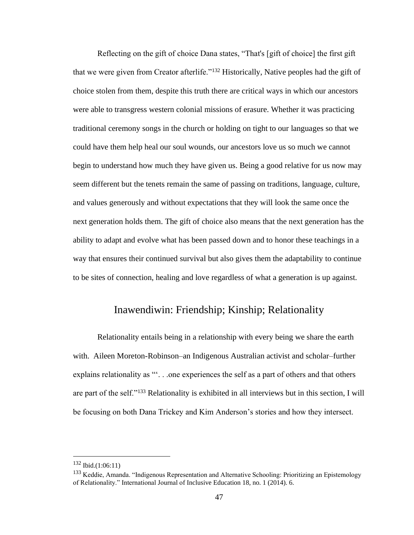Reflecting on the gift of choice Dana states, "That's [gift of choice] the first gift that we were given from Creator afterlife."<sup>132</sup> Historically, Native peoples had the gift of choice stolen from them, despite this truth there are critical ways in which our ancestors were able to transgress western colonial missions of erasure. Whether it was practicing traditional ceremony songs in the church or holding on tight to our languages so that we could have them help heal our soul wounds, our ancestors love us so much we cannot begin to understand how much they have given us. Being a good relative for us now may seem different but the tenets remain the same of passing on traditions, language, culture, and values generously and without expectations that they will look the same once the next generation holds them. The gift of choice also means that the next generation has the ability to adapt and evolve what has been passed down and to honor these teachings in a way that ensures their continued survival but also gives them the adaptability to continue to be sites of connection, healing and love regardless of what a generation is up against.

# Inawendiwin: Friendship; Kinship; Relationality

Relationality entails being in a relationship with every being we share the earth with. Aileen Moreton-Robinson–an Indigenous Australian activist and scholar–further explains relationality as "'. . .one experiences the self as a part of others and that others are part of the self."<sup>133</sup> Relationality is exhibited in all interviews but in this section, I will be focusing on both Dana Trickey and Kim Anderson's stories and how they intersect.

<sup>132</sup> Ibid.(1:06:11)

<sup>&</sup>lt;sup>133</sup> Keddie, Amanda. "Indigenous Representation and Alternative Schooling: Prioritizing an Epistemology of Relationality." International Journal of Inclusive Education 18, no. 1 (2014). 6.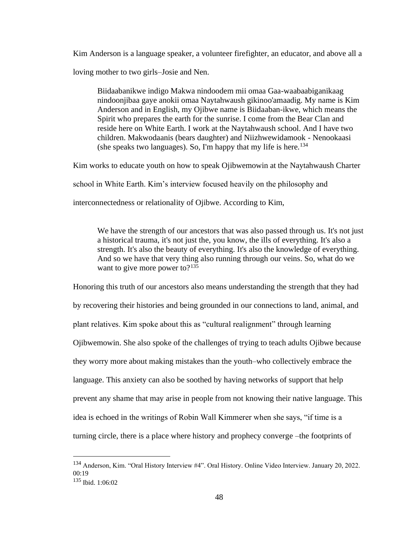Kim Anderson is a language speaker, a volunteer firefighter, an educator, and above all a loving mother to two girls–Josie and Nen.

Biidaabanikwe indigo Makwa nindoodem mii omaa Gaa-waabaabiganikaag nindoonjibaa gaye anokii omaa Naytahwaush gikinoo'amaadig. My name is Kim Anderson and in English, my Ojibwe name is Biidaaban-ikwe, which means the Spirit who prepares the earth for the sunrise. I come from the Bear Clan and reside here on White Earth. I work at the Naytahwaush school. And I have two children. Makwodaanis (bears daughter) and Niizhwewidamook - Nenookaasi (she speaks two languages). So, I'm happy that my life is here.<sup>134</sup>

Kim works to educate youth on how to speak Ojibwemowin at the Naytahwaush Charter

school in White Earth. Kim's interview focused heavily on the philosophy and

interconnectedness or relationality of Ojibwe. According to Kim,

We have the strength of our ancestors that was also passed through us. It's not just a historical trauma, it's not just the, you know, the ills of everything. It's also a strength. It's also the beauty of everything. It's also the knowledge of everything. And so we have that very thing also running through our veins. So, what do we want to give more power to? $135$ 

Honoring this truth of our ancestors also means understanding the strength that they had by recovering their histories and being grounded in our connections to land, animal, and plant relatives. Kim spoke about this as "cultural realignment" through learning Ojibwemowin. She also spoke of the challenges of trying to teach adults Ojibwe because they worry more about making mistakes than the youth–who collectively embrace the language. This anxiety can also be soothed by having networks of support that help prevent any shame that may arise in people from not knowing their native language. This idea is echoed in the writings of Robin Wall Kimmerer when she says, "if time is a turning circle, there is a place where history and prophecy converge –the footprints of

<sup>134</sup> Anderson, Kim. "Oral History Interview #4". Oral History. Online Video Interview. January 20, 2022. 00:19

<sup>135</sup> Ibid. 1:06:02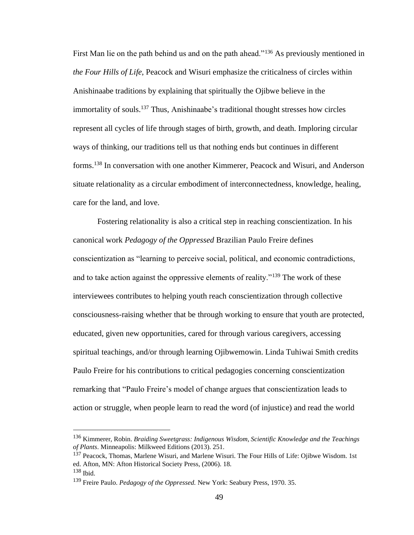First Man lie on the path behind us and on the path ahead."<sup>136</sup> As previously mentioned in *the Four Hills of Life*, Peacock and Wisuri emphasize the criticalness of circles within Anishinaabe traditions by explaining that spiritually the Ojibwe believe in the immortality of souls.<sup>137</sup> Thus, Anishinaabe's traditional thought stresses how circles represent all cycles of life through stages of birth, growth, and death. Imploring circular ways of thinking, our traditions tell us that nothing ends but continues in different forms.<sup>138</sup> In conversation with one another Kimmerer, Peacock and Wisuri, and Anderson situate relationality as a circular embodiment of interconnectedness, knowledge, healing, care for the land, and love.

Fostering relationality is also a critical step in reaching conscientization. In his canonical work *Pedagogy of the Oppressed* Brazilian Paulo Freire defines conscientization as "learning to perceive social, political, and economic contradictions, and to take action against the oppressive elements of reality."<sup>139</sup> The work of these interviewees contributes to helping youth reach conscientization through collective consciousness-raising whether that be through working to ensure that youth are protected, educated, given new opportunities, cared for through various caregivers, accessing spiritual teachings, and/or through learning Ojibwemowin. Linda Tuhiwai Smith credits Paulo Freire for his contributions to critical pedagogies concerning conscientization remarking that "Paulo Freire's model of change argues that conscientization leads to action or struggle, when people learn to read the word (of injustice) and read the world

<sup>136</sup> Kimmerer, Robin. *Braiding Sweetgrass: Indigenous Wisdom, Scientific Knowledge and the Teachings of Plants*. Minneapolis: Milkweed Editions (2013). 251.

<sup>137</sup> Peacock, Thomas, Marlene Wisuri, and Marlene Wisuri. The Four Hills of Life: Ojibwe Wisdom. 1st ed. Afton, MN: Afton Historical Society Press, (2006). 18.

<sup>138</sup> Ibid.

<sup>139</sup> Freire Paulo. *Pedagogy of the Oppressed.* New York: Seabury Press, 1970. 35.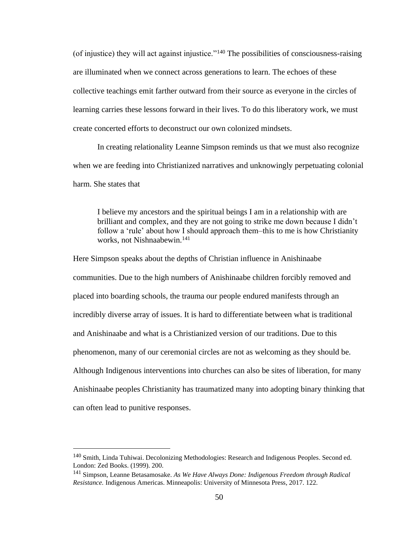(of injustice) they will act against injustice."<sup>140</sup> The possibilities of consciousness-raising are illuminated when we connect across generations to learn. The echoes of these collective teachings emit farther outward from their source as everyone in the circles of learning carries these lessons forward in their lives. To do this liberatory work, we must create concerted efforts to deconstruct our own colonized mindsets.

In creating relationality Leanne Simpson reminds us that we must also recognize when we are feeding into Christianized narratives and unknowingly perpetuating colonial harm. She states that

I believe my ancestors and the spiritual beings I am in a relationship with are brilliant and complex, and they are not going to strike me down because I didn't follow a 'rule' about how I should approach them–this to me is how Christianity works, not Nishnaabewin.<sup>141</sup>

Here Simpson speaks about the depths of Christian influence in Anishinaabe communities. Due to the high numbers of Anishinaabe children forcibly removed and placed into boarding schools, the trauma our people endured manifests through an incredibly diverse array of issues. It is hard to differentiate between what is traditional and Anishinaabe and what is a Christianized version of our traditions. Due to this phenomenon, many of our ceremonial circles are not as welcoming as they should be. Although Indigenous interventions into churches can also be sites of liberation, for many Anishinaabe peoples Christianity has traumatized many into adopting binary thinking that can often lead to punitive responses.

<sup>140</sup> Smith, Linda Tuhiwai. Decolonizing Methodologies: Research and Indigenous Peoples. Second ed. London: Zed Books. (1999). 200.

<sup>141</sup> Simpson, Leanne Betasamosake. *As We Have Always Done: Indigenous Freedom through Radical Resistance.* Indigenous Americas. Minneapolis: University of Minnesota Press, 2017. 122.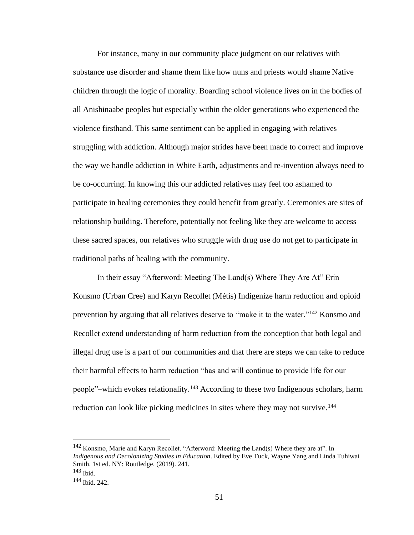For instance, many in our community place judgment on our relatives with substance use disorder and shame them like how nuns and priests would shame Native children through the logic of morality. Boarding school violence lives on in the bodies of all Anishinaabe peoples but especially within the older generations who experienced the violence firsthand. This same sentiment can be applied in engaging with relatives struggling with addiction. Although major strides have been made to correct and improve the way we handle addiction in White Earth, adjustments and re-invention always need to be co-occurring. In knowing this our addicted relatives may feel too ashamed to participate in healing ceremonies they could benefit from greatly. Ceremonies are sites of relationship building. Therefore, potentially not feeling like they are welcome to access these sacred spaces, our relatives who struggle with drug use do not get to participate in traditional paths of healing with the community.

In their essay "Afterword: Meeting The Land(s) Where They Are At" Erin Konsmo (Urban Cree) and Karyn Recollet (Métis) Indigenize harm reduction and opioid prevention by arguing that all relatives deserve to "make it to the water."<sup>142</sup> Konsmo and Recollet extend understanding of harm reduction from the conception that both legal and illegal drug use is a part of our communities and that there are steps we can take to reduce their harmful effects to harm reduction "has and will continue to provide life for our people"–which evokes relationality.<sup>143</sup> According to these two Indigenous scholars, harm reduction can look like picking medicines in sites where they may not survive.<sup>144</sup>

<sup>142</sup> Konsmo, Marie and Karyn Recollet. "Afterword: Meeting the Land(s) Where they are at". In *Indigenous and Decolonizing Studies in Education*. Edited by Eve Tuck, Wayne Yang and Linda Tuhiwai Smith. 1st ed. NY: Routledge. (2019). 241.

<sup>143</sup> Ibid.

<sup>144</sup> Ibid. 242.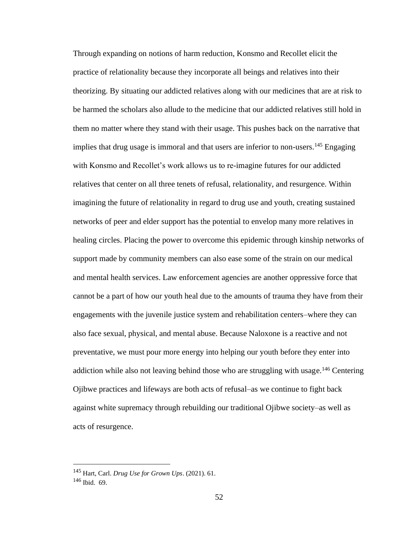Through expanding on notions of harm reduction, Konsmo and Recollet elicit the practice of relationality because they incorporate all beings and relatives into their theorizing. By situating our addicted relatives along with our medicines that are at risk to be harmed the scholars also allude to the medicine that our addicted relatives still hold in them no matter where they stand with their usage. This pushes back on the narrative that implies that drug usage is immoral and that users are inferior to non-users.<sup>145</sup> Engaging with Konsmo and Recollet's work allows us to re-imagine futures for our addicted relatives that center on all three tenets of refusal, relationality, and resurgence. Within imagining the future of relationality in regard to drug use and youth, creating sustained networks of peer and elder support has the potential to envelop many more relatives in healing circles. Placing the power to overcome this epidemic through kinship networks of support made by community members can also ease some of the strain on our medical and mental health services. Law enforcement agencies are another oppressive force that cannot be a part of how our youth heal due to the amounts of trauma they have from their engagements with the juvenile justice system and rehabilitation centers–where they can also face sexual, physical, and mental abuse. Because Naloxone is a reactive and not preventative, we must pour more energy into helping our youth before they enter into addiction while also not leaving behind those who are struggling with usage.<sup>146</sup> Centering Ojibwe practices and lifeways are both acts of refusal–as we continue to fight back against white supremacy through rebuilding our traditional Ojibwe society–as well as acts of resurgence.

<sup>145</sup> Hart, Carl. *Drug Use for Grown Ups*. (2021). 61. <sup>146</sup> Ibid. 69.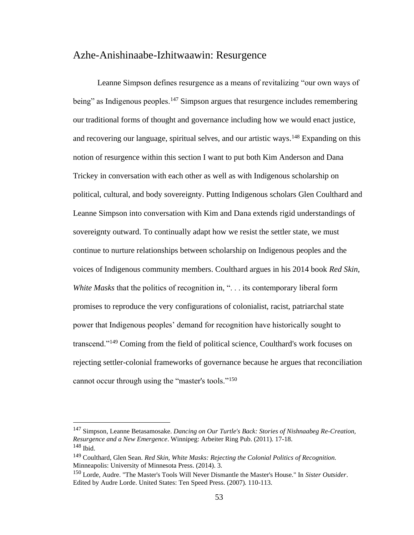## Azhe-Anishinaabe-Izhitwaawin: Resurgence

Leanne Simpson defines resurgence as a means of revitalizing "our own ways of being" as Indigenous peoples.<sup>147</sup> Simpson argues that resurgence includes remembering our traditional forms of thought and governance including how we would enact justice, and recovering our language, spiritual selves, and our artistic ways.<sup>148</sup> Expanding on this notion of resurgence within this section I want to put both Kim Anderson and Dana Trickey in conversation with each other as well as with Indigenous scholarship on political, cultural, and body sovereignty. Putting Indigenous scholars Glen Coulthard and Leanne Simpson into conversation with Kim and Dana extends rigid understandings of sovereignty outward. To continually adapt how we resist the settler state, we must continue to nurture relationships between scholarship on Indigenous peoples and the voices of Indigenous community members. Coulthard argues in his 2014 book *Red Skin, White Masks* that the politics of recognition in, ". . . its contemporary liberal form promises to reproduce the very configurations of colonialist, racist, patriarchal state power that Indigenous peoples' demand for recognition have historically sought to transcend."<sup>149</sup> Coming from the field of political science, Coulthard's work focuses on rejecting settler-colonial frameworks of governance because he argues that reconciliation cannot occur through using the "master's tools."<sup>150</sup>

<sup>147</sup> Simpson, Leanne Betasamosake. *Dancing on Our Turtle's Back: Stories of Nishnaabeg Re-Creation, Resurgence and a New Emergence*. Winnipeg: Arbeiter Ring Pub. (2011). 17-18.  $148$  Ibid.

<sup>149</sup> Coulthard, Glen Sean. *Red Skin, White Masks: Rejecting the Colonial Politics of Recognition.* Minneapolis: University of Minnesota Press. (2014). 3.

<sup>150</sup> Lorde, Audre. "The Master's Tools Will Never Dismantle the Master's House." In *Sister Outsider*. Edited by Audre Lorde. United States: Ten Speed Press. (2007). 110-113.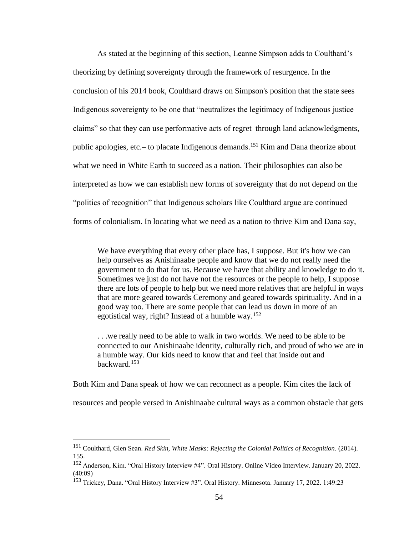As stated at the beginning of this section, Leanne Simpson adds to Coulthard's theorizing by defining sovereignty through the framework of resurgence. In the conclusion of his 2014 book, Coulthard draws on Simpson's position that the state sees Indigenous sovereignty to be one that "neutralizes the legitimacy of Indigenous justice claims" so that they can use performative acts of regret–through land acknowledgments, public apologies, etc.– to placate Indigenous demands.<sup>151</sup> Kim and Dana theorize about what we need in White Earth to succeed as a nation. Their philosophies can also be interpreted as how we can establish new forms of sovereignty that do not depend on the "politics of recognition" that Indigenous scholars like Coulthard argue are continued forms of colonialism. In locating what we need as a nation to thrive Kim and Dana say,

We have everything that every other place has, I suppose. But it's how we can help ourselves as Anishinaabe people and know that we do not really need the government to do that for us. Because we have that ability and knowledge to do it. Sometimes we just do not have not the resources or the people to help, I suppose there are lots of people to help but we need more relatives that are helpful in ways that are more geared towards Ceremony and geared towards spirituality. And in a good way too. There are some people that can lead us down in more of an egotistical way, right? Instead of a humble way.<sup>152</sup>

. . .we really need to be able to walk in two worlds. We need to be able to be connected to our Anishinaabe identity, culturally rich, and proud of who we are in a humble way. Our kids need to know that and feel that inside out and backward.<sup>153</sup>

Both Kim and Dana speak of how we can reconnect as a people. Kim cites the lack of resources and people versed in Anishinaabe cultural ways as a common obstacle that gets

<sup>151</sup> Coulthard, Glen Sean. *Red Skin, White Masks: Rejecting the Colonial Politics of Recognition.* (2014). 155.

<sup>152</sup> Anderson, Kim. "Oral History Interview #4". Oral History. Online Video Interview. January 20, 2022. (40:09)

<sup>153</sup> Trickey, Dana. "Oral History Interview #3". Oral History. Minnesota. January 17, 2022. 1:49:23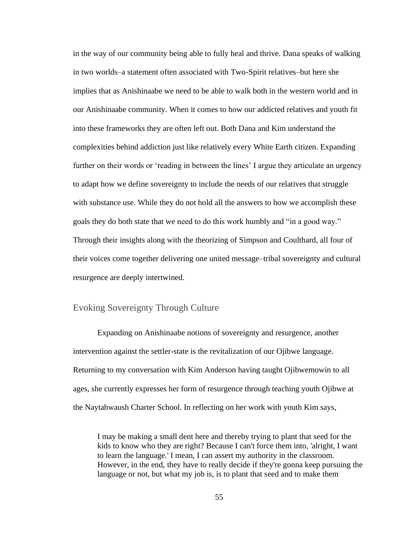in the way of our community being able to fully heal and thrive. Dana speaks of walking in two worlds–a statement often associated with Two-Spirit relatives–but here she implies that as Anishinaabe we need to be able to walk both in the western world and in our Anishinaabe community. When it comes to how our addicted relatives and youth fit into these frameworks they are often left out. Both Dana and Kim understand the complexities behind addiction just like relatively every White Earth citizen. Expanding further on their words or 'reading in between the lines' I argue they articulate an urgency to adapt how we define sovereignty to include the needs of our relatives that struggle with substance use. While they do not hold all the answers to how we accomplish these goals they do both state that we need to do this work humbly and "in a good way." Through their insights along with the theorizing of Simpson and Coulthard, all four of their voices come together delivering one united message–tribal sovereignty and cultural resurgence are deeply intertwined.

## Evoking Sovereignty Through Culture

Expanding on Anishinaabe notions of sovereignty and resurgence, another intervention against the settler-state is the revitalization of our Ojibwe language. Returning to my conversation with Kim Anderson having taught Ojibwemowin to all ages, she currently expresses her form of resurgence through teaching youth Ojibwe at the Naytahwaush Charter School. In reflecting on her work with youth Kim says,

I may be making a small dent here and thereby trying to plant that seed for the kids to know who they are right? Because I can't force them into, 'alright, I want to learn the language.' I mean, I can assert my authority in the classroom. However, in the end, they have to really decide if they're gonna keep pursuing the language or not, but what my job is, is to plant that seed and to make them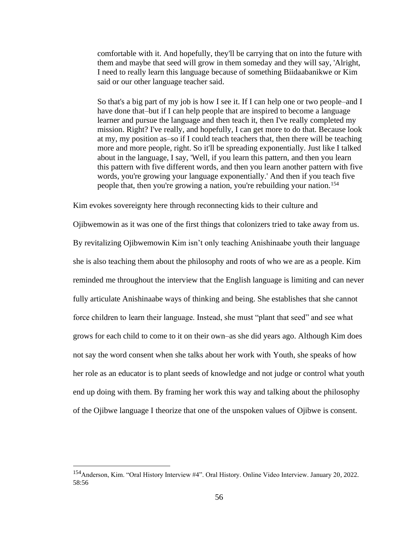comfortable with it. And hopefully, they'll be carrying that on into the future with them and maybe that seed will grow in them someday and they will say, 'Alright, I need to really learn this language because of something Biidaabanikwe or Kim said or our other language teacher said.

So that's a big part of my job is how I see it. If I can help one or two people–and I have done that–but if I can help people that are inspired to become a language learner and pursue the language and then teach it, then I've really completed my mission. Right? I've really, and hopefully, I can get more to do that. Because look at my, my position as–so if I could teach teachers that, then there will be teaching more and more people, right. So it'll be spreading exponentially. Just like I talked about in the language, I say, 'Well, if you learn this pattern, and then you learn this pattern with five different words, and then you learn another pattern with five words, you're growing your language exponentially.' And then if you teach five people that, then you're growing a nation, you're rebuilding your nation.<sup>154</sup>

Kim evokes sovereignty here through reconnecting kids to their culture and

Ojibwemowin as it was one of the first things that colonizers tried to take away from us. By revitalizing Ojibwemowin Kim isn't only teaching Anishinaabe youth their language she is also teaching them about the philosophy and roots of who we are as a people. Kim reminded me throughout the interview that the English language is limiting and can never fully articulate Anishinaabe ways of thinking and being. She establishes that she cannot force children to learn their language. Instead, she must "plant that seed" and see what grows for each child to come to it on their own–as she did years ago. Although Kim does not say the word consent when she talks about her work with Youth, she speaks of how her role as an educator is to plant seeds of knowledge and not judge or control what youth end up doing with them. By framing her work this way and talking about the philosophy of the Ojibwe language I theorize that one of the unspoken values of Ojibwe is consent.

<sup>154</sup>Anderson, Kim. "Oral History Interview #4". Oral History. Online Video Interview. January 20, 2022. 58:56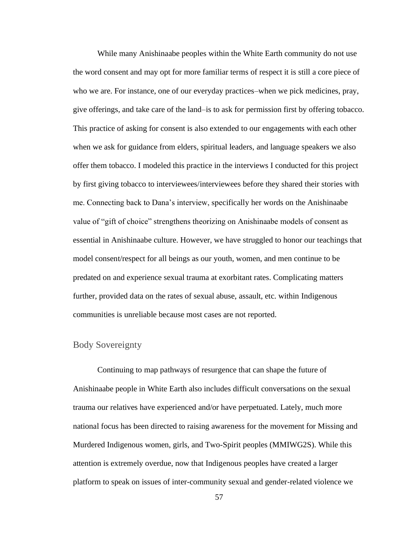While many Anishinaabe peoples within the White Earth community do not use the word consent and may opt for more familiar terms of respect it is still a core piece of who we are. For instance, one of our everyday practices–when we pick medicines, pray, give offerings, and take care of the land–is to ask for permission first by offering tobacco. This practice of asking for consent is also extended to our engagements with each other when we ask for guidance from elders, spiritual leaders, and language speakers we also offer them tobacco. I modeled this practice in the interviews I conducted for this project by first giving tobacco to interviewees/interviewees before they shared their stories with me. Connecting back to Dana's interview, specifically her words on the Anishinaabe value of "gift of choice" strengthens theorizing on Anishinaabe models of consent as essential in Anishinaabe culture. However, we have struggled to honor our teachings that model consent/respect for all beings as our youth, women, and men continue to be predated on and experience sexual trauma at exorbitant rates. Complicating matters further, provided data on the rates of sexual abuse, assault, etc. within Indigenous communities is unreliable because most cases are not reported.

## Body Sovereignty

Continuing to map pathways of resurgence that can shape the future of Anishinaabe people in White Earth also includes difficult conversations on the sexual trauma our relatives have experienced and/or have perpetuated. Lately, much more national focus has been directed to raising awareness for the movement for Missing and Murdered Indigenous women, girls, and Two-Spirit peoples (MMIWG2S). While this attention is extremely overdue, now that Indigenous peoples have created a larger platform to speak on issues of inter-community sexual and gender-related violence we

57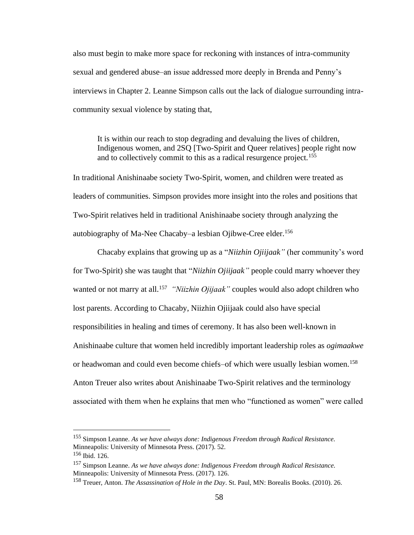also must begin to make more space for reckoning with instances of intra-community sexual and gendered abuse–an issue addressed more deeply in Brenda and Penny's interviews in Chapter 2. Leanne Simpson calls out the lack of dialogue surrounding intracommunity sexual violence by stating that,

It is within our reach to stop degrading and devaluing the lives of children, Indigenous women, and 2SQ [Two-Spirit and Queer relatives] people right now and to collectively commit to this as a radical resurgence project.<sup>155</sup>

In traditional Anishinaabe society Two-Spirit, women, and children were treated as leaders of communities. Simpson provides more insight into the roles and positions that Two-Spirit relatives held in traditional Anishinaabe society through analyzing the autobiography of Ma-Nee Chacaby–a lesbian Ojibwe-Cree elder.<sup>156</sup>

Chacaby explains that growing up as a "*Niizhin Ojiijaak"* (her community's word for Two-Spirit) she was taught that "*Niizhin Ojiijaak"* people could marry whoever they wanted or not marry at all.<sup>157</sup> "*Niizhin Ojijaak*" couples would also adopt children who lost parents. According to Chacaby, Niizhin Ojiijaak could also have special responsibilities in healing and times of ceremony. It has also been well-known in Anishinaabe culture that women held incredibly important leadership roles as *ogimaakwe*  or headwoman and could even become chiefs–of which were usually lesbian women.<sup>158</sup> Anton Treuer also writes about Anishinaabe Two-Spirit relatives and the terminology associated with them when he explains that men who "functioned as women" were called

<sup>155</sup> Simpson Leanne. *As we have always done: Indigenous Freedom through Radical Resistance.*  Minneapolis: University of Minnesota Press. (2017). 52. <sup>156</sup> Ibid. 126.

<sup>157</sup> Simpson Leanne. *As we have always done: Indigenous Freedom through Radical Resistance.*  Minneapolis: University of Minnesota Press. (2017). 126.

<sup>158</sup> Treuer, Anton. *The Assassination of Hole in the Day*. St. Paul, MN: Borealis Books. (2010). 26.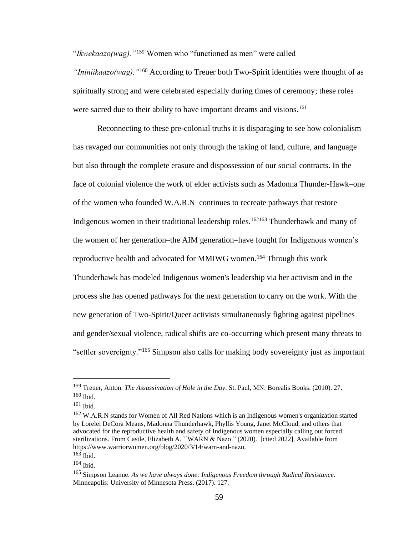"*Ikwekaazo(wag)."*<sup>159</sup> Women who "functioned as men" were called

*"Ininiikaazo(wag)."*<sup>160</sup> According to Treuer both Two-Spirit identities were thought of as spiritually strong and were celebrated especially during times of ceremony; these roles were sacred due to their ability to have important dreams and visions.<sup>161</sup>

Reconnecting to these pre-colonial truths it is disparaging to see how colonialism has ravaged our communities not only through the taking of land, culture, and language but also through the complete erasure and dispossession of our social contracts. In the face of colonial violence the work of elder activists such as Madonna Thunder-Hawk–one of the women who founded W.A.R.N–continues to recreate pathways that restore Indigenous women in their traditional leadership roles.<sup>162163</sup> Thunderhawk and many of the women of her generation–the AIM generation–have fought for Indigenous women's reproductive health and advocated for MMIWG women.<sup>164</sup> Through this work Thunderhawk has modeled Indigenous women's leadership via her activism and in the process she has opened pathways for the next generation to carry on the work. With the new generation of Two-Spirit/Queer activists simultaneously fighting against pipelines and gender/sexual violence, radical shifts are co-occurring which present many threats to "settler sovereignty."<sup>165</sup> Simpson also calls for making body sovereignty just as important

<sup>159</sup> Treuer, Anton. *The Assassination of Hole in the Day*. St. Paul, MN: Borealis Books. (2010). 27.  $160$  Ibid.

<sup>161</sup> Ibid.

<sup>&</sup>lt;sup>162</sup> W.A.R.N stands for Women of All Red Nations which is an Indigenous women's organization started by Lorelei DeCora Means, Madonna Thunderhawk, Phyllis Young, Janet McCloud, and others that advocated for the reproductive health and safety of Indigenous women especially calling out forced sterilizations. From Castle, Elizabeth A. ``WARN & Nazo.'' (2020). [cited 2022]. Available from https://www.warriorwomen.org/blog/2020/3/14/warn-and-nazo.

<sup>163</sup> Ibid.

<sup>164</sup> Ibid.

<sup>165</sup> Simpson Leanne. *As we have always done: Indigenous Freedom through Radical Resistance.*  Minneapolis: University of Minnesota Press. (2017). 127.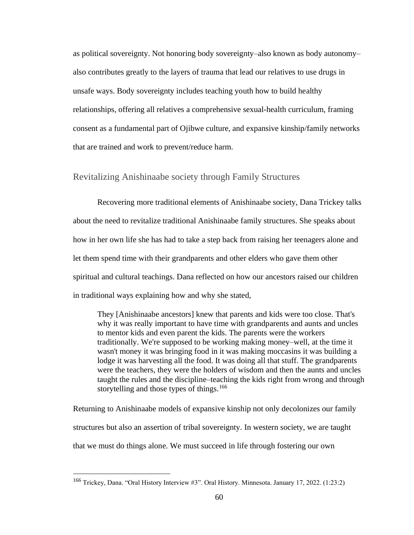as political sovereignty. Not honoring body sovereignty–also known as body autonomy– also contributes greatly to the layers of trauma that lead our relatives to use drugs in unsafe ways. Body sovereignty includes teaching youth how to build healthy relationships, offering all relatives a comprehensive sexual-health curriculum, framing consent as a fundamental part of Ojibwe culture, and expansive kinship/family networks that are trained and work to prevent/reduce harm.

#### Revitalizing Anishinaabe society through Family Structures

Recovering more traditional elements of Anishinaabe society, Dana Trickey talks about the need to revitalize traditional Anishinaabe family structures. She speaks about how in her own life she has had to take a step back from raising her teenagers alone and let them spend time with their grandparents and other elders who gave them other spiritual and cultural teachings. Dana reflected on how our ancestors raised our children in traditional ways explaining how and why she stated,

They [Anishinaabe ancestors] knew that parents and kids were too close. That's why it was really important to have time with grandparents and aunts and uncles to mentor kids and even parent the kids. The parents were the workers traditionally. We're supposed to be working making money–well, at the time it wasn't money it was bringing food in it was making moccasins it was building a lodge it was harvesting all the food. It was doing all that stuff. The grandparents were the teachers, they were the holders of wisdom and then the aunts and uncles taught the rules and the discipline–teaching the kids right from wrong and through storytelling and those types of things.<sup>166</sup>

Returning to Anishinaabe models of expansive kinship not only decolonizes our family structures but also an assertion of tribal sovereignty. In western society, we are taught that we must do things alone. We must succeed in life through fostering our own

<sup>166</sup> Trickey, Dana. "Oral History Interview #3". Oral History. Minnesota. January 17, 2022. (1:23:2)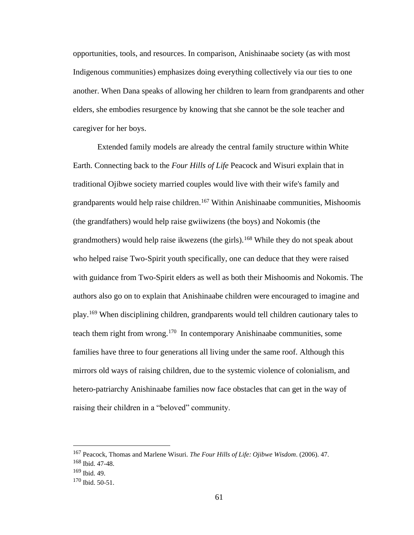opportunities, tools, and resources. In comparison, Anishinaabe society (as with most Indigenous communities) emphasizes doing everything collectively via our ties to one another. When Dana speaks of allowing her children to learn from grandparents and other elders, she embodies resurgence by knowing that she cannot be the sole teacher and caregiver for her boys.

Extended family models are already the central family structure within White Earth. Connecting back to the *Four Hills of Life* Peacock and Wisuri explain that in traditional Ojibwe society married couples would live with their wife's family and grandparents would help raise children.<sup>167</sup> Within Anishinaabe communities, Mishoomis (the grandfathers) would help raise gwiiwizens (the boys) and Nokomis (the grandmothers) would help raise ikwezens (the girls).<sup>168</sup> While they do not speak about who helped raise Two-Spirit youth specifically, one can deduce that they were raised with guidance from Two-Spirit elders as well as both their Mishoomis and Nokomis. The authors also go on to explain that Anishinaabe children were encouraged to imagine and play.<sup>169</sup> When disciplining children, grandparents would tell children cautionary tales to teach them right from wrong.<sup>170</sup> In contemporary Anishinaabe communities, some families have three to four generations all living under the same roof. Although this mirrors old ways of raising children, due to the systemic violence of colonialism, and hetero-patriarchy Anishinaabe families now face obstacles that can get in the way of raising their children in a "beloved" community.

<sup>167</sup> Peacock, Thomas and Marlene Wisuri. *The Four Hills of Life: Ojibwe Wisdom*. (2006). 47.

<sup>168</sup> Ibid. 47-48.

<sup>169</sup> Ibid. 49.

<sup>170</sup> Ibid. 50-51.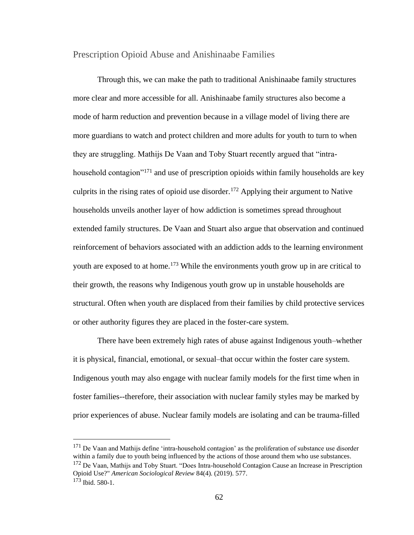#### Prescription Opioid Abuse and Anishinaabe Families

Through this, we can make the path to traditional Anishinaabe family structures more clear and more accessible for all. Anishinaabe family structures also become a mode of harm reduction and prevention because in a village model of living there are more guardians to watch and protect children and more adults for youth to turn to when they are struggling. Mathijs De Vaan and Toby Stuart recently argued that "intrahousehold contagion"<sup>171</sup> and use of prescription opioids within family households are key culprits in the rising rates of opioid use disorder.<sup>172</sup> Applying their argument to Native households unveils another layer of how addiction is sometimes spread throughout extended family structures. De Vaan and Stuart also argue that observation and continued reinforcement of behaviors associated with an addiction adds to the learning environment youth are exposed to at home.<sup>173</sup> While the environments youth grow up in are critical to their growth, the reasons why Indigenous youth grow up in unstable households are structural. Often when youth are displaced from their families by child protective services or other authority figures they are placed in the foster-care system.

There have been extremely high rates of abuse against Indigenous youth–whether it is physical, financial, emotional, or sexual–that occur within the foster care system. Indigenous youth may also engage with nuclear family models for the first time when in foster families--therefore, their association with nuclear family styles may be marked by prior experiences of abuse. Nuclear family models are isolating and can be trauma-filled

<sup>&</sup>lt;sup>171</sup> De Vaan and Mathijs define 'intra-household contagion' as the proliferation of substance use disorder within a family due to youth being influenced by the actions of those around them who use substances. <sup>172</sup> De Vaan. Mathijs and Toby Stuart. "Does Intra-household Contagion Cause an Increase in Prescription Opioid Use?" *American Sociological Review* 84(4). (2019). 577.  $173$  Ibid. 580-1.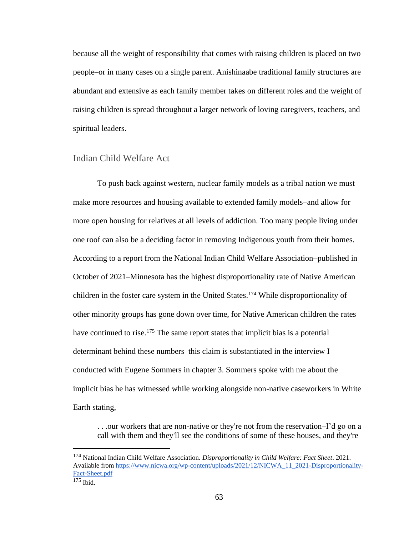because all the weight of responsibility that comes with raising children is placed on two people–or in many cases on a single parent. Anishinaabe traditional family structures are abundant and extensive as each family member takes on different roles and the weight of raising children is spread throughout a larger network of loving caregivers, teachers, and spiritual leaders.

#### Indian Child Welfare Act

To push back against western, nuclear family models as a tribal nation we must make more resources and housing available to extended family models–and allow for more open housing for relatives at all levels of addiction. Too many people living under one roof can also be a deciding factor in removing Indigenous youth from their homes. According to a report from the National Indian Child Welfare Association–published in October of 2021–Minnesota has the highest disproportionality rate of Native American children in the foster care system in the United States.<sup>174</sup> While disproportionality of other minority groups has gone down over time, for Native American children the rates have continued to rise.<sup>175</sup> The same report states that implicit bias is a potential determinant behind these numbers–this claim is substantiated in the interview I conducted with Eugene Sommers in chapter 3. Sommers spoke with me about the implicit bias he has witnessed while working alongside non-native caseworkers in White Earth stating,

. . .our workers that are non-native or they're not from the reservation–I'd go on a call with them and they'll see the conditions of some of these houses, and they're

<sup>174</sup> National Indian Child Welfare Association. *Disproportionality in Child Welfare: Fact Sheet*. 2021. Available from [https://www.nicwa.org/wp-content/uploads/2021/12/NICWA\\_11\\_2021-Disproportionality-](https://www.nicwa.org/wp-content/uploads/2021/12/NICWA_11_2021-Disproportionality-Fact-Sheet.pdf)[Fact-Sheet.pdf](https://www.nicwa.org/wp-content/uploads/2021/12/NICWA_11_2021-Disproportionality-Fact-Sheet.pdf)

 $175$  Ibid.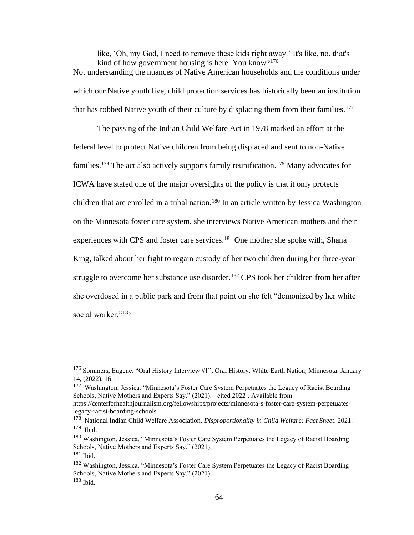like, 'Oh, my God, I need to remove these kids right away.' It's like, no, that's kind of how government housing is here. You know?<sup>176</sup> Not understanding the nuances of Native American households and the conditions under which our Native youth live, child protection services has historically been an institution that has robbed Native youth of their culture by displacing them from their families.<sup>177</sup>

The passing of the Indian Child Welfare Act in 1978 marked an effort at the federal level to protect Native children from being displaced and sent to non-Native families.<sup>178</sup> The act also actively supports family reunification.<sup>179</sup> Many advocates for ICWA have stated one of the major oversights of the policy is that it only protects children that are enrolled in a tribal nation.<sup>180</sup> In an article written by Jessica Washington on the Minnesota foster care system, she interviews Native American mothers and their experiences with CPS and foster care services.<sup>181</sup> One mother she spoke with, Shana King, talked about her fight to regain custody of her two children during her three-year struggle to overcome her substance use disorder.<sup>182</sup> CPS took her children from her after she overdosed in a public park and from that point on she felt "demonized by her white social worker."<sup>183</sup>

<sup>&</sup>lt;sup>176</sup> Sommers, Eugene. "Oral History Interview #1". Oral History. White Earth Nation, Minnesota. January 14, (2022). 16:11

<sup>&</sup>lt;sup>177</sup> Washington, Jessica. "Minnesota's Foster Care System Perpetuates the Legacy of Racist Boarding Schools, Native Mothers and Experts Say." (2021). [cited 2022]. Available from

https://centerforhealthjournalism.org/fellowships/projects/minnesota-s-foster-care-system-perpetuateslegacy-racist-boarding-schools.

<sup>178</sup> National Indian Child Welfare Association. *Disproportionality in Child Welfare: Fact Sheet*. 2021. 179 Ibid.

<sup>&</sup>lt;sup>180</sup> Washington, Jessica. "Minnesota's Foster Care System Perpetuates the Legacy of Racist Boarding Schools, Native Mothers and Experts Say." (2021).

 $181$  Ibid.

<sup>&</sup>lt;sup>182</sup> Washington, Jessica. "Minnesota's Foster Care System Perpetuates the Legacy of Racist Boarding Schools, Native Mothers and Experts Say." (2021).  $183$  Ibid.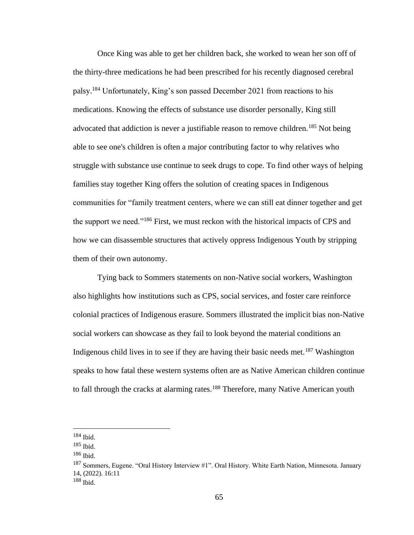Once King was able to get her children back, she worked to wean her son off of the thirty-three medications he had been prescribed for his recently diagnosed cerebral palsy.<sup>184</sup> Unfortunately, King's son passed December 2021 from reactions to his medications. Knowing the effects of substance use disorder personally, King still advocated that addiction is never a justifiable reason to remove children.<sup>185</sup> Not being able to see one's children is often a major contributing factor to why relatives who struggle with substance use continue to seek drugs to cope. To find other ways of helping families stay together King offers the solution of creating spaces in Indigenous communities for "family treatment centers, where we can still eat dinner together and get the support we need."<sup>186</sup> First, we must reckon with the historical impacts of CPS and how we can disassemble structures that actively oppress Indigenous Youth by stripping them of their own autonomy.

Tying back to Sommers statements on non-Native social workers, Washington also highlights how institutions such as CPS, social services, and foster care reinforce colonial practices of Indigenous erasure. Sommers illustrated the implicit bias non-Native social workers can showcase as they fail to look beyond the material conditions an Indigenous child lives in to see if they are having their basic needs met.<sup>187</sup> Washington speaks to how fatal these western systems often are as Native American children continue to fall through the cracks at alarming rates.<sup>188</sup> Therefore, many Native American youth

 $184$  Ibid.

<sup>185</sup> Ibid.

<sup>186</sup> Ibid.

<sup>&</sup>lt;sup>187</sup> Sommers, Eugene. "Oral History Interview #1". Oral History. White Earth Nation, Minnesota. January 14, (2022). 16:11

<sup>188</sup> Ibid.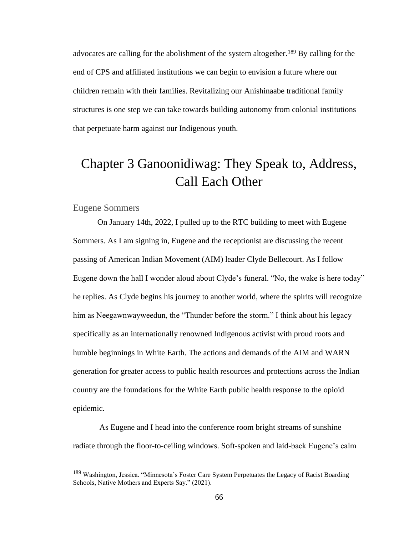advocates are calling for the abolishment of the system altogether.<sup>189</sup> By calling for the end of CPS and affiliated institutions we can begin to envision a future where our children remain with their families. Revitalizing our Anishinaabe traditional family structures is one step we can take towards building autonomy from colonial institutions that perpetuate harm against our Indigenous youth.

# Chapter 3 Ganoonidiwag: They Speak to, Address, Call Each Other

#### Eugene Sommers

On January 14th, 2022, I pulled up to the RTC building to meet with Eugene Sommers. As I am signing in, Eugene and the receptionist are discussing the recent passing of American Indian Movement (AIM) leader Clyde Bellecourt. As I follow Eugene down the hall I wonder aloud about Clyde's funeral. "No, the wake is here today" he replies. As Clyde begins his journey to another world, where the spirits will recognize him as Neegawnwayweedun, the "Thunder before the storm." I think about his legacy specifically as an internationally renowned Indigenous activist with proud roots and humble beginnings in White Earth. The actions and demands of the AIM and WARN generation for greater access to public health resources and protections across the Indian country are the foundations for the White Earth public health response to the opioid epidemic.

As Eugene and I head into the conference room bright streams of sunshine radiate through the floor-to-ceiling windows. Soft-spoken and laid-back Eugene's calm

<sup>189</sup> Washington, Jessica. "Minnesota's Foster Care System Perpetuates the Legacy of Racist Boarding Schools, Native Mothers and Experts Say." (2021).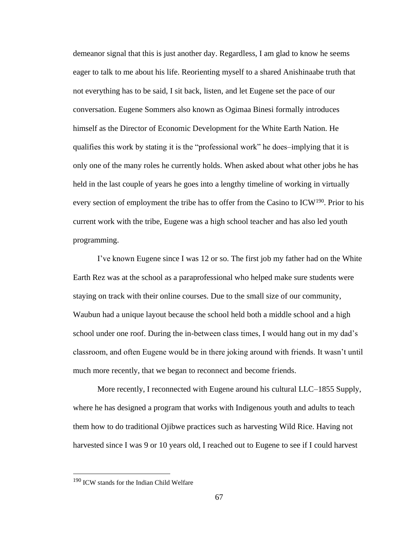demeanor signal that this is just another day. Regardless, I am glad to know he seems eager to talk to me about his life. Reorienting myself to a shared Anishinaabe truth that not everything has to be said, I sit back, listen, and let Eugene set the pace of our conversation. Eugene Sommers also known as Ogimaa Binesi formally introduces himself as the Director of Economic Development for the White Earth Nation. He qualifies this work by stating it is the "professional work" he does–implying that it is only one of the many roles he currently holds. When asked about what other jobs he has held in the last couple of years he goes into a lengthy timeline of working in virtually every section of employment the tribe has to offer from the Casino to  $ICW<sup>190</sup>$ . Prior to his current work with the tribe, Eugene was a high school teacher and has also led youth programming.

I've known Eugene since I was 12 or so. The first job my father had on the White Earth Rez was at the school as a paraprofessional who helped make sure students were staying on track with their online courses. Due to the small size of our community, Waubun had a unique layout because the school held both a middle school and a high school under one roof. During the in-between class times, I would hang out in my dad's classroom, and often Eugene would be in there joking around with friends. It wasn't until much more recently, that we began to reconnect and become friends.

More recently, I reconnected with Eugene around his cultural LLC–1855 Supply, where he has designed a program that works with Indigenous youth and adults to teach them how to do traditional Ojibwe practices such as harvesting Wild Rice. Having not harvested since I was 9 or 10 years old, I reached out to Eugene to see if I could harvest

<sup>&</sup>lt;sup>190</sup> ICW stands for the Indian Child Welfare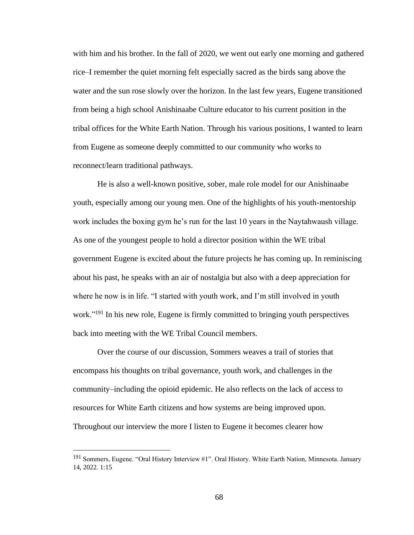with him and his brother. In the fall of 2020, we went out early one morning and gathered rice–I remember the quiet morning felt especially sacred as the birds sang above the water and the sun rose slowly over the horizon. In the last few years, Eugene transitioned from being a high school Anishinaabe Culture educator to his current position in the tribal offices for the White Earth Nation. Through his various positions, I wanted to learn from Eugene as someone deeply committed to our community who works to reconnect/learn traditional pathways.

He is also a well-known positive, sober, male role model for our Anishinaabe youth, especially among our young men. One of the highlights of his youth-mentorship work includes the boxing gym he's run for the last 10 years in the Naytahwaush village. As one of the youngest people to hold a director position within the WE tribal government Eugene is excited about the future projects he has coming up. In reminiscing about his past, he speaks with an air of nostalgia but also with a deep appreciation for where he now is in life. "I started with youth work, and I'm still involved in youth work."<sup>191</sup> In his new role, Eugene is firmly committed to bringing youth perspectives back into meeting with the WE Tribal Council members.

Over the course of our discussion, Sommers weaves a trail of stories that encompass his thoughts on tribal governance, youth work, and challenges in the community–including the opioid epidemic. He also reflects on the lack of access to resources for White Earth citizens and how systems are being improved upon. Throughout our interview the more I listen to Eugene it becomes clearer how

<sup>&</sup>lt;sup>191</sup> Sommers, Eugene. "Oral History Interview #1". Oral History. White Earth Nation, Minnesota. January 14, 2022. 1:15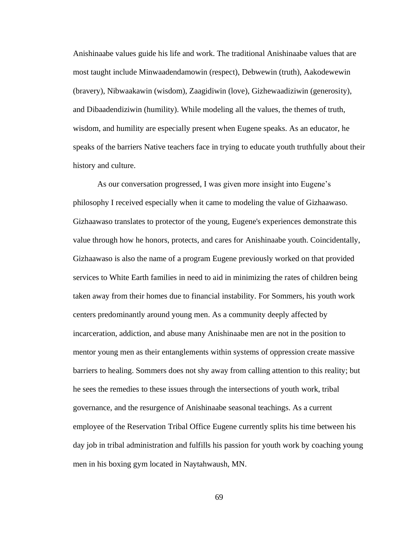Anishinaabe values guide his life and work. The traditional Anishinaabe values that are most taught include Minwaadendamowin (respect), Debwewin (truth), Aakodewewin (bravery), Nibwaakawin (wisdom), Zaagidiwin (love), Gizhewaadiziwin (generosity), and Dibaadendiziwin (humility). While modeling all the values, the themes of truth, wisdom, and humility are especially present when Eugene speaks. As an educator, he speaks of the barriers Native teachers face in trying to educate youth truthfully about their history and culture.

As our conversation progressed, I was given more insight into Eugene's philosophy I received especially when it came to modeling the value of Gizhaawaso. Gizhaawaso translates to protector of the young, Eugene's experiences demonstrate this value through how he honors, protects, and cares for Anishinaabe youth. Coincidentally, Gizhaawaso is also the name of a program Eugene previously worked on that provided services to White Earth families in need to aid in minimizing the rates of children being taken away from their homes due to financial instability. For Sommers, his youth work centers predominantly around young men. As a community deeply affected by incarceration, addiction, and abuse many Anishinaabe men are not in the position to mentor young men as their entanglements within systems of oppression create massive barriers to healing. Sommers does not shy away from calling attention to this reality; but he sees the remedies to these issues through the intersections of youth work, tribal governance, and the resurgence of Anishinaabe seasonal teachings. As a current employee of the Reservation Tribal Office Eugene currently splits his time between his day job in tribal administration and fulfills his passion for youth work by coaching young men in his boxing gym located in Naytahwaush, MN.

69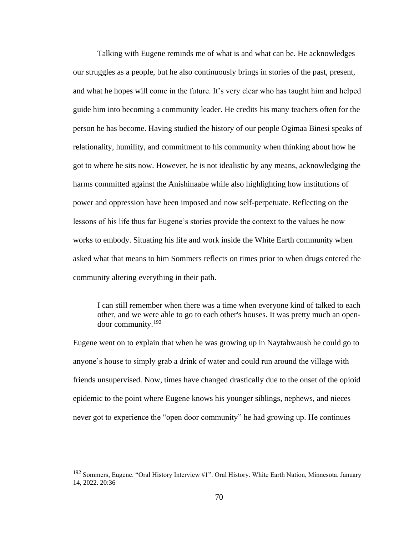Talking with Eugene reminds me of what is and what can be. He acknowledges our struggles as a people, but he also continuously brings in stories of the past, present, and what he hopes will come in the future. It's very clear who has taught him and helped guide him into becoming a community leader. He credits his many teachers often for the person he has become. Having studied the history of our people Ogimaa Binesi speaks of relationality, humility, and commitment to his community when thinking about how he got to where he sits now. However, he is not idealistic by any means, acknowledging the harms committed against the Anishinaabe while also highlighting how institutions of power and oppression have been imposed and now self-perpetuate. Reflecting on the lessons of his life thus far Eugene's stories provide the context to the values he now works to embody. Situating his life and work inside the White Earth community when asked what that means to him Sommers reflects on times prior to when drugs entered the community altering everything in their path.

I can still remember when there was a time when everyone kind of talked to each other, and we were able to go to each other's houses. It was pretty much an opendoor community.<sup>192</sup>

Eugene went on to explain that when he was growing up in Naytahwaush he could go to anyone's house to simply grab a drink of water and could run around the village with friends unsupervised. Now, times have changed drastically due to the onset of the opioid epidemic to the point where Eugene knows his younger siblings, nephews, and nieces never got to experience the "open door community" he had growing up. He continues

<sup>192</sup> Sommers, Eugene. "Oral History Interview #1". Oral History. White Earth Nation, Minnesota. January 14, 2022. 20:36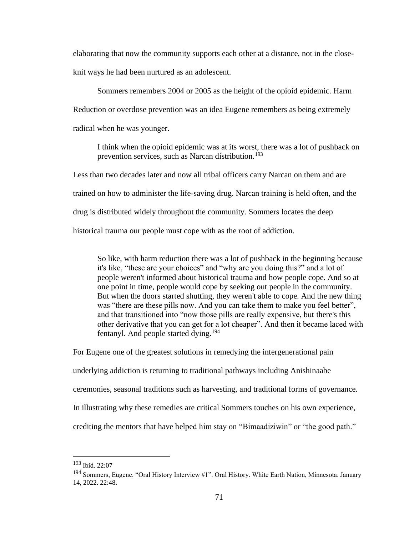elaborating that now the community supports each other at a distance, not in the close-

knit ways he had been nurtured as an adolescent.

Sommers remembers 2004 or 2005 as the height of the opioid epidemic. Harm Reduction or overdose prevention was an idea Eugene remembers as being extremely radical when he was younger.

I think when the opioid epidemic was at its worst, there was a lot of pushback on prevention services, such as Narcan distribution.<sup>193</sup>

Less than two decades later and now all tribal officers carry Narcan on them and are trained on how to administer the life-saving drug. Narcan training is held often, and the drug is distributed widely throughout the community. Sommers locates the deep historical trauma our people must cope with as the root of addiction.

So like, with harm reduction there was a lot of pushback in the beginning because it's like, "these are your choices" and "why are you doing this?" and a lot of people weren't informed about historical trauma and how people cope. And so at one point in time, people would cope by seeking out people in the community. But when the doors started shutting, they weren't able to cope. And the new thing was "there are these pills now. And you can take them to make you feel better", and that transitioned into "now those pills are really expensive, but there's this other derivative that you can get for a lot cheaper". And then it became laced with fentanyl. And people started dying.<sup>194</sup>

For Eugene one of the greatest solutions in remedying the intergenerational pain

underlying addiction is returning to traditional pathways including Anishinaabe

ceremonies, seasonal traditions such as harvesting, and traditional forms of governance.

In illustrating why these remedies are critical Sommers touches on his own experience,

crediting the mentors that have helped him stay on "Bimaadiziwin" or "the good path."

<sup>193</sup> Ibid. 22:07

<sup>194</sup> Sommers, Eugene. "Oral History Interview #1". Oral History. White Earth Nation, Minnesota. January 14, 2022. 22:48.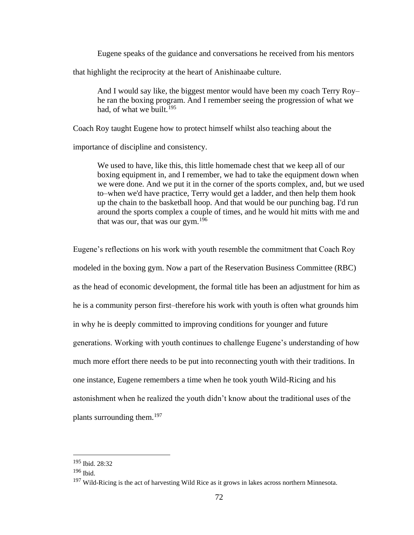Eugene speaks of the guidance and conversations he received from his mentors

that highlight the reciprocity at the heart of Anishinaabe culture.

And I would say like, the biggest mentor would have been my coach Terry Roy– he ran the boxing program. And I remember seeing the progression of what we had, of what we built.<sup>195</sup>

Coach Roy taught Eugene how to protect himself whilst also teaching about the

importance of discipline and consistency.

We used to have, like this, this little homemade chest that we keep all of our boxing equipment in, and I remember, we had to take the equipment down when we were done. And we put it in the corner of the sports complex, and, but we used to–when we'd have practice, Terry would get a ladder, and then help them hook up the chain to the basketball hoop. And that would be our punching bag. I'd run around the sports complex a couple of times, and he would hit mitts with me and that was our, that was our gym. $196$ 

Eugene's reflections on his work with youth resemble the commitment that Coach Roy modeled in the boxing gym. Now a part of the Reservation Business Committee (RBC) as the head of economic development, the formal title has been an adjustment for him as he is a community person first–therefore his work with youth is often what grounds him in why he is deeply committed to improving conditions for younger and future generations. Working with youth continues to challenge Eugene's understanding of how much more effort there needs to be put into reconnecting youth with their traditions. In one instance, Eugene remembers a time when he took youth Wild-Ricing and his astonishment when he realized the youth didn't know about the traditional uses of the plants surrounding them.<sup>197</sup>

<sup>195</sup> Ibid. 28:32

<sup>196</sup> Ibid.

<sup>&</sup>lt;sup>197</sup> Wild-Ricing is the act of harvesting Wild Rice as it grows in lakes across northern Minnesota.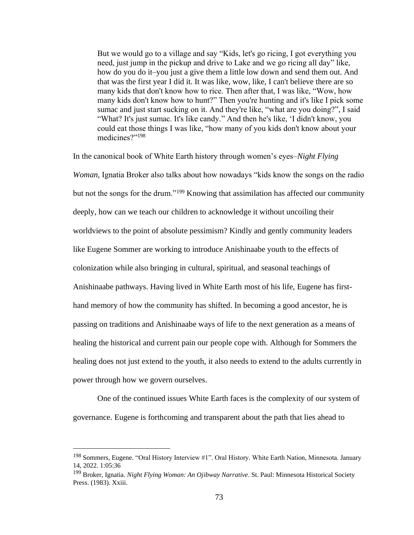But we would go to a village and say "Kids, let's go ricing, I got everything you need, just jump in the pickup and drive to Lake and we go ricing all day" like, how do you do it–you just a give them a little low down and send them out. And that was the first year I did it. It was like, wow, like, I can't believe there are so many kids that don't know how to rice. Then after that, I was like, "Wow, how many kids don't know how to hunt?" Then you're hunting and it's like I pick some sumac and just start sucking on it. And they're like, "what are you doing?", I said "What? It's just sumac. It's like candy." And then he's like, 'I didn't know, you could eat those things I was like, "how many of you kids don't know about your medicines?"<sup>198</sup>

In the canonical book of White Earth history through women's eyes–*Night Flying Woman*, Ignatia Broker also talks about how nowadays "kids know the songs on the radio but not the songs for the drum."<sup>199</sup> Knowing that assimilation has affected our community deeply, how can we teach our children to acknowledge it without uncoiling their worldviews to the point of absolute pessimism? Kindly and gently community leaders like Eugene Sommer are working to introduce Anishinaabe youth to the effects of colonization while also bringing in cultural, spiritual, and seasonal teachings of Anishinaabe pathways. Having lived in White Earth most of his life, Eugene has firsthand memory of how the community has shifted. In becoming a good ancestor, he is passing on traditions and Anishinaabe ways of life to the next generation as a means of healing the historical and current pain our people cope with. Although for Sommers the healing does not just extend to the youth, it also needs to extend to the adults currently in power through how we govern ourselves.

One of the continued issues White Earth faces is the complexity of our system of governance. Eugene is forthcoming and transparent about the path that lies ahead to

<sup>198</sup> Sommers, Eugene. "Oral History Interview #1". Oral History. White Earth Nation, Minnesota. January 14, 2022. 1:05:36

<sup>199</sup> Broker, Ignatia. *Night Flying Woman: An Ojibway Narrative.* St. Paul: Minnesota Historical Society Press. (1983). Xxiii.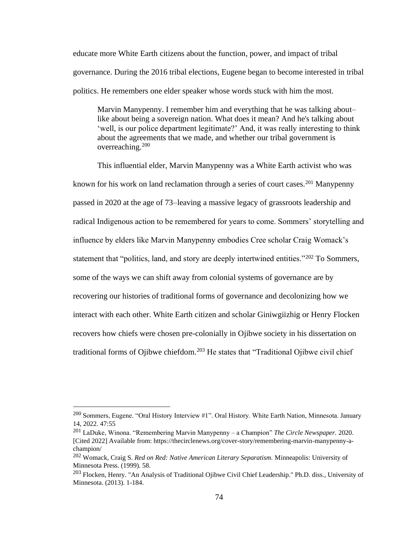educate more White Earth citizens about the function, power, and impact of tribal governance. During the 2016 tribal elections, Eugene began to become interested in tribal politics. He remembers one elder speaker whose words stuck with him the most.

Marvin Manypenny. I remember him and everything that he was talking about– like about being a sovereign nation. What does it mean? And he's talking about 'well, is our police department legitimate?' And, it was really interesting to think about the agreements that we made, and whether our tribal government is overreaching.<sup>200</sup>

This influential elder, Marvin Manypenny was a White Earth activist who was known for his work on land reclamation through a series of court cases.<sup>201</sup> Manypenny passed in 2020 at the age of 73–leaving a massive legacy of grassroots leadership and radical Indigenous action to be remembered for years to come. Sommers' storytelling and influence by elders like Marvin Manypenny embodies Cree scholar Craig Womack's statement that "politics, land, and story are deeply intertwined entities."<sup>202</sup> To Sommers, some of the ways we can shift away from colonial systems of governance are by recovering our histories of traditional forms of governance and decolonizing how we interact with each other. White Earth citizen and scholar Giniwgiizhig or Henry Flocken recovers how chiefs were chosen pre-colonially in Ojibwe society in his dissertation on traditional forms of Ojibwe chiefdom.<sup>203</sup> He states that "Traditional Ojibwe civil chief

<sup>200</sup> Sommers, Eugene. "Oral History Interview #1". Oral History. White Earth Nation, Minnesota. January 14, 2022. 47:55

<sup>201</sup> LaDuke, Winona. "Remembering Marvin Manypenny – a Champion" *The Circle Newspaper.* 2020. [Cited 2022] Available from: https://thecirclenews.org/cover-story/remembering-marvin-manypenny-achampion/

<sup>202</sup> Womack, Craig S. *Red on Red: Native American Literary Separatism.* Minneapolis: University of Minnesota Press. (1999). 58.

<sup>203</sup> Flocken, Henry. "An Analysis of Traditional Ojibwe Civil Chief Leadership." Ph.D. diss., University of Minnesota. (2013). 1-184.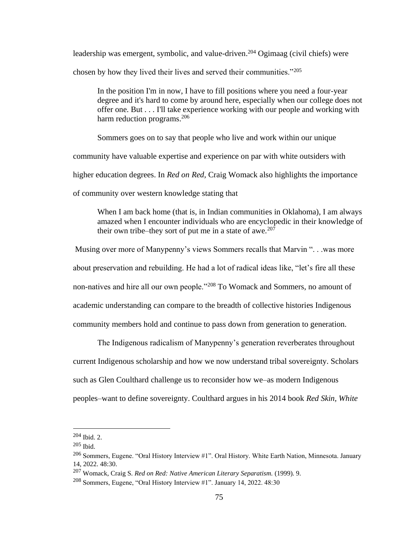leadership was emergent, symbolic, and value-driven.<sup>204</sup> Ogimaag (civil chiefs) were chosen by how they lived their lives and served their communities."<sup>205</sup>

In the position I'm in now, I have to fill positions where you need a four-year degree and it's hard to come by around here, especially when our college does not offer one. But . . . I'll take experience working with our people and working with harm reduction programs.<sup>206</sup>

Sommers goes on to say that people who live and work within our unique

community have valuable expertise and experience on par with white outsiders with

higher education degrees. In *Red on Red,* Craig Womack also highlights the importance

of community over western knowledge stating that

When I am back home (that is, in Indian communities in Oklahoma), I am always amazed when I encounter individuals who are encyclopedic in their knowledge of their own tribe–they sort of put me in a state of awe.<sup>207</sup>

Musing over more of Manypenny's views Sommers recalls that Marvin ". . .was more about preservation and rebuilding. He had a lot of radical ideas like, "let's fire all these non-natives and hire all our own people."<sup>208</sup> To Womack and Sommers, no amount of academic understanding can compare to the breadth of collective histories Indigenous community members hold and continue to pass down from generation to generation.

The Indigenous radicalism of Manypenny's generation reverberates throughout current Indigenous scholarship and how we now understand tribal sovereignty. Scholars such as Glen Coulthard challenge us to reconsider how we–as modern Indigenous peoples–want to define sovereignty. Coulthard argues in his 2014 book *Red Skin, White* 

<sup>204</sup> Ibid. 2.

 $205$  Ibid.

<sup>206</sup> Sommers, Eugene. "Oral History Interview #1". Oral History. White Earth Nation, Minnesota. January 14, 2022. 48:30.

<sup>207</sup> Womack, Craig S. *Red on Red: Native American Literary Separatism.* (1999). 9.

<sup>&</sup>lt;sup>208</sup> Sommers, Eugene, "Oral History Interview  $\#1$ ". January 14, 2022. 48:30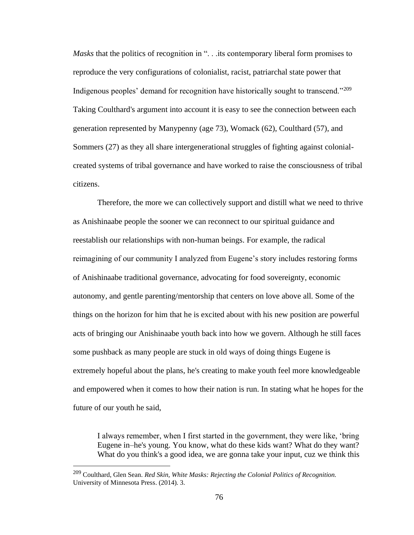*Masks* that the politics of recognition in "... its contemporary liberal form promises to reproduce the very configurations of colonialist, racist, patriarchal state power that Indigenous peoples' demand for recognition have historically sought to transcend."<sup>209</sup> Taking Coulthard's argument into account it is easy to see the connection between each generation represented by Manypenny (age 73), Womack (62), Coulthard (57), and Sommers (27) as they all share intergenerational struggles of fighting against colonialcreated systems of tribal governance and have worked to raise the consciousness of tribal citizens.

Therefore, the more we can collectively support and distill what we need to thrive as Anishinaabe people the sooner we can reconnect to our spiritual guidance and reestablish our relationships with non-human beings. For example, the radical reimagining of our community I analyzed from Eugene's story includes restoring forms of Anishinaabe traditional governance, advocating for food sovereignty, economic autonomy, and gentle parenting/mentorship that centers on love above all. Some of the things on the horizon for him that he is excited about with his new position are powerful acts of bringing our Anishinaabe youth back into how we govern. Although he still faces some pushback as many people are stuck in old ways of doing things Eugene is extremely hopeful about the plans, he's creating to make youth feel more knowledgeable and empowered when it comes to how their nation is run. In stating what he hopes for the future of our youth he said,

I always remember, when I first started in the government, they were like, 'bring Eugene in–he's young. You know, what do these kids want? What do they want? What do you think's a good idea, we are gonna take your input, cuz we think this

<sup>209</sup> Coulthard, Glen Sean. *Red Skin, White Masks: Rejecting the Colonial Politics of Recognition.*  University of Minnesota Press. (2014). 3.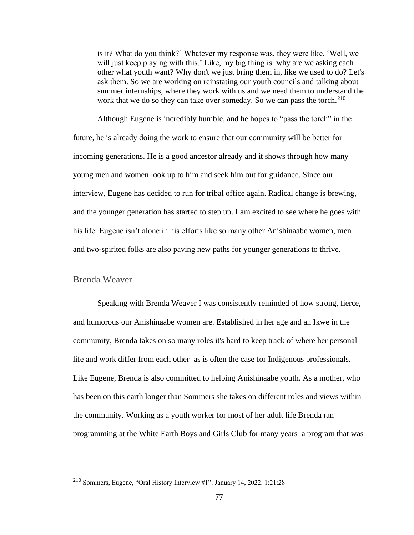is it? What do you think?' Whatever my response was, they were like, 'Well, we will just keep playing with this.' Like, my big thing is–why are we asking each other what youth want? Why don't we just bring them in, like we used to do? Let's ask them. So we are working on reinstating our youth councils and talking about summer internships, where they work with us and we need them to understand the work that we do so they can take over someday. So we can pass the torch.<sup>210</sup>

Although Eugene is incredibly humble, and he hopes to "pass the torch" in the future, he is already doing the work to ensure that our community will be better for incoming generations. He is a good ancestor already and it shows through how many young men and women look up to him and seek him out for guidance. Since our interview, Eugene has decided to run for tribal office again. Radical change is brewing, and the younger generation has started to step up. I am excited to see where he goes with his life. Eugene isn't alone in his efforts like so many other Anishinaabe women, men and two-spirited folks are also paving new paths for younger generations to thrive.

## Brenda Weaver

Speaking with Brenda Weaver I was consistently reminded of how strong, fierce, and humorous our Anishinaabe women are. Established in her age and an Ikwe in the community, Brenda takes on so many roles it's hard to keep track of where her personal life and work differ from each other–as is often the case for Indigenous professionals. Like Eugene, Brenda is also committed to helping Anishinaabe youth. As a mother, who has been on this earth longer than Sommers she takes on different roles and views within the community. Working as a youth worker for most of her adult life Brenda ran programming at the White Earth Boys and Girls Club for many years–a program that was

<sup>210</sup> Sommers, Eugene, "Oral History Interview #1". January 14, 2022. 1:21:28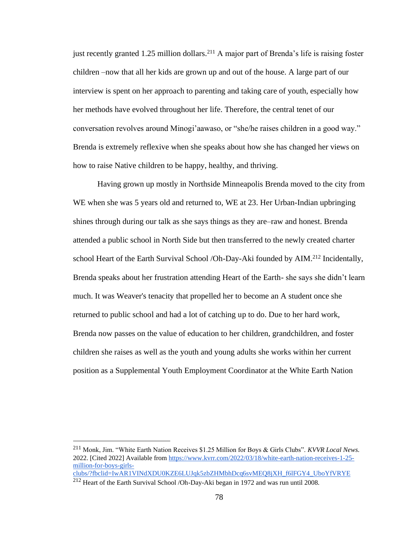just recently granted 1.25 million dollars.<sup>211</sup> A major part of Brenda's life is raising foster children –now that all her kids are grown up and out of the house. A large part of our interview is spent on her approach to parenting and taking care of youth, especially how her methods have evolved throughout her life. Therefore, the central tenet of our conversation revolves around Minogi'aawaso, or "she/he raises children in a good way." Brenda is extremely reflexive when she speaks about how she has changed her views on how to raise Native children to be happy, healthy, and thriving.

Having grown up mostly in Northside Minneapolis Brenda moved to the city from WE when she was 5 years old and returned to, WE at 23. Her Urban-Indian upbringing shines through during our talk as she says things as they are–raw and honest. Brenda attended a public school in North Side but then transferred to the newly created charter school Heart of the Earth Survival School /Oh-Day-Aki founded by AIM.<sup>212</sup> Incidentally, Brenda speaks about her frustration attending Heart of the Earth- she says she didn't learn much. It was Weaver's tenacity that propelled her to become an A student once she returned to public school and had a lot of catching up to do. Due to her hard work, Brenda now passes on the value of education to her children, grandchildren, and foster children she raises as well as the youth and young adults she works within her current position as a Supplemental Youth Employment Coordinator at the White Earth Nation

<sup>211</sup> Monk, Jim. "White Earth Nation Receives \$1.25 Million for Boys & Girls Clubs". *KVVR Local News.*  2022. [Cited 2022] Available fro[m https://www.kvrr.com/2022/03/18/white-earth-nation-receives-1-25](https://www.kvrr.com/2022/03/18/white-earth-nation-receives-1-25-million-for-boys-girls-clubs/?fbclid=IwAR1VINdXDU0KZE6LUJqk5zbZHMbhDcq6svMEQ8jXH_f6lFGY4_UboYfVRYE) [million-for-boys-girls](https://www.kvrr.com/2022/03/18/white-earth-nation-receives-1-25-million-for-boys-girls-clubs/?fbclid=IwAR1VINdXDU0KZE6LUJqk5zbZHMbhDcq6svMEQ8jXH_f6lFGY4_UboYfVRYE)[clubs/?fbclid=IwAR1VINdXDU0KZE6LUJqk5zbZHMbhDcq6svMEQ8jXH\\_f6lFGY4\\_UboYfVRYE](https://www.kvrr.com/2022/03/18/white-earth-nation-receives-1-25-million-for-boys-girls-clubs/?fbclid=IwAR1VINdXDU0KZE6LUJqk5zbZHMbhDcq6svMEQ8jXH_f6lFGY4_UboYfVRYE)

<sup>212</sup> Heart of the Earth Survival School /Oh-Day-Aki began in 1972 and was run until 2008.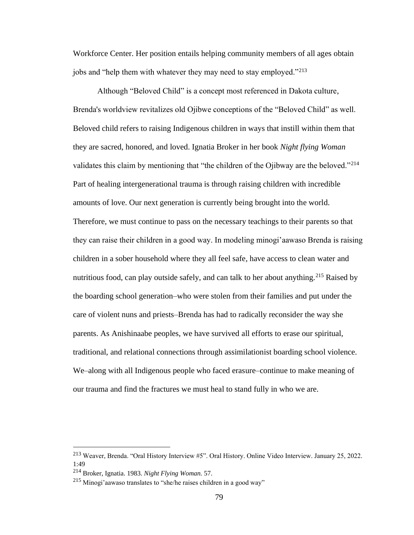Workforce Center. Her position entails helping community members of all ages obtain jobs and "help them with whatever they may need to stay employed."<sup>213</sup>

Although "Beloved Child" is a concept most referenced in Dakota culture, Brenda's worldview revitalizes old Ojibwe conceptions of the "Beloved Child" as well. Beloved child refers to raising Indigenous children in ways that instill within them that they are sacred, honored, and loved. Ignatia Broker in her book *Night flying Woman* validates this claim by mentioning that "the children of the Ojibway are the beloved."<sup>214</sup> Part of healing intergenerational trauma is through raising children with incredible amounts of love. Our next generation is currently being brought into the world. Therefore, we must continue to pass on the necessary teachings to their parents so that they can raise their children in a good way. In modeling minogi'aawaso Brenda is raising children in a sober household where they all feel safe, have access to clean water and nutritious food, can play outside safely, and can talk to her about anything.<sup>215</sup> Raised by the boarding school generation–who were stolen from their families and put under the care of violent nuns and priests–Brenda has had to radically reconsider the way she parents. As Anishinaabe peoples, we have survived all efforts to erase our spiritual, traditional, and relational connections through assimilationist boarding school violence. We–along with all Indigenous people who faced erasure–continue to make meaning of our trauma and find the fractures we must heal to stand fully in who we are.

<sup>213</sup> Weaver, Brenda. "Oral History Interview #5". Oral History. Online Video Interview. January 25, 2022. 1:49

<sup>214</sup> Broker, Ignatia. 1983. *Night Flying Woman.* 57.

 $^{215}$  Minogi'aawaso translates to "she/he raises children in a good way"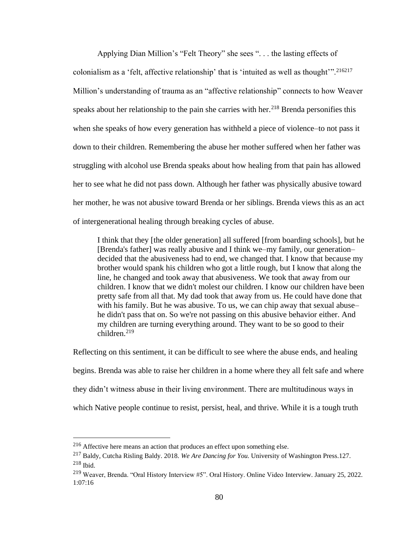Applying Dian Million's "Felt Theory" she sees ". . . the lasting effects of colonialism as a 'felt, affective relationship' that is 'intuited as well as thought'".<sup>216217</sup> Million's understanding of trauma as an "affective relationship" connects to how Weaver speaks about her relationship to the pain she carries with her.<sup>218</sup> Brenda personifies this when she speaks of how every generation has withheld a piece of violence–to not pass it down to their children. Remembering the abuse her mother suffered when her father was struggling with alcohol use Brenda speaks about how healing from that pain has allowed her to see what he did not pass down. Although her father was physically abusive toward her mother, he was not abusive toward Brenda or her siblings. Brenda views this as an act of intergenerational healing through breaking cycles of abuse.

I think that they [the older generation] all suffered [from boarding schools], but he [Brenda's father] was really abusive and I think we–my family, our generation– decided that the abusiveness had to end, we changed that. I know that because my brother would spank his children who got a little rough, but I know that along the line, he changed and took away that abusiveness. We took that away from our children. I know that we didn't molest our children. I know our children have been pretty safe from all that. My dad took that away from us. He could have done that with his family. But he was abusive. To us, we can chip away that sexual abuse– he didn't pass that on. So we're not passing on this abusive behavior either. And my children are turning everything around. They want to be so good to their children.<sup>219</sup>

Reflecting on this sentiment, it can be difficult to see where the abuse ends, and healing begins. Brenda was able to raise her children in a home where they all felt safe and where they didn't witness abuse in their living environment. There are multitudinous ways in which Native people continue to resist, persist, heal, and thrive. While it is a tough truth

<sup>216</sup> Affective here means an action that produces an effect upon something else.

<sup>217</sup> Baldy, Cutcha Risling Baldy. 2018. *We Are Dancing for You.* University of Washington Press.127. <sup>218</sup> Ibid.

<sup>219</sup> Weaver, Brenda. "Oral History Interview #5". Oral History. Online Video Interview. January 25, 2022. 1:07:16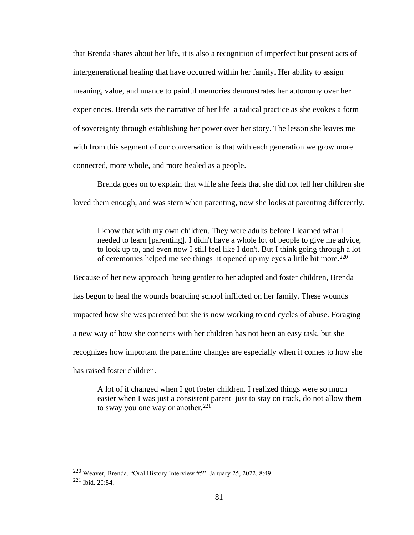that Brenda shares about her life, it is also a recognition of imperfect but present acts of intergenerational healing that have occurred within her family. Her ability to assign meaning, value, and nuance to painful memories demonstrates her autonomy over her experiences. Brenda sets the narrative of her life–a radical practice as she evokes a form of sovereignty through establishing her power over her story. The lesson she leaves me with from this segment of our conversation is that with each generation we grow more connected, more whole, and more healed as a people.

Brenda goes on to explain that while she feels that she did not tell her children she loved them enough, and was stern when parenting, now she looks at parenting differently.

I know that with my own children. They were adults before I learned what I needed to learn [parenting]. I didn't have a whole lot of people to give me advice, to look up to, and even now I still feel like I don't. But I think going through a lot of ceremonies helped me see things–it opened up my eyes a little bit more.<sup>220</sup>

Because of her new approach–being gentler to her adopted and foster children, Brenda has begun to heal the wounds boarding school inflicted on her family. These wounds impacted how she was parented but she is now working to end cycles of abuse. Foraging a new way of how she connects with her children has not been an easy task, but she recognizes how important the parenting changes are especially when it comes to how she has raised foster children.

A lot of it changed when I got foster children. I realized things were so much easier when I was just a consistent parent–just to stay on track, do not allow them to sway you one way or another. $221$ 

<sup>220</sup> Weaver, Brenda. "Oral History Interview #5". January 25, 2022. 8:49 <sup>221</sup> Ibid. 20:54.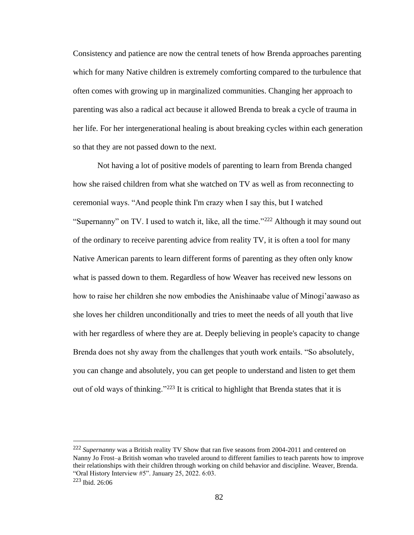Consistency and patience are now the central tenets of how Brenda approaches parenting which for many Native children is extremely comforting compared to the turbulence that often comes with growing up in marginalized communities. Changing her approach to parenting was also a radical act because it allowed Brenda to break a cycle of trauma in her life. For her intergenerational healing is about breaking cycles within each generation so that they are not passed down to the next.

Not having a lot of positive models of parenting to learn from Brenda changed how she raised children from what she watched on TV as well as from reconnecting to ceremonial ways. "And people think I'm crazy when I say this, but I watched "Supernanny" on TV. I used to watch it, like, all the time."<sup>222</sup> Although it may sound out of the ordinary to receive parenting advice from reality TV, it is often a tool for many Native American parents to learn different forms of parenting as they often only know what is passed down to them. Regardless of how Weaver has received new lessons on how to raise her children she now embodies the Anishinaabe value of Minogi'aawaso as she loves her children unconditionally and tries to meet the needs of all youth that live with her regardless of where they are at. Deeply believing in people's capacity to change Brenda does not shy away from the challenges that youth work entails. "So absolutely, you can change and absolutely, you can get people to understand and listen to get them out of old ways of thinking."<sup>223</sup> It is critical to highlight that Brenda states that it is

<sup>222</sup> *Supernanny* was a British reality TV Show that ran five seasons from 2004-2011 and centered on Nanny Jo Frost–a British woman who traveled around to different families to teach parents how to improve their relationships with their children through working on child behavior and discipline. Weaver, Brenda. "Oral History Interview #5". January 25, 2022. 6:03.  $223$  Ibid.  $26:06$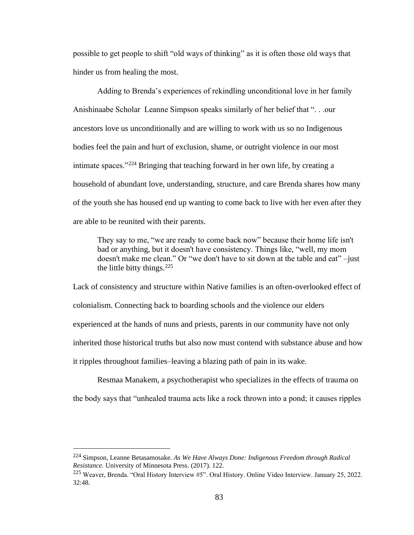possible to get people to shift "old ways of thinking" as it is often those old ways that hinder us from healing the most.

Adding to Brenda's experiences of rekindling unconditional love in her family Anishinaabe Scholar Leanne Simpson speaks similarly of her belief that ". . .our ancestors love us unconditionally and are willing to work with us so no Indigenous bodies feel the pain and hurt of exclusion, shame, or outright violence in our most intimate spaces."<sup>224</sup> Bringing that teaching forward in her own life, by creating a household of abundant love, understanding, structure, and care Brenda shares how many of the youth she has housed end up wanting to come back to live with her even after they are able to be reunited with their parents.

They say to me, "we are ready to come back now" because their home life isn't bad or anything, but it doesn't have consistency. Things like, "well, my mom doesn't make me clean." Or "we don't have to sit down at the table and eat" –just the little bitty things.  $225$ 

Lack of consistency and structure within Native families is an often-overlooked effect of colonialism. Connecting back to boarding schools and the violence our elders experienced at the hands of nuns and priests, parents in our community have not only inherited those historical truths but also now must contend with substance abuse and how it ripples throughout families–leaving a blazing path of pain in its wake.

Resmaa Manakem, a psychotherapist who specializes in the effects of trauma on the body says that "unhealed trauma acts like a rock thrown into a pond; it causes ripples

<sup>224</sup> Simpson, Leanne Betasamosake. *As We Have Always Done: Indigenous Freedom through Radical Resistance.* University of Minnesota Press. (2017). 122.

<sup>225</sup> Weaver, Brenda. "Oral History Interview #5". Oral History. Online Video Interview. January 25, 2022. 32:48.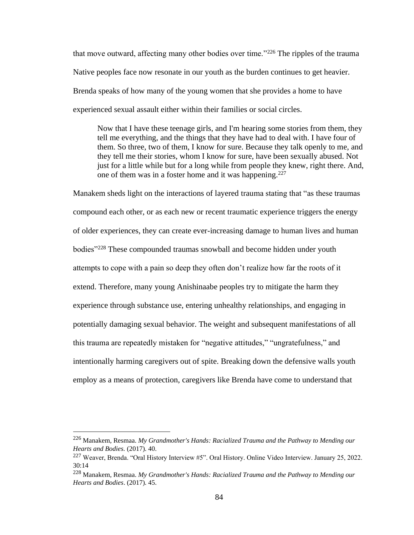that move outward, affecting many other bodies over time."<sup>226</sup> The ripples of the trauma Native peoples face now resonate in our youth as the burden continues to get heavier. Brenda speaks of how many of the young women that she provides a home to have experienced sexual assault either within their families or social circles.

Now that I have these teenage girls, and I'm hearing some stories from them, they tell me everything, and the things that they have had to deal with. I have four of them. So three, two of them, I know for sure. Because they talk openly to me, and they tell me their stories, whom I know for sure, have been sexually abused. Not just for a little while but for a long while from people they knew, right there. And, one of them was in a foster home and it was happening.<sup>227</sup>

Manakem sheds light on the interactions of layered trauma stating that "as these traumas compound each other, or as each new or recent traumatic experience triggers the energy of older experiences, they can create ever-increasing damage to human lives and human bodies"<sup>228</sup> These compounded traumas snowball and become hidden under youth attempts to cope with a pain so deep they often don't realize how far the roots of it extend. Therefore, many young Anishinaabe peoples try to mitigate the harm they experience through substance use, entering unhealthy relationships, and engaging in potentially damaging sexual behavior. The weight and subsequent manifestations of all this trauma are repeatedly mistaken for "negative attitudes," "ungratefulness," and intentionally harming caregivers out of spite. Breaking down the defensive walls youth employ as a means of protection, caregivers like Brenda have come to understand that

<sup>226</sup> Manakem, Resmaa. *My Grandmother's Hands: Racialized Trauma and the Pathway to Mending our Hearts and Bodies.* (2017). 40.

<sup>227</sup> Weaver, Brenda. "Oral History Interview #5". Oral History. Online Video Interview. January 25, 2022. 30:14

<sup>228</sup> Manakem, Resmaa. *My Grandmother's Hands: Racialized Trauma and the Pathway to Mending our Hearts and Bodies*. (2017). 45.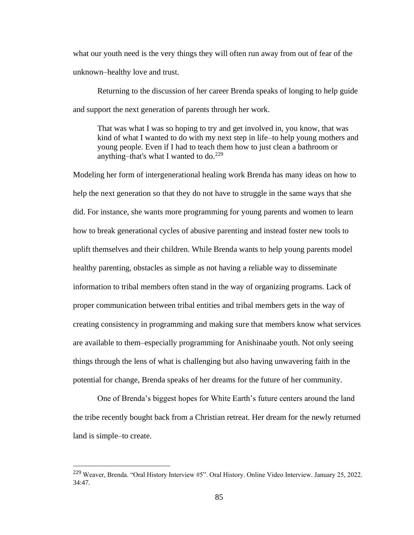what our youth need is the very things they will often run away from out of fear of the unknown–healthy love and trust.

Returning to the discussion of her career Brenda speaks of longing to help guide and support the next generation of parents through her work.

That was what I was so hoping to try and get involved in, you know, that was kind of what I wanted to do with my next step in life–to help young mothers and young people. Even if I had to teach them how to just clean a bathroom or anything–that's what I wanted to do.<sup>229</sup>

Modeling her form of intergenerational healing work Brenda has many ideas on how to help the next generation so that they do not have to struggle in the same ways that she did. For instance, she wants more programming for young parents and women to learn how to break generational cycles of abusive parenting and instead foster new tools to uplift themselves and their children. While Brenda wants to help young parents model healthy parenting, obstacles as simple as not having a reliable way to disseminate information to tribal members often stand in the way of organizing programs. Lack of proper communication between tribal entities and tribal members gets in the way of creating consistency in programming and making sure that members know what services are available to them–especially programming for Anishinaabe youth. Not only seeing things through the lens of what is challenging but also having unwavering faith in the potential for change, Brenda speaks of her dreams for the future of her community.

One of Brenda's biggest hopes for White Earth's future centers around the land the tribe recently bought back from a Christian retreat. Her dream for the newly returned land is simple–to create.

<sup>229</sup> Weaver, Brenda. "Oral History Interview #5". Oral History. Online Video Interview. January 25, 2022. 34:47.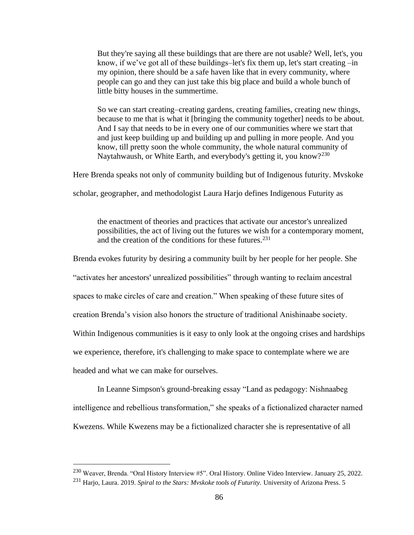But they're saying all these buildings that are there are not usable? Well, let's, you know, if we've got all of these buildings–let's fix them up, let's start creating –in my opinion, there should be a safe haven like that in every community, where people can go and they can just take this big place and build a whole bunch of little bitty houses in the summertime.

So we can start creating–creating gardens, creating families, creating new things, because to me that is what it [bringing the community together] needs to be about. And I say that needs to be in every one of our communities where we start that and just keep building up and building up and pulling in more people. And you know, till pretty soon the whole community, the whole natural community of Naytahwaush, or White Earth, and everybody's getting it, you know?<sup>230</sup>

Here Brenda speaks not only of community building but of Indigenous futurity. Mvskoke

scholar, geographer, and methodologist Laura Harjo defines Indigenous Futurity as

the enactment of theories and practices that activate our ancestor's unrealized possibilities, the act of living out the futures we wish for a contemporary moment, and the creation of the conditions for these futures.<sup>231</sup>

Brenda evokes futurity by desiring a community built by her people for her people. She

"activates her ancestors' unrealized possibilities" through wanting to reclaim ancestral

spaces to make circles of care and creation." When speaking of these future sites of

creation Brenda's vision also honors the structure of traditional Anishinaabe society.

Within Indigenous communities is it easy to only look at the ongoing crises and hardships

we experience, therefore, it's challenging to make space to contemplate where we are

headed and what we can make for ourselves.

In Leanne Simpson's ground-breaking essay "Land as pedagogy: Nishnaabeg intelligence and rebellious transformation," she speaks of a fictionalized character named Kwezens. While Kwezens may be a fictionalized character she is representative of all

<sup>230</sup> Weaver, Brenda. "Oral History Interview #5". Oral History. Online Video Interview. January 25, 2022. <sup>231</sup> Harjo, Laura. 2019. *Spiral to the Stars: Mvskoke tools of Futurity.* University of Arizona Press. 5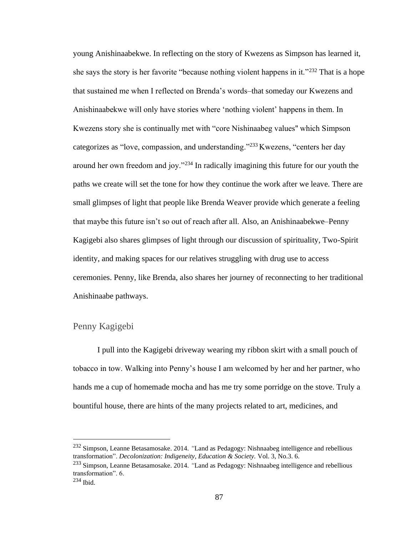young Anishinaabekwe. In reflecting on the story of Kwezens as Simpson has learned it, she says the story is her favorite "because nothing violent happens in it."<sup>232</sup> That is a hope that sustained me when I reflected on Brenda's words–that someday our Kwezens and Anishinaabekwe will only have stories where 'nothing violent' happens in them. In Kwezens story she is continually met with "core Nishinaabeg values'' which Simpson categorizes as "love, compassion, and understanding."<sup>233</sup> Kwezens, "centers her day around her own freedom and joy."<sup>234</sup> In radically imagining this future for our youth the paths we create will set the tone for how they continue the work after we leave. There are small glimpses of light that people like Brenda Weaver provide which generate a feeling that maybe this future isn't so out of reach after all. Also, an Anishinaabekwe–Penny Kagigebi also shares glimpses of light through our discussion of spirituality, Two-Spirit identity, and making spaces for our relatives struggling with drug use to access ceremonies. Penny, like Brenda, also shares her journey of reconnecting to her traditional Anishinaabe pathways.

### Penny Kagigebi

I pull into the Kagigebi driveway wearing my ribbon skirt with a small pouch of tobacco in tow. Walking into Penny's house I am welcomed by her and her partner, who hands me a cup of homemade mocha and has me try some porridge on the stove. Truly a bountiful house, there are hints of the many projects related to art, medicines, and

<sup>232</sup> Simpson, Leanne Betasamosake. 2014. *"*Land as Pedagogy: Nishnaabeg intelligence and rebellious transformation". *Decolonization: Indigeneity, Education & Society.* Vol. 3, No.3. 6.

<sup>233</sup> Simpson, Leanne Betasamosake. 2014. *"*Land as Pedagogy: Nishnaabeg intelligence and rebellious transformation". 6.

<sup>234</sup> Ibid.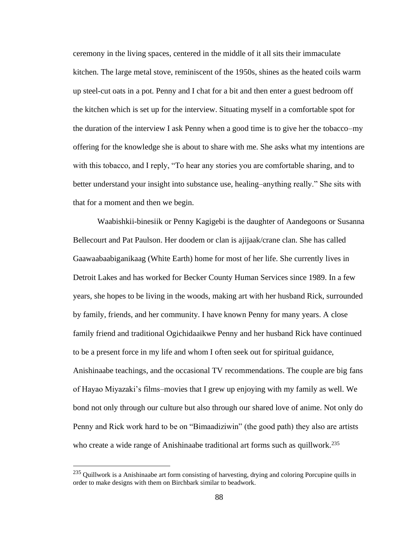ceremony in the living spaces, centered in the middle of it all sits their immaculate kitchen. The large metal stove, reminiscent of the 1950s, shines as the heated coils warm up steel-cut oats in a pot. Penny and I chat for a bit and then enter a guest bedroom off the kitchen which is set up for the interview. Situating myself in a comfortable spot for the duration of the interview I ask Penny when a good time is to give her the tobacco–my offering for the knowledge she is about to share with me. She asks what my intentions are with this tobacco, and I reply, "To hear any stories you are comfortable sharing, and to better understand your insight into substance use, healing–anything really." She sits with that for a moment and then we begin.

Waabishkii-binesiik or Penny Kagigebi is the daughter of Aandegoons or Susanna Bellecourt and Pat Paulson. Her doodem or clan is ajijaak/crane clan. She has called Gaawaabaabiganikaag (White Earth) home for most of her life. She currently lives in Detroit Lakes and has worked for Becker County Human Services since 1989. In a few years, she hopes to be living in the woods, making art with her husband Rick, surrounded by family, friends, and her community. I have known Penny for many years. A close family friend and traditional Ogichidaaikwe Penny and her husband Rick have continued to be a present force in my life and whom I often seek out for spiritual guidance, Anishinaabe teachings, and the occasional TV recommendations. The couple are big fans of Hayao Miyazaki's films–movies that I grew up enjoying with my family as well. We bond not only through our culture but also through our shared love of anime. Not only do Penny and Rick work hard to be on "Bimaadiziwin" (the good path) they also are artists who create a wide range of Anishinaabe traditional art forms such as quillwork.<sup>235</sup>

<sup>&</sup>lt;sup>235</sup> Quillwork is a Anishinaabe art form consisting of harvesting, drying and coloring Porcupine quills in order to make designs with them on Birchbark similar to beadwork.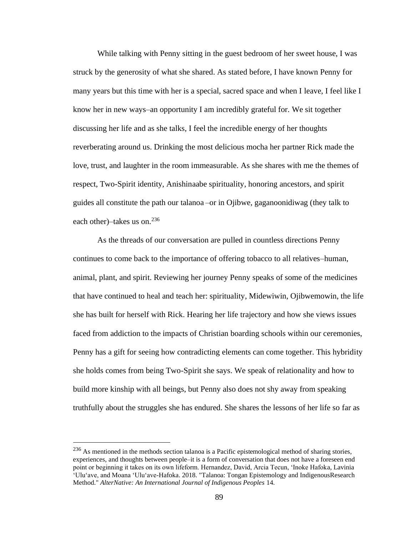While talking with Penny sitting in the guest bedroom of her sweet house, I was struck by the generosity of what she shared. As stated before, I have known Penny for many years but this time with her is a special, sacred space and when I leave, I feel like I know her in new ways–an opportunity I am incredibly grateful for. We sit together discussing her life and as she talks, I feel the incredible energy of her thoughts reverberating around us. Drinking the most delicious mocha her partner Rick made the love, trust, and laughter in the room immeasurable. As she shares with me the themes of respect, Two-Spirit identity, Anishinaabe spirituality, honoring ancestors, and spirit guides all constitute the path our talanoa –or in Ojibwe, gaganoonidiwag (they talk to each other)–takes us on.<sup>236</sup>

As the threads of our conversation are pulled in countless directions Penny continues to come back to the importance of offering tobacco to all relatives–human, animal, plant, and spirit. Reviewing her journey Penny speaks of some of the medicines that have continued to heal and teach her: spirituality, Midewiwin, Ojibwemowin, the life she has built for herself with Rick. Hearing her life trajectory and how she views issues faced from addiction to the impacts of Christian boarding schools within our ceremonies, Penny has a gift for seeing how contradicting elements can come together. This hybridity she holds comes from being Two-Spirit she says. We speak of relationality and how to build more kinship with all beings, but Penny also does not shy away from speaking truthfully about the struggles she has endured. She shares the lessons of her life so far as

<sup>&</sup>lt;sup>236</sup> As mentioned in the methods section talanoa is a Pacific epistemological method of sharing stories, experiences, and thoughts between people–it is a form of conversation that does not have a foreseen end point or beginning it takes on its own lifeform. Hernandez, David, Arcia Tecun, 'Inoke Hafoka, Lavinia 'Ulu'ave, and Moana 'Ulu'ave-Hafoka. 2018. "Talanoa: Tongan Epistemology and IndigenousResearch Method." *AlterNative: An International Journal of Indigenous Peoples* 14.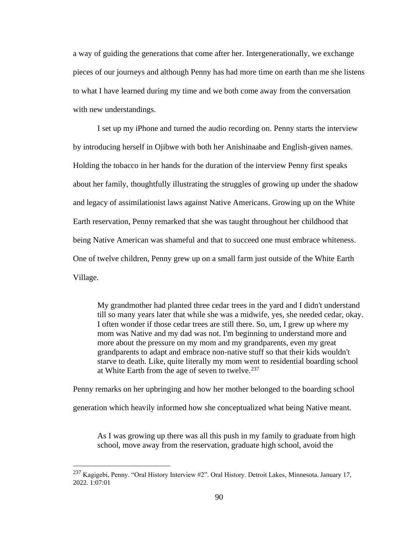a way of guiding the generations that come after her. Intergenerationally, we exchange pieces of our journeys and although Penny has had more time on earth than me she listens to what I have learned during my time and we both come away from the conversation with new understandings.

I set up my iPhone and turned the audio recording on. Penny starts the interview by introducing herself in Ojibwe with both her Anishinaabe and English-given names. Holding the tobacco in her hands for the duration of the interview Penny first speaks about her family, thoughtfully illustrating the struggles of growing up under the shadow and legacy of assimilationist laws against Native Americans. Growing up on the White Earth reservation, Penny remarked that she was taught throughout her childhood that being Native American was shameful and that to succeed one must embrace whiteness. One of twelve children, Penny grew up on a small farm just outside of the White Earth Village.

My grandmother had planted three cedar trees in the yard and I didn't understand till so many years later that while she was a midwife, yes, she needed cedar, okay. I often wonder if those cedar trees are still there. So, um, I grew up where my mom was Native and my dad was not. I'm beginning to understand more and more about the pressure on my mom and my grandparents, even my great grandparents to adapt and embrace non-native stuff so that their kids wouldn't starve to death. Like, quite literally my mom went to residential boarding school at White Earth from the age of seven to twelve. $237$ 

Penny remarks on her upbringing and how her mother belonged to the boarding school generation which heavily informed how she conceptualized what being Native meant.

As I was growing up there was all this push in my family to graduate from high school, move away from the reservation, graduate high school, avoid the

<sup>237</sup> Kagigebi, Penny. "Oral History Interview #2". Oral History. Detroit Lakes, Minnesota. January 17, 2022. 1:07:01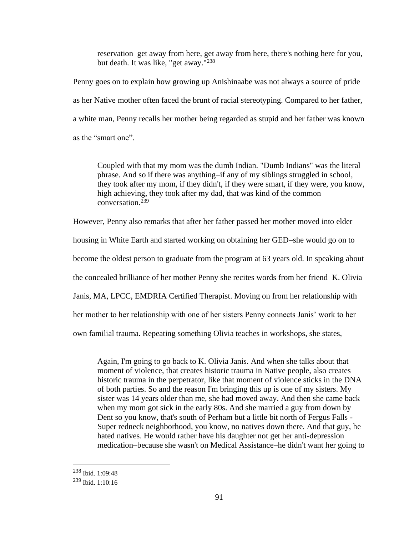reservation–get away from here, get away from here, there's nothing here for you, but death. It was like, "get away."<sup>238</sup>

Penny goes on to explain how growing up Anishinaabe was not always a source of pride as her Native mother often faced the brunt of racial stereotyping. Compared to her father, a white man, Penny recalls her mother being regarded as stupid and her father was known as the "smart one".

Coupled with that my mom was the dumb Indian. "Dumb Indians" was the literal phrase. And so if there was anything–if any of my siblings struggled in school, they took after my mom, if they didn't, if they were smart, if they were, you know, high achieving, they took after my dad, that was kind of the common conversation.<sup>239</sup>

However, Penny also remarks that after her father passed her mother moved into elder housing in White Earth and started working on obtaining her GED–she would go on to become the oldest person to graduate from the program at 63 years old. In speaking about the concealed brilliance of her mother Penny she recites words from her friend–K. Olivia Janis, MA, LPCC, EMDRIA Certified Therapist. Moving on from her relationship with her mother to her relationship with one of her sisters Penny connects Janis' work to her own familial trauma. Repeating something Olivia teaches in workshops, she states,

Again, I'm going to go back to K. Olivia Janis. And when she talks about that moment of violence, that creates historic trauma in Native people, also creates historic trauma in the perpetrator, like that moment of violence sticks in the DNA of both parties. So and the reason I'm bringing this up is one of my sisters. My sister was 14 years older than me, she had moved away. And then she came back when my mom got sick in the early 80s. And she married a guy from down by Dent so you know, that's south of Perham but a little bit north of Fergus Falls - Super redneck neighborhood, you know, no natives down there. And that guy, he hated natives. He would rather have his daughter not get her anti-depression medication–because she wasn't on Medical Assistance–he didn't want her going to

<sup>238</sup> Ibid. 1:09:48

 $239$  Ibid. 1:10:16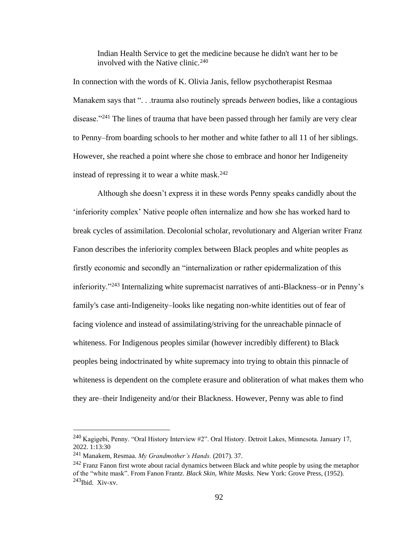Indian Health Service to get the medicine because he didn't want her to be involved with the Native clinic.  $240$ 

In connection with the words of K. Olivia Janis, fellow psychotherapist Resmaa Manakem says that ". . .trauma also routinely spreads *between* bodies, like a contagious disease."<sup>241</sup> The lines of trauma that have been passed through her family are very clear to Penny–from boarding schools to her mother and white father to all 11 of her siblings. However, she reached a point where she chose to embrace and honor her Indigeneity instead of repressing it to wear a white mask. $242$ 

Although she doesn't express it in these words Penny speaks candidly about the 'inferiority complex' Native people often internalize and how she has worked hard to break cycles of assimilation. Decolonial scholar, revolutionary and Algerian writer Franz Fanon describes the inferiority complex between Black peoples and white peoples as firstly economic and secondly an "internalization or rather epidermalization of this inferiority."<sup>243</sup> Internalizing white supremacist narratives of anti-Blackness–or in Penny's family's case anti-Indigeneity–looks like negating non-white identities out of fear of facing violence and instead of assimilating/striving for the unreachable pinnacle of whiteness. For Indigenous peoples similar (however incredibly different) to Black peoples being indoctrinated by white supremacy into trying to obtain this pinnacle of whiteness is dependent on the complete erasure and obliteration of what makes them who they are–their Indigeneity and/or their Blackness. However, Penny was able to find

<sup>&</sup>lt;sup>240</sup> Kagigebi, Penny. "Oral History Interview  $\#2$ ". Oral History. Detroit Lakes, Minnesota. January 17, 2022. 1:13:30

<sup>241</sup> Manakem, Resmaa. *My Grandmother's Hands.* (2017). 37.

 $242$  Franz Fanon first wrote about racial dynamics between Black and white people by using the metaphor of the "white mask". From Fanon Frantz. *Black Skin, White Masks.* New York: Grove Press, (1952).  $^{243}$ Ibid. Xiv-xv.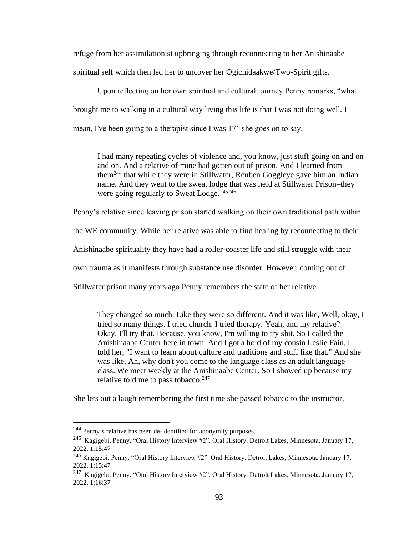refuge from her assimilationist upbringing through reconnecting to her Anishinaabe spiritual self which then led her to uncover her Ogichidaakwe/Two-Spirit gifts.

Upon reflecting on her own spiritual and cultural journey Penny remarks, "what brought me to walking in a cultural way living this life is that I was not doing well. I mean, I've been going to a therapist since I was 17" she goes on to say,

I had many repeating cycles of violence and, you know, just stuff going on and on and on. And a relative of mine had gotten out of prison. And I learned from them<sup>244</sup> that while they were in Stillwater, Reuben Goggleye gave him an Indian name. And they went to the sweat lodge that was held at Stillwater Prison–they were going regularly to Sweat Lodge.<sup>245246</sup>

Penny's relative since leaving prison started walking on their own traditional path within

the WE community. While her relative was able to find healing by reconnecting to their

Anishinaabe spirituality they have had a roller-coaster life and still struggle with their

own trauma as it manifests through substance use disorder. However, coming out of

Stillwater prison many years ago Penny remembers the state of her relative.

They changed so much. Like they were so different. And it was like, Well, okay, I tried so many things. I tried church. I tried therapy. Yeah, and my relative? – Okay, I'll try that. Because, you know, I'm willing to try shit. So I called the Anishinaabe Center here in town. And I got a hold of my cousin Leslie Fain. I told her, "I want to learn about culture and traditions and stuff like that." And she was like, Ah, why don't you come to the language class as an adult language class. We meet weekly at the Anishinaabe Center. So I showed up because my relative told me to pass tobacco. $247$ 

She lets out a laugh remembering the first time she passed tobacco to the instructor,

<sup>&</sup>lt;sup>244</sup> Penny's relative has been de-identified for anonymity purposes.

<sup>&</sup>lt;sup>245</sup> Kagigebi, Penny. "Oral History Interview #2". Oral History. Detroit Lakes, Minnesota. January 17, 2022. 1:15:47

<sup>246</sup> Kagigebi, Penny. "Oral History Interview #2". Oral History. Detroit Lakes, Minnesota. January 17, 2022. 1:15:47

<sup>&</sup>lt;sup>247</sup> Kagigebi, Penny. "Oral History Interview #2". Oral History. Detroit Lakes, Minnesota. January 17, 2022. 1:16:37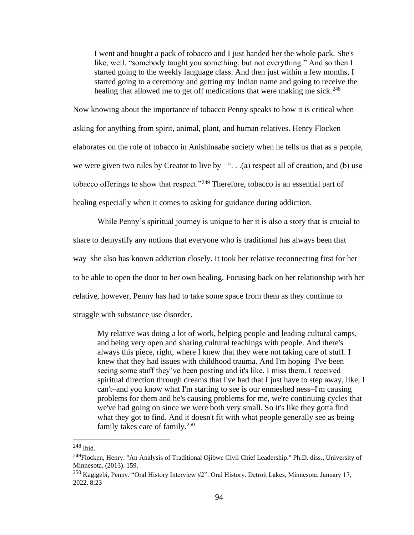I went and bought a pack of tobacco and I just handed her the whole pack. She's like, well, "somebody taught you something, but not everything." And so then I started going to the weekly language class. And then just within a few months, I started going to a ceremony and getting my Indian name and going to receive the healing that allowed me to get off medications that were making me sick.<sup>248</sup>

Now knowing about the importance of tobacco Penny speaks to how it is critical when asking for anything from spirit, animal, plant, and human relatives. Henry Flocken elaborates on the role of tobacco in Anishinaabe society when he tells us that as a people, we were given two rules by Creator to live by–" $\ldots$  (a) respect all of creation, and (b) use tobacco offerings to show that respect."<sup>249</sup> Therefore, tobacco is an essential part of healing especially when it comes to asking for guidance during addiction.

While Penny's spiritual journey is unique to her it is also a story that is crucial to share to demystify any notions that everyone who is traditional has always been that way–she also has known addiction closely. It took her relative reconnecting first for her to be able to open the door to her own healing. Focusing back on her relationship with her relative, however, Penny has had to take some space from them as they continue to struggle with substance use disorder.

My relative was doing a lot of work, helping people and leading cultural camps, and being very open and sharing cultural teachings with people. And there's always this piece, right, where I knew that they were not taking care of stuff. I knew that they had issues with childhood trauma. And I'm hoping–I've been seeing some stuff they've been posting and it's like, I miss them. I received spiritual direction through dreams that I've had that I just have to step away, like, I can't–and you know what I'm starting to see is our enmeshed ness–I'm causing problems for them and he's causing problems for me, we're continuing cycles that we've had going on since we were both very small. So it's like they gotta find what they got to find. And it doesn't fit with what people generally see as being family takes care of family.<sup>250</sup>

<sup>248</sup> Ibid.

<sup>&</sup>lt;sup>249</sup>Flocken, Henry. "An Analysis of Traditional Ojibwe Civil Chief Leadership." Ph.D. diss., University of Minnesota. (2013). 159.

<sup>250</sup> Kagigebi, Penny. "Oral History Interview #2". Oral History. Detroit Lakes, Minnesota. January 17, 2022. 8:23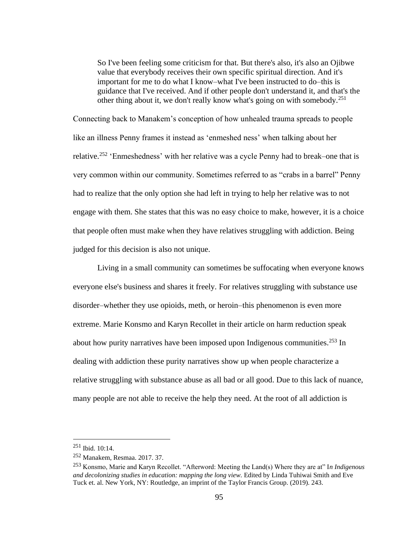So I've been feeling some criticism for that. But there's also, it's also an Ojibwe value that everybody receives their own specific spiritual direction. And it's important for me to do what I know–what I've been instructed to do–this is guidance that I've received. And if other people don't understand it, and that's the other thing about it, we don't really know what's going on with somebody.<sup>251</sup>

Connecting back to Manakem's conception of how unhealed trauma spreads to people like an illness Penny frames it instead as 'enmeshed ness' when talking about her relative.<sup>252</sup> 'Enmeshedness' with her relative was a cycle Penny had to break–one that is very common within our community. Sometimes referred to as "crabs in a barrel" Penny had to realize that the only option she had left in trying to help her relative was to not engage with them. She states that this was no easy choice to make, however, it is a choice that people often must make when they have relatives struggling with addiction. Being judged for this decision is also not unique.

Living in a small community can sometimes be suffocating when everyone knows everyone else's business and shares it freely. For relatives struggling with substance use disorder–whether they use opioids, meth, or heroin–this phenomenon is even more extreme. Marie Konsmo and Karyn Recollet in their article on harm reduction speak about how purity narratives have been imposed upon Indigenous communities.<sup>253</sup> In dealing with addiction these purity narratives show up when people characterize a relative struggling with substance abuse as all bad or all good. Due to this lack of nuance, many people are not able to receive the help they need. At the root of all addiction is

<sup>251</sup> Ibid. 10:14.

<sup>252</sup> Manakem, Resmaa. 2017. 37.

<sup>253</sup> Konsmo, Marie and Karyn Recollet. "Afterword: Meeting the Land(s) Where they are at" I*n Indigenous and decolonizing studies in education: mapping the long view.* Edited by Linda Tuhiwai Smith and Eve Tuck et. al. New York, NY: Routledge, an imprint of the Taylor Francis Group. (2019). 243.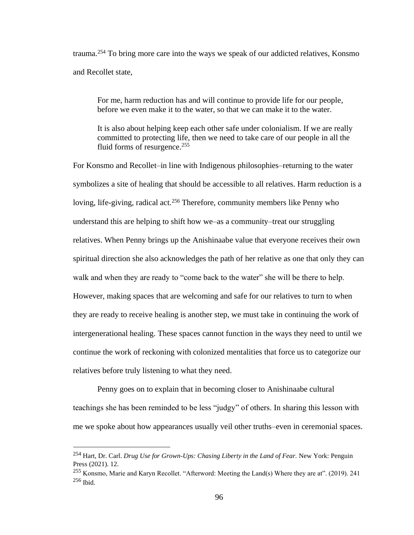trauma.<sup>254</sup> To bring more care into the ways we speak of our addicted relatives, Konsmo and Recollet state,

For me, harm reduction has and will continue to provide life for our people, before we even make it to the water, so that we can make it to the water.

It is also about helping keep each other safe under colonialism. If we are really committed to protecting life, then we need to take care of our people in all the fluid forms of resurgence.<sup>255</sup>

For Konsmo and Recollet–in line with Indigenous philosophies–returning to the water symbolizes a site of healing that should be accessible to all relatives. Harm reduction is a loving, life-giving, radical act.<sup>256</sup> Therefore, community members like Penny who understand this are helping to shift how we–as a community–treat our struggling relatives. When Penny brings up the Anishinaabe value that everyone receives their own spiritual direction she also acknowledges the path of her relative as one that only they can walk and when they are ready to "come back to the water" she will be there to help. However, making spaces that are welcoming and safe for our relatives to turn to when they are ready to receive healing is another step, we must take in continuing the work of intergenerational healing. These spaces cannot function in the ways they need to until we continue the work of reckoning with colonized mentalities that force us to categorize our relatives before truly listening to what they need.

Penny goes on to explain that in becoming closer to Anishinaabe cultural teachings she has been reminded to be less "judgy" of others. In sharing this lesson with me we spoke about how appearances usually veil other truths–even in ceremonial spaces.

<sup>254</sup> Hart, Dr. Carl. *Drug Use for Grown-Ups: Chasing Liberty in the Land of Fear.* New York: Penguin Press (2021). 12.

<sup>255</sup> Konsmo, Marie and Karyn Recollet. "Afterword: Meeting the Land(s) Where they are at". (2019). 241  $256$  Ibid.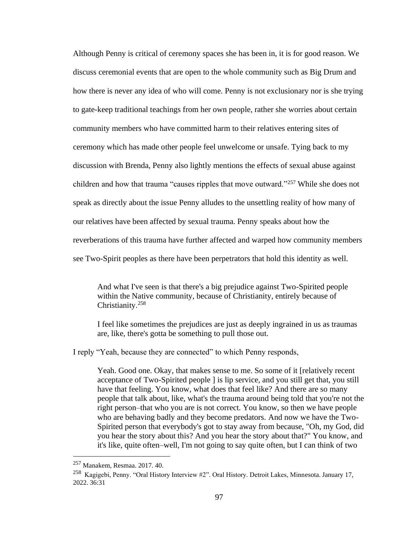Although Penny is critical of ceremony spaces she has been in, it is for good reason. We discuss ceremonial events that are open to the whole community such as Big Drum and how there is never any idea of who will come. Penny is not exclusionary nor is she trying to gate-keep traditional teachings from her own people, rather she worries about certain community members who have committed harm to their relatives entering sites of ceremony which has made other people feel unwelcome or unsafe. Tying back to my discussion with Brenda, Penny also lightly mentions the effects of sexual abuse against children and how that trauma "causes ripples that move outward."<sup>257</sup> While she does not speak as directly about the issue Penny alludes to the unsettling reality of how many of our relatives have been affected by sexual trauma. Penny speaks about how the reverberations of this trauma have further affected and warped how community members see Two-Spirit peoples as there have been perpetrators that hold this identity as well.

And what I've seen is that there's a big prejudice against Two-Spirited people within the Native community, because of Christianity, entirely because of Christianity.<sup>258</sup>

I feel like sometimes the prejudices are just as deeply ingrained in us as traumas are, like, there's gotta be something to pull those out.

I reply "Yeah, because they are connected" to which Penny responds,

Yeah. Good one. Okay, that makes sense to me. So some of it [relatively recent acceptance of Two-Spirited people ] is lip service, and you still get that, you still have that feeling. You know, what does that feel like? And there are so many people that talk about, like, what's the trauma around being told that you're not the right person–that who you are is not correct. You know, so then we have people who are behaving badly and they become predators. And now we have the Two-Spirited person that everybody's got to stay away from because, "Oh, my God, did you hear the story about this? And you hear the story about that?" You know, and it's like, quite often–well, I'm not going to say quite often, but I can think of two

<sup>257</sup> Manakem, Resmaa. 2017. 40.

<sup>&</sup>lt;sup>258</sup> Kagigebi, Penny. "Oral History Interview #2". Oral History. Detroit Lakes, Minnesota. January 17, 2022. 36:31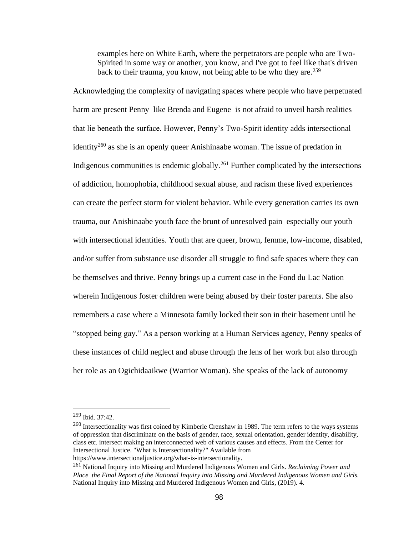examples here on White Earth, where the perpetrators are people who are Two-Spirited in some way or another, you know, and I've got to feel like that's driven back to their trauma, you know, not being able to be who they are.<sup>259</sup>

Acknowledging the complexity of navigating spaces where people who have perpetuated harm are present Penny–like Brenda and Eugene–is not afraid to unveil harsh realities that lie beneath the surface. However, Penny's Two-Spirit identity adds intersectional identity<sup>260</sup> as she is an openly queer Anishinaabe woman. The issue of predation in Indigenous communities is endemic globally.<sup>261</sup> Further complicated by the intersections of addiction, homophobia, childhood sexual abuse, and racism these lived experiences can create the perfect storm for violent behavior. While every generation carries its own trauma, our Anishinaabe youth face the brunt of unresolved pain–especially our youth with intersectional identities. Youth that are queer, brown, femme, low-income, disabled, and/or suffer from substance use disorder all struggle to find safe spaces where they can be themselves and thrive. Penny brings up a current case in the Fond du Lac Nation wherein Indigenous foster children were being abused by their foster parents. She also remembers a case where a Minnesota family locked their son in their basement until he "stopped being gay." As a person working at a Human Services agency, Penny speaks of these instances of child neglect and abuse through the lens of her work but also through her role as an Ogichidaaikwe (Warrior Woman). She speaks of the lack of autonomy

<sup>259</sup> Ibid. 37:42.

<sup>260</sup> Intersectionality was first coined by Kimberle Crenshaw in 1989. The term refers to the ways systems of oppression that discriminate on the basis of gender, race, sexual orientation, gender identity, disability, class etc. intersect making an interconnected web of various causes and effects. From the Center for Intersectional Justice. "What is Intersectionality?" Available from

https://www.intersectionaljustice.org/what-is-intersectionality.

<sup>261</sup> National Inquiry into Missing and Murdered Indigenous Women and Girls. *Reclaiming Power and Place the Final Report of the National Inquiry into Missing and Murdered Indigenous Women and Girls.* National Inquiry into Missing and Murdered Indigenous Women and Girls, (2019). 4.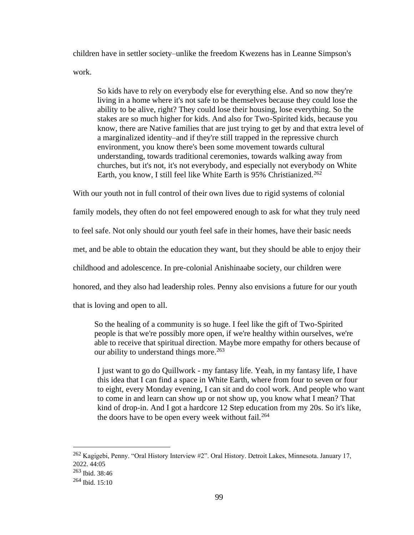children have in settler society–unlike the freedom Kwezens has in Leanne Simpson's work.

So kids have to rely on everybody else for everything else. And so now they're living in a home where it's not safe to be themselves because they could lose the ability to be alive, right? They could lose their housing, lose everything. So the stakes are so much higher for kids. And also for Two-Spirited kids, because you know, there are Native families that are just trying to get by and that extra level of a marginalized identity–and if they're still trapped in the repressive church environment, you know there's been some movement towards cultural understanding, towards traditional ceremonies, towards walking away from churches, but it's not, it's not everybody, and especially not everybody on White Earth, you know, I still feel like White Earth is 95% Christianized.<sup>262</sup>

With our youth not in full control of their own lives due to rigid systems of colonial

family models, they often do not feel empowered enough to ask for what they truly need

to feel safe. Not only should our youth feel safe in their homes, have their basic needs

met, and be able to obtain the education they want, but they should be able to enjoy their

childhood and adolescence. In pre-colonial Anishinaabe society, our children were

honored, and they also had leadership roles. Penny also envisions a future for our youth

that is loving and open to all.

So the healing of a community is so huge. I feel like the gift of Two-Spirited people is that we're possibly more open, if we're healthy within ourselves, we're able to receive that spiritual direction. Maybe more empathy for others because of our ability to understand things more.<sup>263</sup>

I just want to go do Quillwork - my fantasy life. Yeah, in my fantasy life, I have this idea that I can find a space in White Earth, where from four to seven or four to eight, every Monday evening, I can sit and do cool work. And people who want to come in and learn can show up or not show up, you know what I mean? That kind of drop-in. And I got a hardcore 12 Step education from my 20s. So it's like, the doors have to be open every week without fail.<sup>264</sup>

<sup>262</sup> Kagigebi, Penny. "Oral History Interview #2". Oral History. Detroit Lakes, Minnesota. January 17, 2022. 44:05

<sup>263</sup> Ibid. 38:46

 $264$  Ibid. 15:10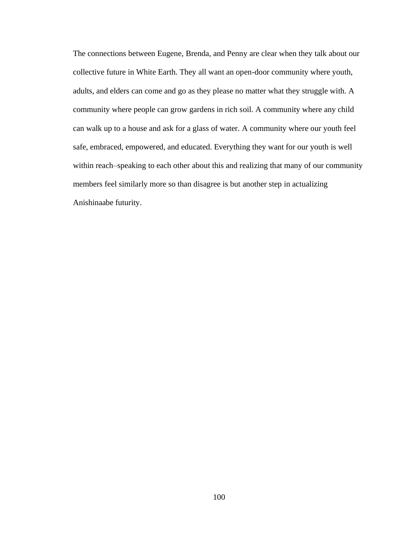The connections between Eugene, Brenda, and Penny are clear when they talk about our collective future in White Earth. They all want an open-door community where youth, adults, and elders can come and go as they please no matter what they struggle with. A community where people can grow gardens in rich soil. A community where any child can walk up to a house and ask for a glass of water. A community where our youth feel safe, embraced, empowered, and educated. Everything they want for our youth is well within reach–speaking to each other about this and realizing that many of our community members feel similarly more so than disagree is but another step in actualizing Anishinaabe futurity.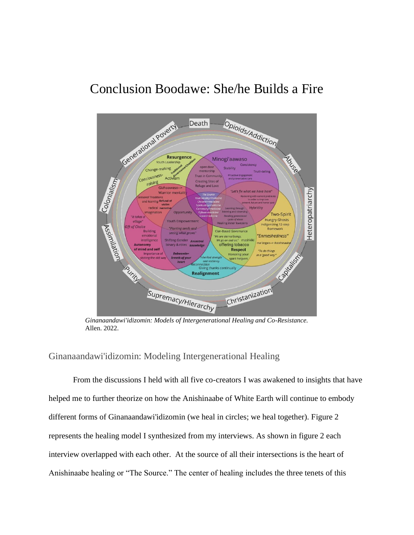# [Conclusion](#page-1-0) Boodawe: She/he Builds a Fire



*Ginanaandawi'idizomin: Models of Intergenerational Healing and Co-Resistance.*  Allen. 2022.

# Ginanaandawi'idizomin: Modeling Intergenerational Healing

From the discussions I held with all five co-creators I was awakened to insights that have helped me to further theorize on how the Anishinaabe of White Earth will continue to embody different forms of Ginanaandawi'idizomin (we heal in circles; we heal together). Figure 2 represents the healing model I synthesized from my interviews. As shown in figure 2 each interview overlapped with each other. At the source of all their intersections is the heart of Anishinaabe healing or "The Source." The center of healing includes the three tenets of this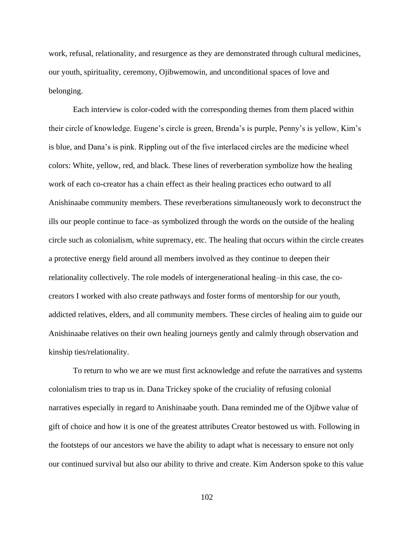work, refusal, relationality, and resurgence as they are demonstrated through cultural medicines, our youth, spirituality, ceremony, Ojibwemowin, and unconditional spaces of love and belonging.

Each interview is color-coded with the corresponding themes from them placed within their circle of knowledge. Eugene's circle is green, Brenda's is purple, Penny's is yellow, Kim's is blue, and Dana's is pink. Rippling out of the five interlaced circles are the medicine wheel colors: White, yellow, red, and black. These lines of reverberation symbolize how the healing work of each co-creator has a chain effect as their healing practices echo outward to all Anishinaabe community members. These reverberations simultaneously work to deconstruct the ills our people continue to face–as symbolized through the words on the outside of the healing circle such as colonialism, white supremacy, etc. The healing that occurs within the circle creates a protective energy field around all members involved as they continue to deepen their relationality collectively. The role models of intergenerational healing–in this case, the cocreators I worked with also create pathways and foster forms of mentorship for our youth, addicted relatives, elders, and all community members. These circles of healing aim to guide our Anishinaabe relatives on their own healing journeys gently and calmly through observation and kinship ties/relationality.

To return to who we are we must first acknowledge and refute the narratives and systems colonialism tries to trap us in. Dana Trickey spoke of the cruciality of refusing colonial narratives especially in regard to Anishinaabe youth. Dana reminded me of the Ojibwe value of gift of choice and how it is one of the greatest attributes Creator bestowed us with. Following in the footsteps of our ancestors we have the ability to adapt what is necessary to ensure not only our continued survival but also our ability to thrive and create. Kim Anderson spoke to this value

102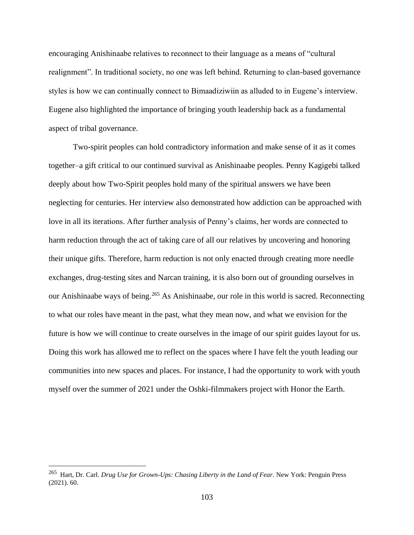encouraging Anishinaabe relatives to reconnect to their language as a means of "cultural realignment". In traditional society, no one was left behind. Returning to clan-based governance styles is how we can continually connect to Bimaadiziwiin as alluded to in Eugene's interview. Eugene also highlighted the importance of bringing youth leadership back as a fundamental aspect of tribal governance.

Two-spirit peoples can hold contradictory information and make sense of it as it comes together–a gift critical to our continued survival as Anishinaabe peoples. Penny Kagigebi talked deeply about how Two-Spirit peoples hold many of the spiritual answers we have been neglecting for centuries. Her interview also demonstrated how addiction can be approached with love in all its iterations. After further analysis of Penny's claims, her words are connected to harm reduction through the act of taking care of all our relatives by uncovering and honoring their unique gifts. Therefore, harm reduction is not only enacted through creating more needle exchanges, drug-testing sites and Narcan training, it is also born out of grounding ourselves in our Anishinaabe ways of being.<sup>265</sup> As Anishinaabe, our role in this world is sacred. Reconnecting to what our roles have meant in the past, what they mean now, and what we envision for the future is how we will continue to create ourselves in the image of our spirit guides layout for us. Doing this work has allowed me to reflect on the spaces where I have felt the youth leading our communities into new spaces and places. For instance, I had the opportunity to work with youth myself over the summer of 2021 under the Oshki-filmmakers project with Honor the Earth.

<sup>&</sup>lt;sup>265</sup> Hart, Dr. Carl. *Drug Use for Grown-Ups: Chasing Liberty in the Land of Fear*. New York: Penguin Press (2021). 60.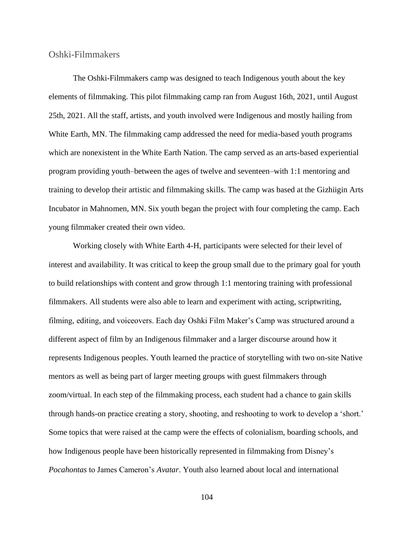Oshki-Filmmakers

The Oshki-Filmmakers camp was designed to teach Indigenous youth about the key elements of filmmaking. This pilot filmmaking camp ran from August 16th, 2021, until August 25th, 2021. All the staff, artists, and youth involved were Indigenous and mostly hailing from White Earth, MN. The filmmaking camp addressed the need for media-based youth programs which are nonexistent in the White Earth Nation. The camp served as an arts-based experiential program providing youth–between the ages of twelve and seventeen–with 1:1 mentoring and training to develop their artistic and filmmaking skills. The camp was based at the Gizhiigin Arts Incubator in Mahnomen, MN. Six youth began the project with four completing the camp. Each young filmmaker created their own video.

Working closely with White Earth 4-H, participants were selected for their level of interest and availability. It was critical to keep the group small due to the primary goal for youth to build relationships with content and grow through 1:1 mentoring training with professional filmmakers. All students were also able to learn and experiment with acting, scriptwriting, filming, editing, and voiceovers. Each day Oshki Film Maker's Camp was structured around a different aspect of film by an Indigenous filmmaker and a larger discourse around how it represents Indigenous peoples. Youth learned the practice of storytelling with two on-site Native mentors as well as being part of larger meeting groups with guest filmmakers through zoom/virtual. In each step of the filmmaking process, each student had a chance to gain skills through hands-on practice creating a story, shooting, and reshooting to work to develop a 'short.' Some topics that were raised at the camp were the effects of colonialism, boarding schools, and how Indigenous people have been historically represented in filmmaking from Disney's *Pocahontas* to James Cameron's *Avatar*. Youth also learned about local and international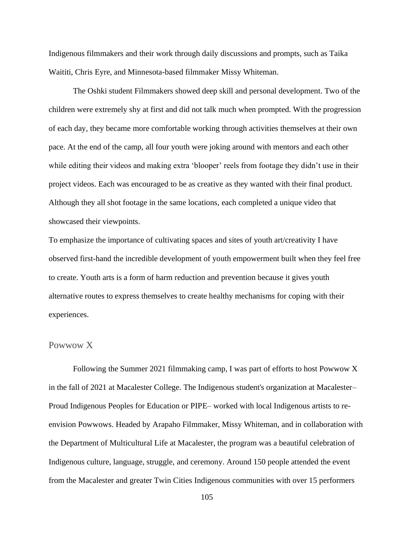Indigenous filmmakers and their work through daily discussions and prompts, such as Taika Waititi, Chris Eyre, and Minnesota-based filmmaker Missy Whiteman.

The Oshki student Filmmakers showed deep skill and personal development. Two of the children were extremely shy at first and did not talk much when prompted. With the progression of each day, they became more comfortable working through activities themselves at their own pace. At the end of the camp, all four youth were joking around with mentors and each other while editing their videos and making extra 'blooper' reels from footage they didn't use in their project videos. Each was encouraged to be as creative as they wanted with their final product. Although they all shot footage in the same locations, each completed a unique video that showcased their viewpoints.

To emphasize the importance of cultivating spaces and sites of youth art/creativity I have observed first-hand the incredible development of youth empowerment built when they feel free to create. Youth arts is a form of harm reduction and prevention because it gives youth alternative routes to express themselves to create healthy mechanisms for coping with their experiences.

## Powwow X

Following the Summer 2021 filmmaking camp, I was part of efforts to host Powwow X in the fall of 2021 at Macalester College. The Indigenous student's organization at Macalester– Proud Indigenous Peoples for Education or PIPE– worked with local Indigenous artists to reenvision Powwows. Headed by Arapaho Filmmaker, Missy Whiteman, and in collaboration with the Department of Multicultural Life at Macalester, the program was a beautiful celebration of Indigenous culture, language, struggle, and ceremony. Around 150 people attended the event from the Macalester and greater Twin Cities Indigenous communities with over 15 performers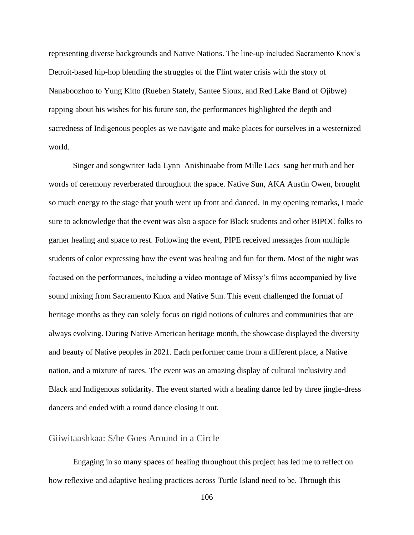representing diverse backgrounds and Native Nations. The line-up included Sacramento Knox's Detroit-based hip-hop blending the struggles of the Flint water crisis with the story of Nanaboozhoo to Yung Kitto (Rueben Stately, Santee Sioux, and Red Lake Band of Ojibwe) rapping about his wishes for his future son, the performances highlighted the depth and sacredness of Indigenous peoples as we navigate and make places for ourselves in a westernized world.

Singer and songwriter Jada Lynn–Anishinaabe from Mille Lacs–sang her truth and her words of ceremony reverberated throughout the space. Native Sun, AKA Austin Owen, brought so much energy to the stage that youth went up front and danced. In my opening remarks, I made sure to acknowledge that the event was also a space for Black students and other BIPOC folks to garner healing and space to rest. Following the event, PIPE received messages from multiple students of color expressing how the event was healing and fun for them. Most of the night was focused on the performances, including a video montage of Missy's films accompanied by live sound mixing from Sacramento Knox and Native Sun. This event challenged the format of heritage months as they can solely focus on rigid notions of cultures and communities that are always evolving. During Native American heritage month, the showcase displayed the diversity and beauty of Native peoples in 2021. Each performer came from a different place, a Native nation, and a mixture of races. The event was an amazing display of cultural inclusivity and Black and Indigenous solidarity. The event started with a healing dance led by three jingle-dress dancers and ended with a round dance closing it out.

#### Giiwitaashkaa: S/he Goes Around in a Circle

Engaging in so many spaces of healing throughout this project has led me to reflect on how reflexive and adaptive healing practices across Turtle Island need to be. Through this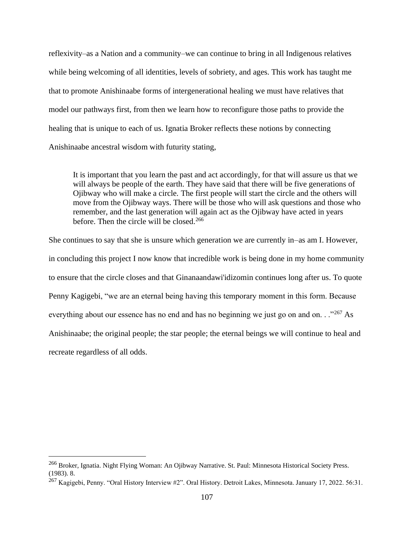reflexivity–as a Nation and a community–we can continue to bring in all Indigenous relatives while being welcoming of all identities, levels of sobriety, and ages. This work has taught me that to promote Anishinaabe forms of intergenerational healing we must have relatives that model our pathways first, from then we learn how to reconfigure those paths to provide the healing that is unique to each of us. Ignatia Broker reflects these notions by connecting Anishinaabe ancestral wisdom with futurity stating,

It is important that you learn the past and act accordingly, for that will assure us that we will always be people of the earth. They have said that there will be five generations of Ojibway who will make a circle. The first people will start the circle and the others will move from the Ojibway ways. There will be those who will ask questions and those who remember, and the last generation will again act as the Ojibway have acted in years before. Then the circle will be closed.<sup>266</sup>

She continues to say that she is unsure which generation we are currently in–as am I. However, in concluding this project I now know that incredible work is being done in my home community to ensure that the circle closes and that Ginanaandawi'idizomin continues long after us. To quote Penny Kagigebi, "we are an eternal being having this temporary moment in this form. Because everything about our essence has no end and has no beginning we just go on and on. . .<sup>"267</sup> As Anishinaabe; the original people; the star people; the eternal beings we will continue to heal and recreate regardless of all odds.

<sup>266</sup> Broker, Ignatia. Night Flying Woman: An Ojibway Narrative. St. Paul: Minnesota Historical Society Press. (1983). 8.

<sup>&</sup>lt;sup>267</sup> Kagigebi, Penny. "Oral History Interview #2". Oral History. Detroit Lakes, Minnesota. January 17, 2022. 56:31.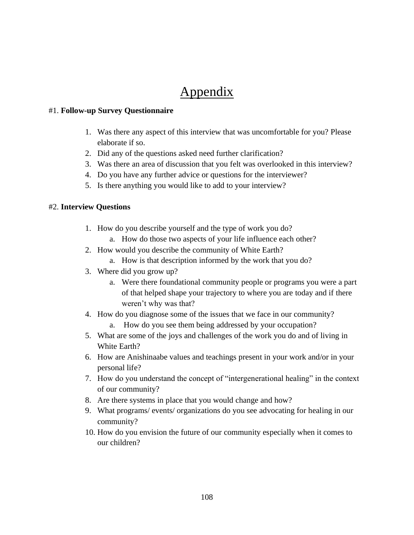## Appendix

#### #1. **Follow-up Survey Questionnaire**

- 1. Was there any aspect of this interview that was uncomfortable for you? Please elaborate if so.
- 2. Did any of the questions asked need further clarification?
- 3. Was there an area of discussion that you felt was overlooked in this interview?
- 4. Do you have any further advice or questions for the interviewer?
- 5. Is there anything you would like to add to your interview?

#### #2. **Interview Questions**

- 1. How do you describe yourself and the type of work you do?
	- a. How do those two aspects of your life influence each other?
- 2. How would you describe the community of White Earth?
	- a. How is that description informed by the work that you do?
- 3. Where did you grow up?
	- a. Were there foundational community people or programs you were a part of that helped shape your trajectory to where you are today and if there weren't why was that?
- 4. How do you diagnose some of the issues that we face in our community?
	- a. How do you see them being addressed by your occupation?
- 5. What are some of the joys and challenges of the work you do and of living in White Earth?
- 6. How are Anishinaabe values and teachings present in your work and/or in your personal life?
- 7. How do you understand the concept of "intergenerational healing" in the context of our community?
- 8. Are there systems in place that you would change and how?
- 9. What programs/ events/ organizations do you see advocating for healing in our community?
- 10. How do you envision the future of our community especially when it comes to our children?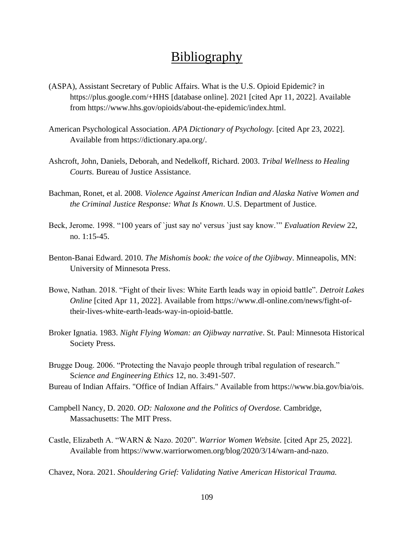### [Bibliography](#page-1-0)

- (ASPA), Assistant Secretary of Public Affairs. What is the U.S. Opioid Epidemic? in https://plus.google.com/+HHS [database online]. 2021 [cited Apr 11, 2022]. Available from https://www.hhs.gov/opioids/about-the-epidemic/index.html.
- American Psychological Association. *APA Dictionary of Psychology.* [cited Apr 23, 2022]. Available from https://dictionary.apa.org/.
- Ashcroft, John, Daniels, Deborah, and Nedelkoff, Richard. 2003. *Tribal Wellness to Healing Courts.* Bureau of Justice Assistance.
- Bachman, Ronet, et al. 2008. *Violence Against American Indian and Alaska Native Women and the Criminal Justice Response: What Is Known*. U.S. Department of Justice.
- Beck, Jerome. 1998. "100 years of `just say no' versus `just say know.'" *Evaluation Review* 22, no. 1:15-45.
- Benton-Banai Edward. 2010. *The Mishomis book: the voice of the Ojibway*. Minneapolis, MN: University of Minnesota Press.
- Bowe, Nathan. 2018. "Fight of their lives: White Earth leads way in opioid battle". *Detroit Lakes Online* [cited Apr 11, 2022]. Available from https://www.dl-online.com/news/fight-oftheir-lives-white-earth-leads-way-in-opioid-battle.
- Broker Ignatia. 1983. *Night Flying Woman: an Ojibway narrative*. St. Paul: Minnesota Historical Society Press.
- Brugge Doug. 2006. "Protecting the Navajo people through tribal regulation of research." S*cience and Engineering Ethics* 12, no. 3:491-507.
- Bureau of Indian Affairs. "Office of Indian Affairs." Available from https://www.bia.gov/bia/ois.
- Campbell Nancy, D. 2020. *OD: Naloxone and the Politics of Overdose.* Cambridge, Massachusetts: The MIT Press.
- Castle, Elizabeth A. "WARN & Nazo. 2020". *Warrior Women Website.* [cited Apr 25, 2022]. Available from https://www.warriorwomen.org/blog/2020/3/14/warn-and-nazo.

Chavez, Nora. 2021. *Shouldering Grief: Validating Native American Historical Trauma.*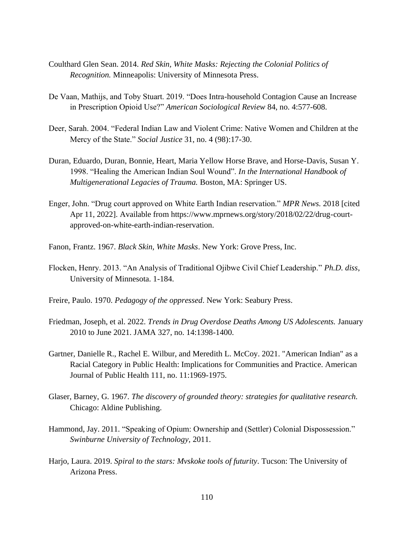- Coulthard Glen Sean. 2014. *Red Skin, White Masks: Rejecting the Colonial Politics of Recognition.* Minneapolis: University of Minnesota Press.
- De Vaan, Mathijs, and Toby Stuart. 2019. "Does Intra-household Contagion Cause an Increase in Prescription Opioid Use?" *American Sociological Review* 84, no. 4:577-608.
- Deer, Sarah. 2004. "Federal Indian Law and Violent Crime: Native Women and Children at the Mercy of the State." *Social Justice* 31, no. 4 (98):17-30.
- Duran, Eduardo, Duran, Bonnie, Heart, Maria Yellow Horse Brave, and Horse-Davis, Susan Y. 1998. "Healing the American Indian Soul Wound". *In the International Handbook of Multigenerational Legacies of Trauma.* Boston, MA: Springer US.
- Enger, John. "Drug court approved on White Earth Indian reservation." *MPR News.* 2018 [cited Apr 11, 2022]. Available from https://www.mprnews.org/story/2018/02/22/drug-courtapproved-on-white-earth-indian-reservation.
- Fanon, Frantz. 1967. *Black Skin, White Masks*. New York: Grove Press, Inc.
- Flocken, Henry. 2013. "An Analysis of Traditional Ojibwe Civil Chief Leadership." *Ph.D. diss*, University of Minnesota. 1-184.
- Freire, Paulo. 1970. *Pedagogy of the oppressed*. New York: Seabury Press.
- Friedman, Joseph, et al. 2022. *Trends in Drug Overdose Deaths Among US Adolescents.* January 2010 to June 2021. JAMA 327, no. 14:1398-1400.
- Gartner, Danielle R., Rachel E. Wilbur, and Meredith L. McCoy. 2021. "American Indian" as a Racial Category in Public Health: Implications for Communities and Practice. American Journal of Public Health 111, no. 11:1969-1975.
- Glaser, Barney, G. 1967. *The discovery of grounded theory: strategies for qualitative research.*  Chicago: Aldine Publishing.
- Hammond, Jay. 2011. "Speaking of Opium: Ownership and (Settler) Colonial Dispossession." *Swinburne University of Technology,* 2011.
- Harjo, Laura. 2019. *Spiral to the stars: Mvskoke tools of futurity*. Tucson: The University of Arizona Press.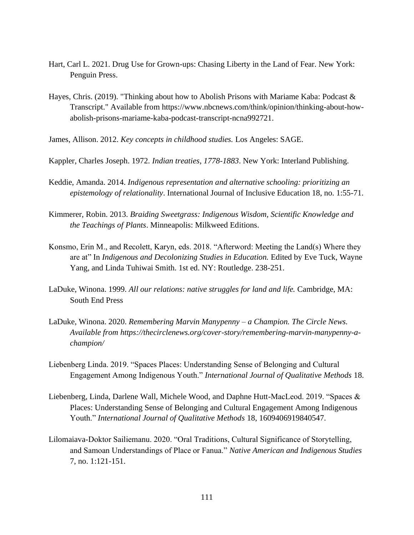- Hart, Carl L. 2021. Drug Use for Grown-ups: Chasing Liberty in the Land of Fear. New York: Penguin Press.
- Hayes, Chris. (2019). "Thinking about how to Abolish Prisons with Mariame Kaba: Podcast & Transcript." Available from https://www.nbcnews.com/think/opinion/thinking-about-howabolish-prisons-mariame-kaba-podcast-transcript-ncna992721.
- James, Allison. 2012. *Key concepts in childhood studies.* Los Angeles: SAGE.
- Kappler, Charles Joseph. 1972. *Indian treaties, 1778-1883*. New York: Interland Publishing.
- Keddie, Amanda. 2014. *Indigenous representation and alternative schooling: prioritizing an epistemology of relationality*. International Journal of Inclusive Education 18, no. 1:55-71.
- Kimmerer, Robin. 2013. *Braiding Sweetgrass: Indigenous Wisdom, Scientific Knowledge and the Teachings of Plants*. Minneapolis: Milkweed Editions.
- Konsmo, Erin M., and Recolett, Karyn, eds. 2018. "Afterword: Meeting the Land(s) Where they are at" In *Indigenous and Decolonizing Studies in Education.* Edited by Eve Tuck, Wayne Yang, and Linda Tuhiwai Smith. 1st ed. NY: Routledge. 238-251.
- LaDuke, Winona. 1999. *All our relations: native struggles for land and life.* Cambridge, MA: South End Press
- LaDuke, Winona. 2020. *Remembering Marvin Manypenny – a Champion. The Circle News. Available from https://thecirclenews.org/cover-story/remembering-marvin-manypenny-achampion/*
- Liebenberg Linda. 2019. "Spaces Places: Understanding Sense of Belonging and Cultural Engagement Among Indigenous Youth." *International Journal of Qualitative Methods* 18.
- Liebenberg, Linda, Darlene Wall, Michele Wood, and Daphne Hutt-MacLeod. 2019. "Spaces & Places: Understanding Sense of Belonging and Cultural Engagement Among Indigenous Youth." *International Journal of Qualitative Methods* 18, 1609406919840547.
- Lilomaiava-Doktor Sailiemanu. 2020. "Oral Traditions, Cultural Significance of Storytelling, and Samoan Understandings of Place or Fanua." *Native American and Indigenous Studies*  7, no. 1:121-151.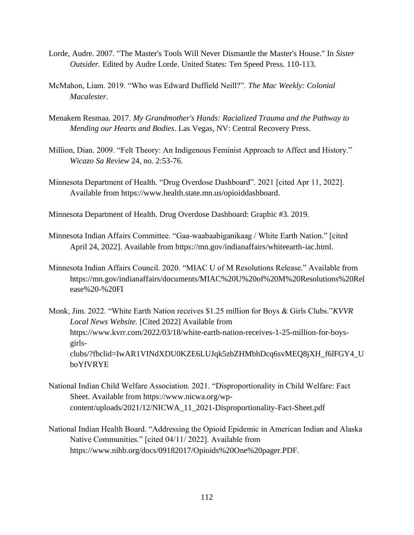- Lorde, Audre. 2007. "The Master's Tools Will Never Dismantle the Master's House." In *Sister Outsider.* Edited by Audre Lorde. United States: Ten Speed Press. 110-113.
- McMahon, Liam. 2019. "Who was Edward Duffield Neill?". *The Mac Weekly: Colonial Macalester.*
- Menakem Resmaa. 2017. *My Grandmother's Hands: Racialized Trauma and the Pathway to Mending our Hearts and Bodies*. Las Vegas, NV: Central Recovery Press.
- Million, Dian. 2009. "Felt Theory: An Indigenous Feminist Approach to Affect and History." *Wicazo Sa Review* 24, no. 2:53-76.
- Minnesota Department of Health. "Drug Overdose Dashboard". 2021 [cited Apr 11, 2022]. Available from https://www.health.state.mn.us/opioiddashboard.

Minnesota Department of Health. Drug Overdose Dashboard: Graphic #3. 2019.

- Minnesota Indian Affairs Committee. "Gaa-waabaabiganikaag / White Earth Nation." [cited April 24, 2022]. Available from https://mn.gov/indianaffairs/whiteearth-iac.html.
- Minnesota Indian Affairs Council. 2020. "MIAC U of M Resolutions Release." Available from https://mn.gov/indianaffairs/documents/MIAC%20U%20of%20M%20Resolutions%20Rel ease%20-%20FI
- Monk, Jim. 2022. "White Earth Nation receives \$1.25 million for Boys & Girls Clubs."*KVVR Local News Website.* [Cited 2022] Available from https://www.kvrr.com/2022/03/18/white-earth-nation-receives-1-25-million-for-boysgirlsclubs/?fbclid=IwAR1VINdXDU0KZE6LUJqk5zbZHMbhDcq6svMEQ8jXH\_f6lFGY4\_U boYfVRYE
- National Indian Child Welfare Association. 2021. "Disproportionality in Child Welfare: Fact Sheet. Available from https://www.nicwa.org/wpcontent/uploads/2021/12/NICWA\_11\_2021-Disproportionality-Fact-Sheet.pdf
- National Indian Health Board. "Addressing the Opioid Epidemic in American Indian and Alaska Native Communities." [cited 04/11/ 2022]. Available from https://www.nihb.org/docs/09182017/Opioids%20One%20pager.PDF.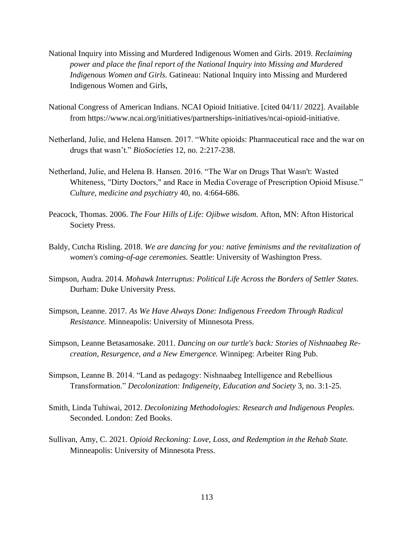- National Inquiry into Missing and Murdered Indigenous Women and Girls. 2019. *Reclaiming power and place the final report of the National Inquiry into Missing and Murdered Indigenous Women and Girls.* Gatineau: National Inquiry into Missing and Murdered Indigenous Women and Girls,
- National Congress of American Indians. NCAI Opioid Initiative. [cited 04/11/ 2022]. Available from https://www.ncai.org/initiatives/partnerships-initiatives/ncai-opioid-initiative.
- Netherland, Julie, and Helena Hansen. 2017. "White opioids: Pharmaceutical race and the war on drugs that wasn't." *BioSocieties* 12, no. 2:217-238.
- Netherland, Julie, and Helena B. Hansen. 2016. "The War on Drugs That Wasn't: Wasted Whiteness, "Dirty Doctors," and Race in Media Coverage of Prescription Opioid Misuse." *Culture, medicine and psychiatry* 40, no. 4:664-686.
- Peacock, Thomas. 2006. *The Four Hills of Life: Ojibwe wisdom.* Afton, MN: Afton Historical Society Press.
- Baldy, Cutcha Risling. 2018. *We are dancing for you: native feminisms and the revitalization of women's coming-of-age ceremonies.* Seattle: University of Washington Press.
- Simpson, Audra. 2014. *Mohawk Interruptus: Political Life Across the Borders of Settler States.*  Durham: Duke University Press.
- Simpson, Leanne. 2017. *As We Have Always Done: Indigenous Freedom Through Radical Resistance.* Minneapolis: University of Minnesota Press.
- Simpson, Leanne Betasamosake. 2011. *Dancing on our turtle's back: Stories of Nishnaabeg Recreation, Resurgence, and a New Emergence.* Winnipeg: Arbeiter Ring Pub.
- Simpson, Leanne B. 2014. "Land as pedagogy: Nishnaabeg Intelligence and Rebellious Transformation." *Decolonization: Indigeneity, Education and Society* 3, no. 3:1-25.
- Smith, Linda Tuhiwai, 2012. *Decolonizing Methodologies: Research and Indigenous Peoples.* Seconded. London: Zed Books.
- Sullivan, Amy, C. 2021. *Opioid Reckoning: Love, Loss, and Redemption in the Rehab State.* Minneapolis: University of Minnesota Press.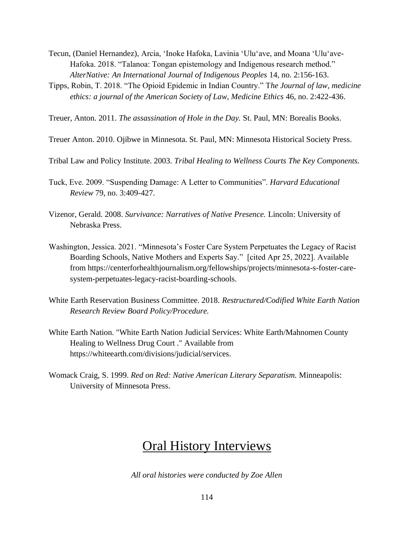- Tecun, (Daniel Hernandez), Arcia, 'Inoke Hafoka, Lavinia 'Ulu'ave, and Moana 'Ulu'ave-Hafoka. 2018. "Talanoa: Tongan epistemology and Indigenous research method." *AlterNative: An International Journal of Indigenous Peoples* 14, no. 2:156-163.
- Tipps, Robin, T. 2018. "The Opioid Epidemic in Indian Country." T*he Journal of law, medicine ethics: a journal of the American Society of Law, Medicine Ethics* 46, no. 2:422-436.

Treuer, Anton. 2011. *The assassination of Hole in the Day.* St. Paul, MN: Borealis Books.

- Treuer Anton. 2010. Ojibwe in Minnesota. St. Paul, MN: Minnesota Historical Society Press.
- Tribal Law and Policy Institute. 2003. *Tribal Healing to Wellness Courts The Key Components.*
- Tuck, Eve. 2009. "Suspending Damage: A Letter to Communities". *Harvard Educational Review* 79, no. 3:409-427.
- Vizenor, Gerald. 2008. *Survivance: Narratives of Native Presence.* Lincoln: University of Nebraska Press.
- Washington, Jessica. 2021. "Minnesota's Foster Care System Perpetuates the Legacy of Racist Boarding Schools, Native Mothers and Experts Say." [cited Apr 25, 2022]. Available from https://centerforhealthjournalism.org/fellowships/projects/minnesota-s-foster-caresystem-perpetuates-legacy-racist-boarding-schools.
- White Earth Reservation Business Committee. 2018. *Restructured/Codified White Earth Nation Research Review Board Policy/Procedure.*
- White Earth Nation. "White Earth Nation Judicial Services: White Earth/Mahnomen County Healing to Wellness Drug Court ." Available from https://whiteearth.com/divisions/judicial/services.
- Womack Craig, S. 1999. *Red on Red: Native American Literary Separatism.* Minneapolis: University of Minnesota Press.

# Oral History Interviews

*All oral histories were conducted by Zoe Allen*